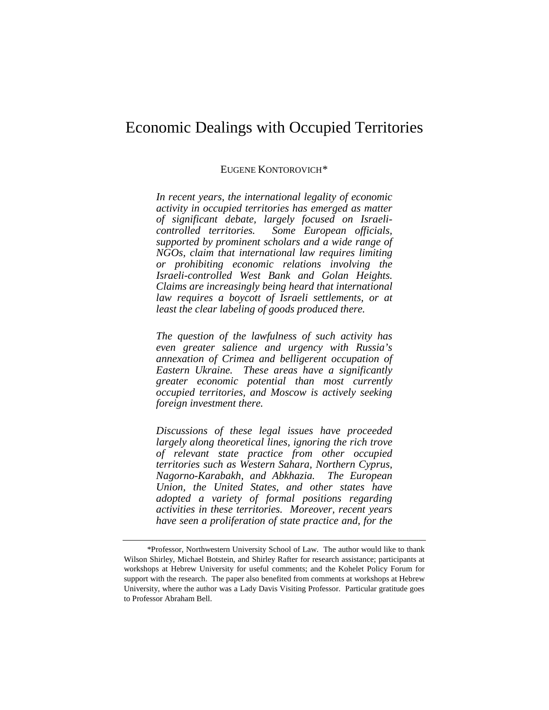# Economic Dealings with Occupied Territories

# EUGENE KONTOROVICH[\\*](#page-0-0)

*In recent years, the international legality of economic activity in occupied territories has emerged as matter of significant debate, largely focused on Israelicontrolled territories. Some European officials, supported by prominent scholars and a wide range of NGOs, claim that international law requires limiting or prohibiting economic relations involving the Israeli-controlled West Bank and Golan Heights. Claims are increasingly being heard that international law requires a boycott of Israeli settlements, or at least the clear labeling of goods produced there.* 

*The question of the lawfulness of such activity has even greater salience and urgency with Russia's annexation of Crimea and belligerent occupation of Eastern Ukraine. These areas have a significantly greater economic potential than most currently occupied territories, and Moscow is actively seeking foreign investment there.*

*Discussions of these legal issues have proceeded largely along theoretical lines, ignoring the rich trove of relevant state practice from other occupied territories such as Western Sahara, Northern Cyprus, Nagorno-Karabakh, and Abkhazia. The European Union, the United States, and other states have adopted a variety of formal positions regarding activities in these territories. Moreover, recent years have seen a proliferation of state practice and, for the* 

<span id="page-0-1"></span><span id="page-0-0"></span><sup>\*</sup>Professor, Northwestern University School of Law. The author would like to thank Wilson Shirley, Michael Botstein, and Shirley Rafter for research assistance; participants at workshops at Hebrew University for useful comments; and the Kohelet Policy Forum for support with the research. The paper also benefited from comments at workshops at Hebrew University, where the author was a Lady Davis Visiting Professor. Particular gratitude goes to Professor Abraham Bell.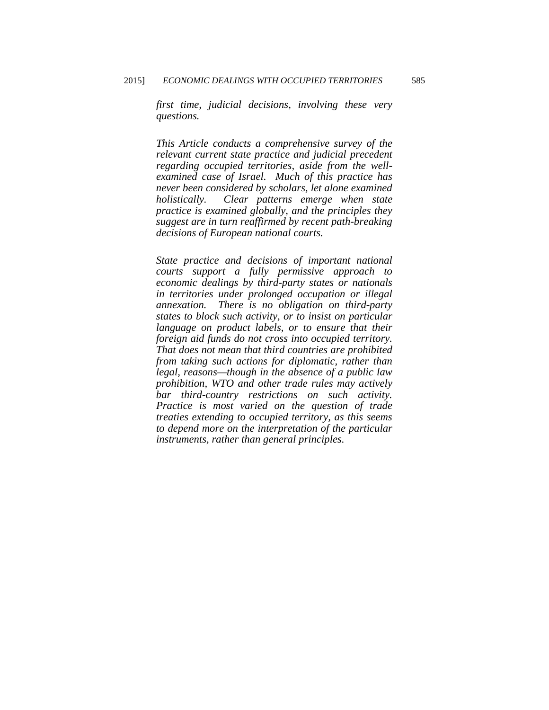*first time, judicial decisions, involving these very questions.* 

*This Article conducts a comprehensive survey of the relevant current state practice and judicial precedent regarding occupied territories, aside from the wellexamined case of Israel. Much of this practice has never been considered by scholars, let alone examined holistically. Clear patterns emerge when state practice is examined globally, and the principles they suggest are in turn reaffirmed by recent path-breaking decisions of European national courts.* 

*State practice and decisions of important national courts support a fully permissive approach to economic dealings by third-party states or nationals in territories under prolonged occupation or illegal annexation. There is no obligation on third-party states to block such activity, or to insist on particular language on product labels, or to ensure that their foreign aid funds do not cross into occupied territory. That does not mean that third countries are prohibited from taking such actions for diplomatic, rather than legal, reasons—though in the absence of a public law prohibition, WTO and other trade rules may actively bar third-country restrictions on such activity. Practice is most varied on the question of trade treaties extending to occupied territory, as this seems to depend more on the interpretation of the particular instruments, rather than general principles.*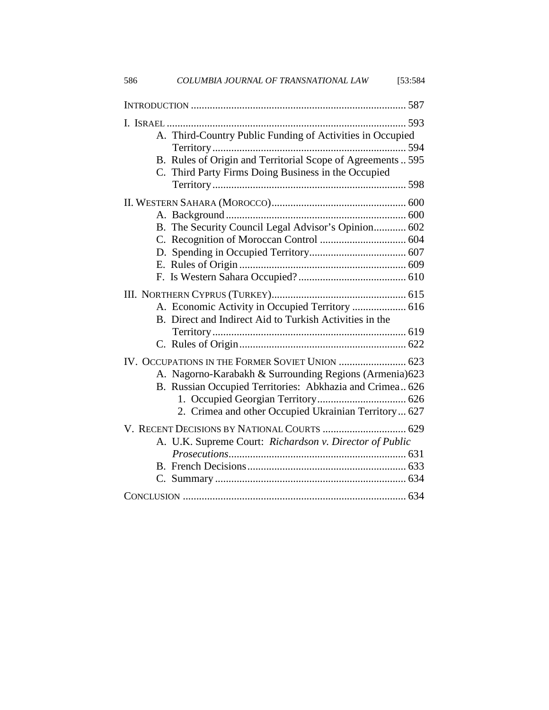| COLUMBIA JOURNAL OF TRANSNATIONAL LAW<br>586            | [53:584]                                                                                                            |
|---------------------------------------------------------|---------------------------------------------------------------------------------------------------------------------|
|                                                         |                                                                                                                     |
|                                                         |                                                                                                                     |
|                                                         | A. Third-Country Public Funding of Activities in Occupied                                                           |
|                                                         | B. Rules of Origin and Territorial Scope of Agreements  595                                                         |
| C. Third Party Firms Doing Business in the Occupied     |                                                                                                                     |
|                                                         |                                                                                                                     |
|                                                         |                                                                                                                     |
|                                                         | B. The Security Council Legal Advisor's Opinion 602                                                                 |
|                                                         |                                                                                                                     |
|                                                         |                                                                                                                     |
|                                                         |                                                                                                                     |
|                                                         |                                                                                                                     |
| B. Direct and Indirect Aid to Turkish Activities in the | A. Economic Activity in Occupied Territory  616                                                                     |
|                                                         |                                                                                                                     |
|                                                         |                                                                                                                     |
| IV. OCCUPATIONS IN THE FORMER SOVIET UNION  623         |                                                                                                                     |
|                                                         | A. Nagorno-Karabakh & Surrounding Regions (Armenia) 623<br>B. Russian Occupied Territories: Abkhazia and Crimea 626 |
|                                                         |                                                                                                                     |
|                                                         | 2. Crimea and other Occupied Ukrainian Territory  627                                                               |
| V. RECENT DECISIONS BY NATIONAL COURTS  629             |                                                                                                                     |
|                                                         | A. U.K. Supreme Court: Richardson v. Director of Public                                                             |
|                                                         |                                                                                                                     |
|                                                         |                                                                                                                     |
|                                                         |                                                                                                                     |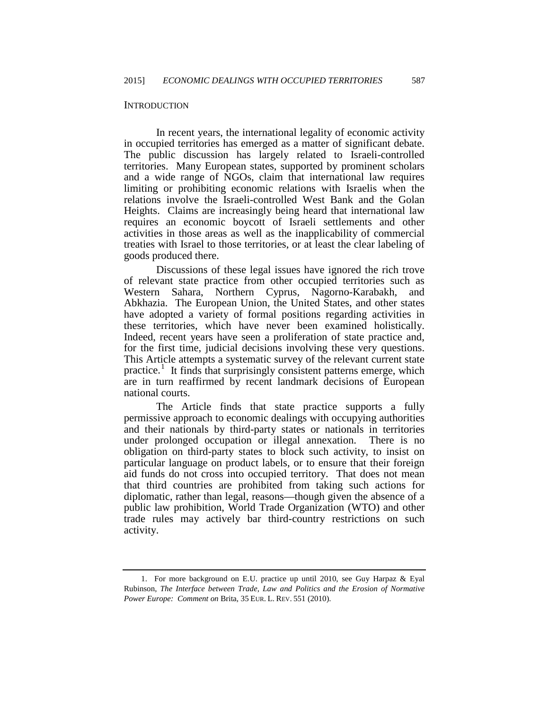#### **INTRODUCTION**

In recent years, the international legality of economic activity in occupied territories has emerged as a matter of significant debate. The public discussion has largely related to Israeli-controlled territories. Many European states, supported by prominent scholars and a wide range of NGOs, claim that international law requires limiting or prohibiting economic relations with Israelis when the relations involve the Israeli-controlled West Bank and the Golan Heights. Claims are increasingly being heard that international law requires an economic boycott of Israeli settlements and other activities in those areas as well as the inapplicability of commercial treaties with Israel to those territories, or at least the clear labeling of goods produced there.

Discussions of these legal issues have ignored the rich trove of relevant state practice from other occupied territories such as Western Sahara, Northern Cyprus, Nagorno-Karabakh, and Abkhazia. The European Union, the United States, and other states have adopted a variety of formal positions regarding activities in these territories, which have never been examined holistically. Indeed, recent years have seen a proliferation of state practice and, for the first time, judicial decisions involving these very questions. This Article attempts a systematic survey of the relevant current state practice.<sup>[1](#page-0-1)</sup> It finds that surprisingly consistent patterns emerge, which are in turn reaffirmed by recent landmark decisions of European national courts.

<span id="page-3-0"></span>The Article finds that state practice supports a fully permissive approach to economic dealings with occupying authorities and their nationals by third-party states or nationals in territories under prolonged occupation or illegal annexation. There is no obligation on third-party states to block such activity, to insist on particular language on product labels, or to ensure that their foreign aid funds do not cross into occupied territory. That does not mean that third countries are prohibited from taking such actions for diplomatic, rather than legal, reasons—though given the absence of a public law prohibition, World Trade Organization (WTO) and other trade rules may actively bar third-country restrictions on such activity.

 <sup>1.</sup> For more background on E.U. practice up until 2010, see Guy Harpaz & Eyal Rubinson, *The Interface between Trade, Law and Politics and the Erosion of Normative Power Europe: Comment on* Brita, 35 EUR. L. REV. 551 (2010).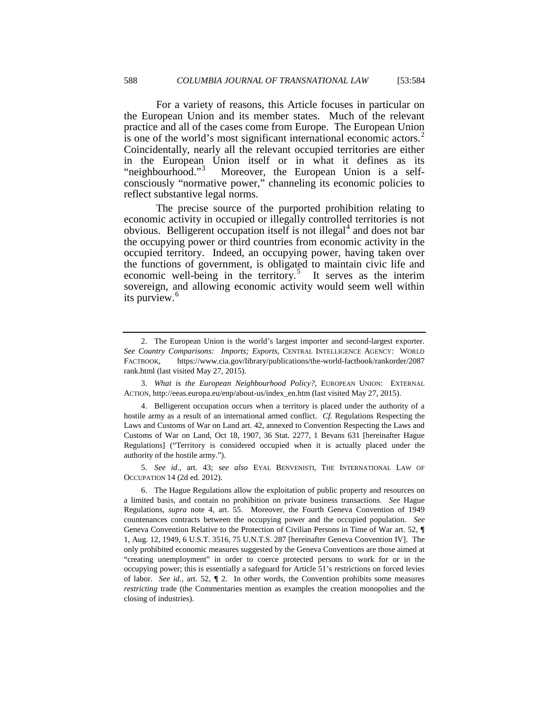For a variety of reasons, this Article focuses in particular on the European Union and its member states. Much of the relevant practice and all of the cases come from Europe. The European Union is one of the world's most significant international economic actors.<sup>[2](#page-3-0)</sup> Coincidentally, nearly all the relevant occupied territories are either in the European Union itself or in what it defines as its "neighbourhood."<sup>[3](#page-4-0)</sup> Moreover, the European Union is a selfconsciously "normative power," channeling its economic policies to reflect substantive legal norms.

The precise source of the purported prohibition relating to economic activity in occupied or illegally controlled territories is not obvious. Belligerent occupation itself is not illegal $4$  and does not bar the occupying power or third countries from economic activity in the occupied territory. Indeed, an occupying power, having taken over the functions of government, is obligated to maintain civic life and economic well-being in the territory.<sup>[5](#page-4-2)</sup> It serves as the interim sovereign, and allowing economic activity would seem well within its purview.<sup>[6](#page-4-3)</sup>

<span id="page-4-2"></span>5*. See id.*, art. 43; *see also* EYAL BENVENISTI, THE INTERNATIONAL LAW OF OCCUPATION 14 (2d ed. 2012).

 <sup>2.</sup> The European Union is the world's largest importer and second-largest exporter. *See Country Comparisons: Imports; Exports*, CENTRAL INTELLIGENCE AGENCY: WORLD FACTBOOK, https://www.cia.gov/library/publications/the-world-factbook/rankorder/2087 rank.html (last visited May 27, 2015).

<span id="page-4-4"></span><span id="page-4-0"></span> <sup>3.</sup> *What is the European Neighbourhood Policy?*, EUROPEAN UNION: EXTERNAL ACTION, http://eeas.europa.eu/enp/about-us/index\_en.htm (last visited May 27, 2015).

<span id="page-4-1"></span> <sup>4.</sup> Belligerent occupation occurs when a territory is placed under the authority of a hostile army as a result of an international armed conflict. *Cf.* Regulations Respecting the Laws and Customs of War on Land art. 42, annexed to Convention Respecting the Laws and Customs of War on Land, Oct 18, 1907, 36 Stat. 2277, 1 Bevans 631 [hereinafter Hague Regulations] ("Territory is considered occupied when it is actually placed under the authority of the hostile army.").

<span id="page-4-3"></span> <sup>6.</sup> The Hague Regulations allow the exploitation of public property and resources on a limited basis, and contain no prohibition on private business transactions. *See* Hague Regulations, *supra* note 4, art. 55. Moreover, the Fourth Geneva Convention of 1949 countenances contracts between the occupying power and the occupied population. *See* Geneva Convention Relative to the Protection of Civilian Persons in Time of War art. 52, **¶**  1, Aug. 12, 1949, 6 U.S.T. 3516, 75 U.N.T.S. 287 [hereinafter Geneva Convention IV]. The only prohibited economic measures suggested by the Geneva Conventions are those aimed at "creating unemployment" in order to coerce protected persons to work for or in the occupying power; this is essentially a safeguard for Article 51's restrictions on forced levies of labor. *See id.*, art. 52, **¶** 2. In other words, the Convention prohibits some measures *restricting* trade (the Commentaries mention as examples the creation monopolies and the closing of industries).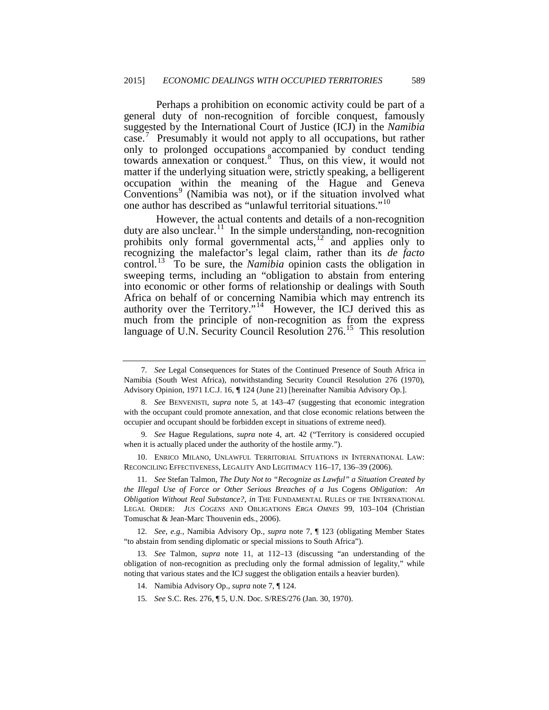Perhaps a prohibition on economic activity could be part of a general duty of non-recognition of forcible conquest, famously suggested by the International Court of Justice (ICJ) in the *Namibia*  case.<sup>[7](#page-4-4)</sup> Presumably it would not apply to all occupations, but rather only to prolonged occupations accompanied by conduct tending towards annexation or conquest.[8](#page-5-0) Thus, on this view, it would not matter if the underlying situation were, strictly speaking, a belligerent occupation within the meaning of the Hague and Geneva Conventions<sup>[9](#page-5-1)</sup> (Namibia was not), or if the situation involved what one author has described as "unlawful territorial situations."[10](#page-5-2)

However, the actual contents and details of a non-recognition duty are also unclear.<sup>[11](#page-5-3)</sup> In the simple understanding, non-recognition prohibits only formal governmental  $acts$ ,<sup>[12](#page-5-4)</sup> and applies only to recognizing the malefactor's legal claim, rather than its *de facto* control.[13](#page-5-5) To be sure, the *Namibia* opinion casts the obligation in sweeping terms, including an "obligation to abstain from entering into economic or other forms of relationship or dealings with South Africa on behalf of or concerning Namibia which may entrench its authority over the Territory."<sup>[14](#page-5-6)</sup> However, the ICJ derived this as much from the principle of non-recognition as from the express language of U.N. Security Council Resolution 276.<sup>[15](#page-5-7)</sup> This resolution

<span id="page-5-1"></span>9*. See* Hague Regulations, *supra* note 4, art. 42 ("Territory is considered occupied when it is actually placed under the authority of the hostile army.").

<span id="page-5-2"></span>10. ENRICO MILANO, UNLAWFUL TERRITORIAL SITUATIONS IN INTERNATIONAL LAW: RECONCILING EFFECTIVENESS, LEGALITY AND LEGITIMACY 116–17, 136–39 (2006).

<span id="page-5-3"></span>11*. See* Stefan Talmon, *The Duty Not to "Recognize as Lawful" a Situation Created by the Illegal Use of Force or Other Serious Breaches of a* Jus Cogens *Obligation: An Obligation Without Real Substance?*, *in* THE FUNDAMENTAL RULES OF THE INTERNATIONAL LEGAL ORDER: *JUS COGENS* AND OBLIGATIONS *ERGA OMNES* 99, 103–104 (Christian Tomuschat & Jean-Marc Thouvenin eds., 2006).

<span id="page-5-4"></span>12*. See, e.g.*, Namibia Advisory Op., *supra* note 7, ¶ 123 (obligating Member States "to abstain from sending diplomatic or special missions to South Africa").

<span id="page-5-7"></span><span id="page-5-6"></span><span id="page-5-5"></span>13*. See* Talmon, *supra* note 11, at 112–13 (discussing "an understanding of the obligation of non-recognition as precluding only the formal admission of legality," while noting that various states and the ICJ suggest the obligation entails a heavier burden).

<span id="page-5-8"></span><sup>7</sup>*. See* Legal Consequences for States of the Continued Presence of South Africa in Namibia (South West Africa), notwithstanding Security Council Resolution 276 (1970), Advisory Opinion, 1971 I.C.J. 16, **¶** 124 (June 21) [hereinafter Namibia Advisory Op.].

<span id="page-5-0"></span><sup>8</sup>*. See* BENVENISTI, *supra* note 5, at 143–47 (suggesting that economic integration with the occupant could promote annexation, and that close economic relations between the occupier and occupant should be forbidden except in situations of extreme need).

<sup>14.</sup> Namibia Advisory Op., *supra* note 7, ¶ 124.

<sup>15</sup>*. See* S.C. Res. 276, ¶ 5, U.N. Doc. S/RES/276 (Jan. 30, 1970).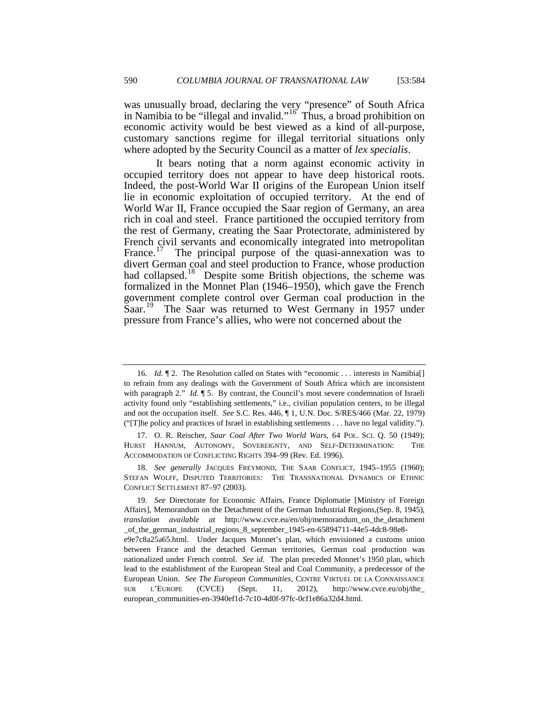was unusually broad, declaring the very "presence" of South Africa in Namibia to be "illegal and invalid." $\frac{16}{16}$  Thus, a broad prohibition on economic activity would be best viewed as a kind of all-purpose, customary sanctions regime for illegal territorial situations only where adopted by the Security Council as a matter of *lex specialis*.

It bears noting that a norm against economic activity in occupied territory does not appear to have deep historical roots. Indeed, the post-World War II origins of the European Union itself lie in economic exploitation of occupied territory. At the end of World War II, France occupied the Saar region of Germany, an area rich in coal and steel. France partitioned the occupied territory from the rest of Germany, creating the Saar Protectorate, administered by French civil servants and economically integrated into metropolitan France.<sup>17</sup> The principal purpose of the quasi-annexation was to divert German coal and steel production to France, whose production had collapsed.<sup>18</sup> Despite some British objections, the scheme was formalized in the Monnet Plan (1946–1950), which gave the French government complete control over German coal production in the Saar.<sup>[19](#page-6-2)</sup> The Saar was returned to West Germany in 1957 under pressure from France's allies, who were not concerned about the

european\_communities-en-3940ef1d-7c10-4d0f-97fc-0cf1e86a32d4.html.

<span id="page-6-3"></span><sup>16.</sup> *Id.*  $\llbracket 2$ . The Resolution called on States with "economic ... interests in Namibia<sup>[]</sup> to refrain from any dealings with the Government of South Africa which are inconsistent with paragraph 2." *Id*. ¶ 5. By contrast, the Council's most severe condemnation of Israeli activity found only "establishing settlements," i.e., civilian population centers, to be illegal and not the occupation itself. *See* S.C. Res. 446, ¶ 1, U.N. Doc. S/RES/466 (Mar. 22, 1979) ("[T]he policy and practices of Israel in establishing settlements . . . have no legal validity.").

<span id="page-6-0"></span><sup>17.</sup> O. R. Reischer, *Saar Coal After Two World Wars*, 64 POL. SCI. Q. 50 (1949); HURST HANNUM, AUTONOMY, SOVEREIGNTY, AND SELF-DETERMINATION: THE ACCOMMODATION OF CONFLICTING RIGHTS 394–99 (Rev. Ed. 1996).

<span id="page-6-1"></span><sup>18</sup>*. See generally* JACQUES FREYMOND, THE SAAR CONFLICT, 1945–1955 (1960); STEFAN WOLFF, DISPUTED TERRITORIES: THE TRANSNATIONAL DYNAMICS OF ETHNIC CONFLICT SETTLEMENT 87–97 (2003).

<span id="page-6-2"></span><sup>19</sup>*. See* Directorate for Economic Affairs, France Diplomatie [Ministry of Foreign Affairs], Memorandum on the Detachment of the German Industrial Regions,(Sep. 8, 1945), *translation available at* http://www.cvce.eu/en/obj/memorandum\_on\_the\_detachment \_of\_the\_german\_industrial\_regions\_8\_september\_1945-en-65894711-44e5-4dc8-98e8 e9e7c8a25a65.html. Under Jacques Monnet's plan, which envisioned a customs union between France and the detached German territories, German coal production was nationalized under French control. *See id.* The plan preceded Monnet's 1950 plan, which lead to the establishment of the European Steal and Coal Community, a predecessor of the European Union. *See The European Communities*, CENTRE VIRTUEL DE LA CONNAISSANCE SUR L'EUROPE (CVCE) (Sept. 11, 2012), http://www.cvce.eu/obj/the\_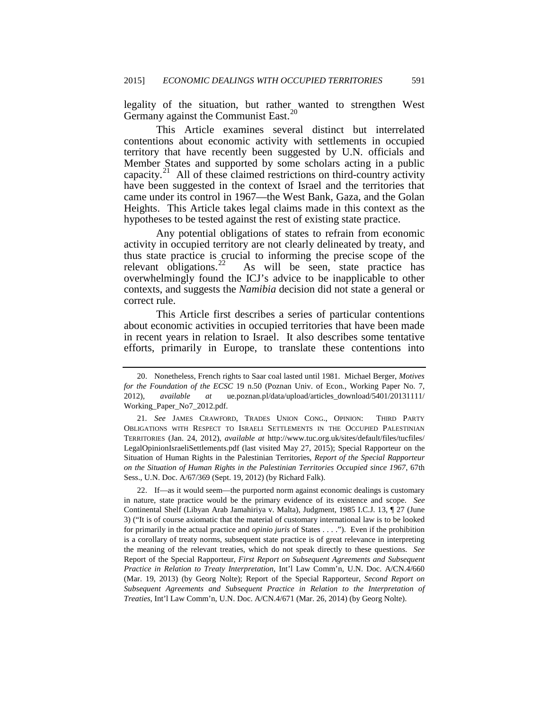legality of the situation, but rather wanted to strengthen West Germany against the Communist East.<sup>[20](#page-6-3)</sup>

This Article examines several distinct but interrelated contentions about economic activity with settlements in occupied territory that have recently been suggested by U.N. officials and Member States and supported by some scholars acting in a public capacity.<sup>21</sup> All of these claimed restrictions on third-country activity have been suggested in the context of Israel and the territories that came under its control in 1967—the West Bank, Gaza, and the Golan Heights. This Article takes legal claims made in this context as the hypotheses to be tested against the rest of existing state practice.

Any potential obligations of states to refrain from economic activity in occupied territory are not clearly delineated by treaty, and thus state practice is crucial to informing the precise scope of the relevant obligations.<sup>22</sup> As will be seen, state practice has As will be seen, state practice has overwhelmingly found the ICJ's advice to be inapplicable to other contexts, and suggests the *Namibia* decision did not state a general or correct rule.

This Article first describes a series of particular contentions about economic activities in occupied territories that have been made in recent years in relation to Israel. It also describes some tentative efforts, primarily in Europe, to translate these contentions into

<span id="page-7-1"></span>22. If—as it would seem—the purported norm against economic dealings is customary in nature, state practice would be the primary evidence of its existence and scope. *See* Continental Shelf (Libyan Arab Jamahiriya v. Malta), Judgment, 1985 I.C.J. 13, ¶ 27 (June 3) ("It is of course axiomatic that the material of customary international law is to be looked for primarily in the actual practice and *opinio juris* of States . . . ."). Even if the prohibition is a corollary of treaty norms, subsequent state practice is of great relevance in interpreting the meaning of the relevant treaties, which do not speak directly to these questions. *See* Report of the Special Rapporteur, *First Report on Subsequent Agreements and Subsequent Practice in Relation to Treaty Interpretation*, Int'l Law Comm'n, U.N. Doc. A/CN.4/660 (Mar. 19, 2013) (by Georg Nolte); Report of the Special Rapporteur, *Second Report on Subsequent Agreements and Subsequent Practice in Relation to the Interpretation of Treaties*, Int'l Law Comm'n, U.N. Doc. A/CN.4/671 (Mar. 26, 2014) (by Georg Nolte).

<span id="page-7-2"></span><sup>20.</sup> Nonetheless, French rights to Saar coal lasted until 1981. Michael Berger, *Motives for the Foundation of the ECSC* 19 n.50 (Poznan Univ. of Econ., Working Paper No. 7, 2012), *available at* ue.poznan.pl/data/upload/articles\_download/5401/20131111/ Working\_Paper\_No7\_2012.pdf.

<span id="page-7-0"></span><sup>21</sup>*. See* JAMES CRAWFORD, TRADES UNION CONG., OPINION: THIRD PARTY OBLIGATIONS WITH RESPECT TO ISRAELI SETTLEMENTS IN THE OCCUPIED PALESTINIAN TERRITORIES (Jan. 24, 2012), *available at* http://www.tuc.org.uk/sites/default/files/tucfiles/ LegalOpinionIsraeliSettlements.pdf (last visited May 27, 2015); Special Rapporteur on the Situation of Human Rights in the Palestinian Territories, *Report of the Special Rapporteur on the Situation of Human Rights in the Palestinian Territories Occupied since 1967*, 67th Sess., U.N. Doc. A/67/369 (Sept. 19, 2012) (by Richard Falk).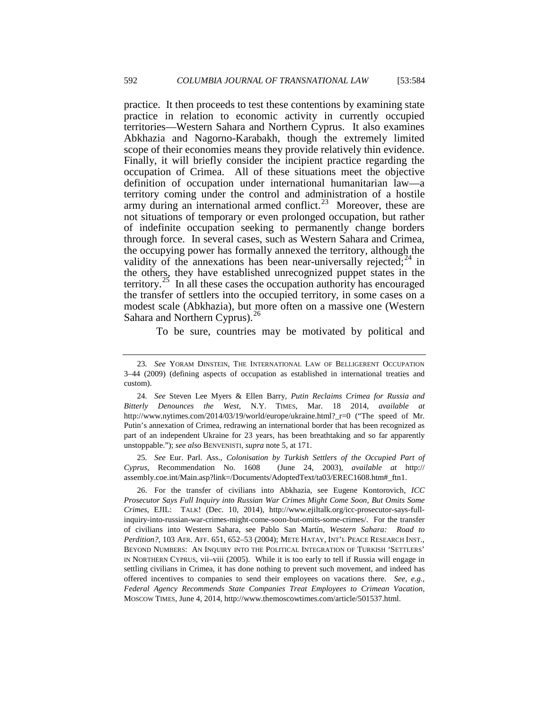practice. It then proceeds to test these contentions by examining state practice in relation to economic activity in currently occupied territories—Western Sahara and Northern Cyprus. It also examines Abkhazia and Nagorno-Karabakh, though the extremely limited scope of their economies means they provide relatively thin evidence. Finally, it will briefly consider the incipient practice regarding the occupation of Crimea. All of these situations meet the objective definition of occupation under international humanitarian law—a territory coming under the control and administration of a hostile army during an international armed conflict.<sup>23</sup> Moreover, these are not situations of temporary or even prolonged occupation, but rather of indefinite occupation seeking to permanently change borders through force. In several cases, such as Western Sahara and Crimea, the occupying power has formally annexed the territory, although the validity of the annexations has been near-universally rejected;  $24$  in the others, they have established unrecognized puppet states in the territory.<sup>[25](#page-8-1)</sup> In all these cases the occupation authority has encouraged the transfer of settlers into the occupied territory, in some cases on a modest scale (Abkhazia), but more often on a massive one (Western Sahara and Northern Cyprus).<sup>[26](#page-8-2)</sup>

To be sure, countries may be motivated by political and

<span id="page-8-1"></span>25*. See* Eur. Parl. Ass., *Colonisation by Turkish Settlers of the Occupied Part of Cyprus*, Recommendation No. 1608 (June 24, 2003), *available at* http:// assembly.coe.int/Main.asp?link=/Documents/AdoptedText/ta03/EREC1608.htm#\_ftn1.

<span id="page-8-3"></span><span id="page-8-2"></span>26. For the transfer of civilians into Abkhazia, see Eugene Kontorovich, *ICC Prosecutor Says Full Inquiry into Russian War Crimes Might Come Soon, But Omits Some Crimes*, EJIL: TALK! (Dec. 10, 2014), http://www.ejiltalk.org/icc-prosecutor-says-fullinquiry-into-russian-war-crimes-might-come-soon-but-omits-some-crimes/. For the transfer of civilians into Western Sahara, see Pablo San Martín, *Western Sahara: Road to Perdition?*, 103 AFR. AFF. 651, 652–53 (2004); METE HATAY, INT'L PEACE RESEARCH INST., BEYOND NUMBERS: AN INQUIRY INTO THE POLITICAL INTEGRATION OF TURKISH 'SETTLERS' IN NORTHERN CYPRUS, vii–viii (2005). While it is too early to tell if Russia will engage in settling civilians in Crimea, it has done nothing to prevent such movement, and indeed has offered incentives to companies to send their employees on vacations there. *See, e.g.*, *Federal Agency Recommends State Companies Treat Employees to Crimean Vacation*, MOSCOW TIMES, June 4, 2014, http://www.themoscowtimes.com/article/501537.html.

<sup>23</sup>*. See* YORAM DINSTEIN, THE INTERNATIONAL LAW OF BELLIGERENT OCCUPATION 3–44 (2009) (defining aspects of occupation as established in international treaties and custom).

<span id="page-8-0"></span><sup>24</sup>*. See* Steven Lee Myers & Ellen Barry, *Putin Reclaims Crimea for Russia and Bitterly Denounces the West*, N.Y. TIMES, Mar. 18 2014, *available at* http://www.nytimes.com/2014/03/19/world/europe/ukraine.html? r=0 ("The speed of Mr. Putin's annexation of Crimea, redrawing an international border that has been recognized as part of an independent Ukraine for 23 years, has been breathtaking and so far apparently unstoppable."); *see also* BENVENISTI, *supra* note 5, at 171.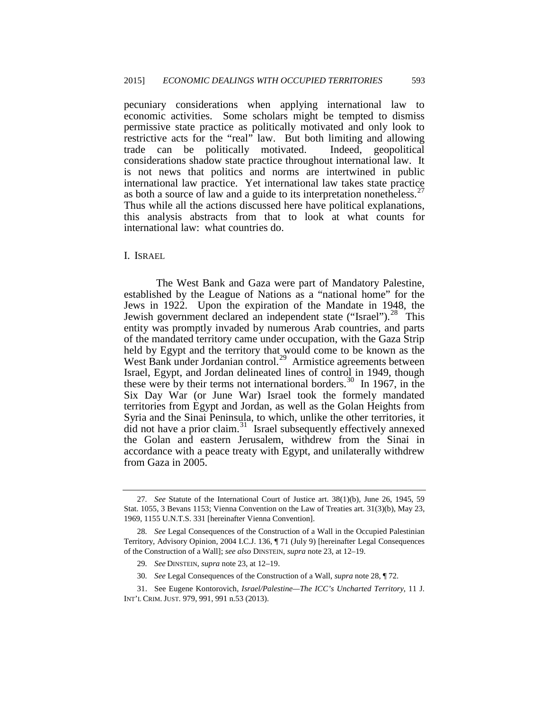pecuniary considerations when applying international law to economic activities. Some scholars might be tempted to dismiss permissive state practice as politically motivated and only look to restrictive acts for the "real" law. But both limiting and allowing trade can be politically motivated. Indeed, geopolitical considerations shadow state practice throughout international law. It is not news that politics and norms are intertwined in public international law practice. Yet international law takes state practice as both a source of law and a guide to its interpretation nonetheless.<sup>27</sup> Thus while all the actions discussed here have political explanations, this analysis abstracts from that to look at what counts for international law: what countries do.

I. ISRAEL

The West Bank and Gaza were part of Mandatory Palestine, established by the League of Nations as a "national home" for the Jews in 1922. Upon the expiration of the Mandate in 1948, the Jewish government declared an independent state ("Israel").<sup>28</sup> This entity was promptly invaded by numerous Arab countries, and parts of the mandated territory came under occupation, with the Gaza Strip held by Egypt and the territory that would come to be known as the West Bank under Jordanian control.<sup>29</sup> Armistice agreements between Israel, Egypt, and Jordan delineated lines of control in 1949, though these were by their terms not international borders.<sup>[30](#page-9-2)</sup> In 1967, in the Six Day War (or June War) Israel took the formely mandated territories from Egypt and Jordan, as well as the Golan Heights from Syria and the Sinai Peninsula, to which, unlike the other territories, it did not have a prior claim.<sup>31</sup> Israel subsequently effectively annexed the Golan and eastern Jerusalem, withdrew from the Sinai in accordance with a peace treaty with Egypt, and unilaterally withdrew from Gaza in 2005.

30*. See* Legal Consequences of the Construction of a Wall, *supra* note 28, ¶ 72.

<span id="page-9-4"></span><sup>27</sup>*. See* Statute of the International Court of Justice art. 38(1)(b), June 26, 1945, 59 Stat. 1055, 3 Bevans 1153; Vienna Convention on the Law of Treaties art. 31(3)(b), May 23, 1969, 1155 U.N.T.S. 331 [hereinafter Vienna Convention].

<span id="page-9-0"></span><sup>28</sup>*. See* Legal Consequences of the Construction of a Wall in the Occupied Palestinian Territory, Advisory Opinion, 2004 I.C.J. 136, ¶ 71 (July 9) [hereinafter Legal Consequences of the Construction of a Wall]; *see also* DINSTEIN, *supra* note 23, at 12–19.

<sup>29</sup>*. See* DINSTEIN, *supra* note 23, at 12–19.

<span id="page-9-3"></span><span id="page-9-2"></span><span id="page-9-1"></span><sup>31.</sup> See Eugene Kontorovich, *Israel/Palestine—The ICC's Uncharted Territory*, 11 J. INT'L CRIM. JUST. 979, 991, 991 n.53 (2013).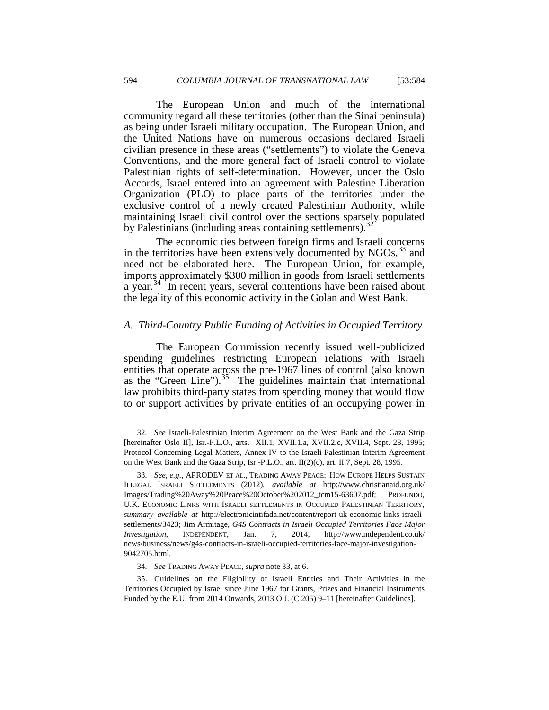The European Union and much of the international community regard all these territories (other than the Sinai peninsula) as being under Israeli military occupation. The European Union, and the United Nations have on numerous occasions declared Israeli civilian presence in these areas ("settlements") to violate the Geneva Conventions, and the more general fact of Israeli control to violate Palestinian rights of self-determination. However, under the Oslo Accords, Israel entered into an agreement with Palestine Liberation Organization (PLO) to place parts of the territories under the exclusive control of a newly created Palestinian Authority, while maintaining Israeli civil control over the sections sparsely populated by Palestinians (including areas containing settlements). $\frac{3}{2}$ 

The economic ties between foreign firms and Israeli concerns in the territories have been extensively documented by  $NGOs$ ,  $33$  and need not be elaborated here. The European Union, for example, imports approximately \$300 million in goods from Israeli settlements a year.<sup>34</sup> In recent years, several contentions have been raised about the legality of this economic activity in the Golan and West Bank.

# <span id="page-10-3"></span>*A. Third-Country Public Funding of Activities in Occupied Territory*

The European Commission recently issued well-publicized spending guidelines restricting European relations with Israeli entities that operate across the pre-1967 lines of control (also known as the "Green Line"). $35$  The guidelines maintain that international law prohibits third-party states from spending money that would flow to or support activities by private entities of an occupying power in

<sup>32</sup>*. See* Israeli-Palestinian Interim Agreement on the West Bank and the Gaza Strip [hereinafter Oslo II], Isr.-P.L.O., arts. XII.1, XVII.1.a, XVII.2.c, XVII.4, Sept. 28, 1995; Protocol Concerning Legal Matters, Annex IV to the Israeli-Palestinian Interim Agreement on the West Bank and the Gaza Strip, Isr.-P.L.O., art. II(2)(c), art. II.7, Sept. 28, 1995.

<span id="page-10-0"></span><sup>33</sup>*. See, e.g.*, APRODEV ET AL., TRADING AWAY PEACE: HOW EUROPE HELPS SUSTAIN ILLEGAL ISRAELI SETTLEMENTS (2012), *available at* http://www.christianaid.org.uk/ Images/Trading%20Away%20Peace%20October%202012\_tcm15-63607.pdf; PROFUNDO, U.K. ECONOMIC LINKS WITH ISRAELI SETTLEMENTS IN OCCUPIED PALESTINIAN TERRITORY, *summary available at* http://electronicintifada.net/content/report-uk-economic-links-israelisettlements/3423; Jim Armitage, *G4S Contracts in Israeli Occupied Territories Face Major Investigation*, INDEPENDENT, Jan. 7, 2014, http://www.independent.co.uk/ news/business/news/g4s-contracts-in-israeli-occupied-territories-face-major-investigation-9042705.html.

<sup>34</sup>*. See* TRADING AWAY PEACE, *supra* note 33, at 6.

<span id="page-10-2"></span><span id="page-10-1"></span><sup>35.</sup> Guidelines on the Eligibility of Israeli Entities and Their Activities in the Territories Occupied by Israel since June 1967 for Grants, Prizes and Financial Instruments Funded by the E.U. from 2014 Onwards, 2013 O.J. (C 205) 9–11 [hereinafter Guidelines].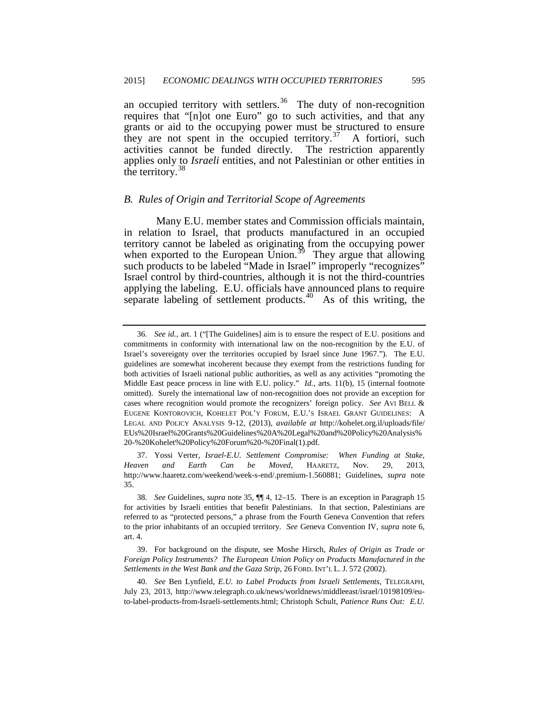an occupied territory with settlers.<sup>36</sup> The duty of non-recognition requires that "[n]ot one Euro" go to such activities, and that any grants or aid to the occupying power must be structured to ensure they are not spent in the occupied territory.<sup>[37](#page-11-0)</sup> A fortiori, such activities cannot be funded directly. The restriction apparently applies only to *Israeli* entities, and not Palestinian or other entities in the territory. $38$ 

## *B. Rules of Origin and Territorial Scope of Agreements*

Many E.U. member states and Commission officials maintain, in relation to Israel, that products manufactured in an occupied territory cannot be labeled as originating from the occupying power when exported to the European Union.<sup>[39](#page-11-2)</sup> They argue that allowing such products to be labeled "Made in Israel" improperly "recognizes" Israel control by third-countries, although it is not the third-countries applying the labeling. E.U. officials have announced plans to require separate labeling of settlement products.<sup>[40](#page-11-3)</sup> As of this writing, the

<span id="page-11-0"></span>37. Yossi Verter, *Israel-E.U. Settlement Compromise: When Funding at Stake, Heaven and Earth Can be Moved*, HAARETZ, Nov. 29, 2013, http://www.haaretz.com/weekend/week-s-end/.premium-1.560881; Guidelines, *supra* note 35.

<span id="page-11-4"></span><sup>36</sup>*. See id.*, art. 1 ("[The Guidelines] aim is to ensure the respect of E.U. positions and commitments in conformity with international law on the non-recognition by the E.U. of Israel's sovereignty over the territories occupied by Israel since June 1967."). The E.U. guidelines are somewhat incoherent because they exempt from the restrictions funding for both activities of Israeli national public authorities, as well as any activities "promoting the Middle East peace process in line with E.U. policy." *Id.*, arts. 11(b), 15 (internal footnote omitted). Surely the international law of non-recognition does not provide an exception for cases where recognition would promote the recognizers' foreign policy. *See* AVI BELL & EUGENE KONTOROVICH, KOHELET POL'Y FORUM, E.U.'S ISRAEL GRANT GUIDELINES: A LEGAL AND POLICY ANALYSIS 9-12, (2013), *available at* http://kohelet.org.il/uploads/file/ EUs%20Israel%20Grants%20Guidelines%20A%20Legal%20and%20Policy%20Analysis% 20-%20Kohelet%20Policy%20Forum%20-%20Final(1).pdf.

<span id="page-11-1"></span><sup>38</sup>*. See* Guidelines, *supra* note 35, ¶¶ 4, 12–15. There is an exception in Paragraph 15 for activities by Israeli entities that benefit Palestinians. In that section, Palestinians are referred to as "protected persons," a phrase from the Fourth Geneva Convention that refers to the prior inhabitants of an occupied territory. *See* Geneva Convention IV, *supra* note 6, art. 4.

<span id="page-11-2"></span><sup>39.</sup> For background on the dispute, see Moshe Hirsch, *Rules of Origin as Trade or Foreign Policy Instruments? The European Union Policy on Products Manufactured in the Settlements in the West Bank and the Gaza Strip*, 26 FORD. INT'L L. J. 572 (2002).

<span id="page-11-3"></span><sup>40</sup>*. See* Ben Lynfield, *E.U. to Label Products from Israeli Settlements*, TELEGRAPH, July 23, 2013, http://www.telegraph.co.uk/news/worldnews/middleeast/israel/10198109/euto-label-products-from-Israeli-settlements.html; Christoph Schult, *Patience Runs Out: E.U.*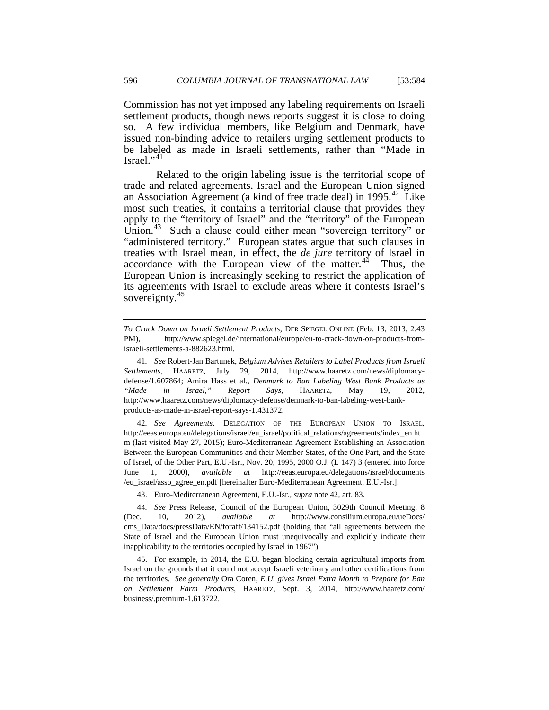Commission has not yet imposed any labeling requirements on Israeli settlement products, though news reports suggest it is close to doing so. A few individual members, like Belgium and Denmark, have issued non-binding advice to retailers urging settlement products to be labeled as made in Israeli settlements, rather than "Made in Israel."[41](#page-11-4)

Related to the origin labeling issue is the territorial scope of trade and related agreements. Israel and the European Union signed an Association Agreement (a kind of free trade deal) in 1995.<sup>[42](#page-12-0)</sup> Like most such treaties, it contains a territorial clause that provides they apply to the "territory of Israel" and the "territory" of the European Union.<sup>43</sup> Such a clause could either mean "sovereign territory" or "administered territory." European states argue that such clauses in treaties with Israel mean, in effect, the *de jure* territory of Israel in accordance with the European view of the matter. $44$  Thus, the European Union is increasingly seeking to restrict the application of its agreements with Israel to exclude areas where it contests Israel's sovereignty.<sup>[45](#page-12-3)</sup>

<span id="page-12-0"></span>42*. See Agreements*, DELEGATION OF THE EUROPEAN UNION TO ISRAEL, http://eeas.europa.eu/delegations/israel/eu\_israel/political\_relations/agreements/index\_en.ht m (last visited May 27, 2015); Euro-Mediterranean Agreement Establishing an Association Between the European Communities and their Member States, of the One Part, and the State of Israel, of the Other Part, E.U.-Isr., Nov. 20, 1995, 2000 O.J. (L 147) 3 (entered into force June 1, 2000), *available at* http://eeas.europa.eu/delegations/israel/documents /eu\_israel/asso\_agree\_en.pdf [hereinafter Euro-Mediterranean Agreement, E.U.-Isr.].

*To Crack Down on Israeli Settlement Products*, DER SPIEGEL ONLINE (Feb. 13, 2013, 2:43 PM), http://www.spiegel.de/international/europe/eu-to-crack-down-on-products-fromisraeli-settlements-a-882623.html.

<sup>41</sup>*. See* Robert-Jan Bartunek, *Belgium Advises Retailers to Label Products from Israeli Settlements*, HAARETZ, July 29, 2014, http://www.haaretz.com/news/diplomacydefense/1.607864; Amira Hass et al., *Denmark to Ban Labeling West Bank Products as "Made in Israel," Report Says*, HAARETZ, May 19, 2012, http://www.haaretz.com/news/diplomacy-defense/denmark-to-ban-labeling-west-bankproducts-as-made-in-israel-report-says-1.431372.

<sup>43.</sup> Euro-Mediterranean Agreement, E.U.-Isr., *supra* note 42, art. 83.

<span id="page-12-4"></span><span id="page-12-2"></span><span id="page-12-1"></span><sup>44</sup>*. See* Press Release, Council of the European Union, 3029th Council Meeting, 8 (Dec. 10, 2012), *available at* http://www.consilium.europa.eu/ueDocs/ cms\_Data/docs/pressData/EN/foraff/134152.pdf (holding that "all agreements between the State of Israel and the European Union must unequivocally and explicitly indicate their inapplicability to the territories occupied by Israel in 1967").

<span id="page-12-3"></span><sup>45.</sup> For example, in 2014, the E.U. began blocking certain agricultural imports from Israel on the grounds that it could not accept Israeli veterinary and other certifications from the territories. *See generally* Ora Coren, *E.U. gives Israel Extra Month to Prepare for Ban on Settlement Farm Products*, HAARETZ, Sept. 3, 2014, http://www.haaretz.com/ business/.premium-1.613722.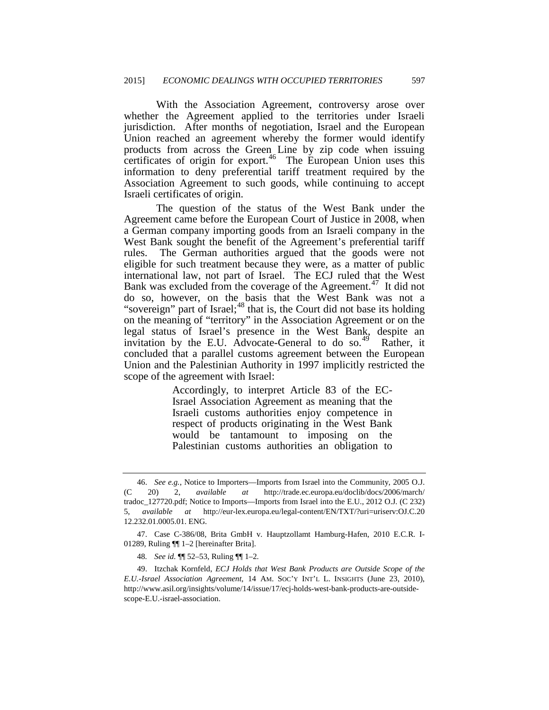With the Association Agreement, controversy arose over whether the Agreement applied to the territories under Israeli jurisdiction. After months of negotiation, Israel and the European Union reached an agreement whereby the former would identify products from across the Green Line by zip code when issuing certificates of origin for export.<sup>[46](#page-12-4)</sup> The European Union uses this information to deny preferential tariff treatment required by the Association Agreement to such goods, while continuing to accept Israeli certificates of origin.

The question of the status of the West Bank under the Agreement came before the European Court of Justice in 2008, when a German company importing goods from an Israeli company in the West Bank sought the benefit of the Agreement's preferential tariff rules. The German authorities argued that the goods were not eligible for such treatment because they were, as a matter of public international law, not part of Israel. The ECJ ruled that the West Bank was excluded from the coverage of the Agreement.<sup>47</sup> It did not do so, however, on the basis that the West Bank was not a "sovereign" part of Israel;<sup>48</sup> that is, the Court did not base its holding on the meaning of "territory" in the Association Agreement or on the legal status of Israel's presence in the West Bank, despite an invitation by the E.U. Advocate-General to do so.<sup>[49](#page-13-2)</sup> Rather, it concluded that a parallel customs agreement between the European Union and the Palestinian Authority in 1997 implicitly restricted the scope of the agreement with Israel:

> Accordingly, to interpret Article 83 of the EC-Israel Association Agreement as meaning that the Israeli customs authorities enjoy competence in respect of products originating in the West Bank would be tantamount to imposing on the Palestinian customs authorities an obligation to

<span id="page-13-3"></span><sup>46.</sup> *See e.g.*, Notice to Importers—Imports from Israel into the Community, 2005 O.J. (C 20) 2, *available at* http://trade.ec.europa.eu/doclib/docs/2006/march/ tradoc\_127720.pdf; Notice to Imports—Imports from Israel into the E.U., 2012 O.J. (C 232) 5, *available at* http://eur-lex.europa.eu/legal-content/EN/TXT/?uri=uriserv:OJ.C.20 12.232.01.0005.01. ENG.

<span id="page-13-0"></span><sup>47.</sup> Case C-386/08, Brita GmbH v. Hauptzollamt Hamburg-Hafen, 2010 E.C.R. I-01289, Ruling ¶¶ 1–2 [hereinafter Brita].

<sup>48</sup>*. See id.* ¶¶ 52–53, Ruling ¶¶ 1–2.

<span id="page-13-2"></span><span id="page-13-1"></span><sup>49.</sup> Itzchak Kornfeld, *ECJ Holds that West Bank Products are Outside Scope of the E.U.-Israel Association Agreement*, 14 AM. SOC'Y INT'L L. INSIGHTS (June 23, 2010), http://www.asil.org/insights/volume/14/issue/17/ecj-holds-west-bank-products-are-outsidescope-E.U.-israel-association.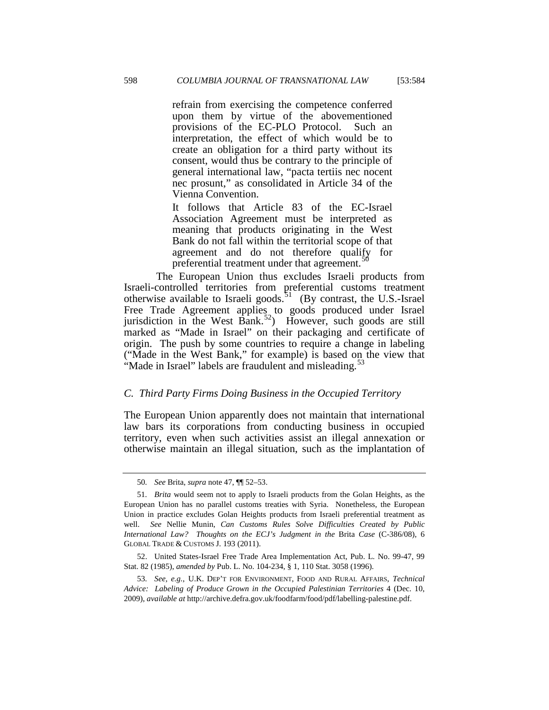refrain from exercising the competence conferred upon them by virtue of the abovementioned provisions of the EC-PLO Protocol. Such an interpretation, the effect of which would be to create an obligation for a third party without its consent, would thus be contrary to the principle of general international law, "pacta tertiis nec nocent nec prosunt," as consolidated in Article 34 of the Vienna Convention.

It follows that Article 83 of the EC-Israel Association Agreement must be interpreted as meaning that products originating in the West Bank do not fall within the territorial scope of that agreement and do not therefore qualify for preferential treatment under that agreement.<sup>5</sup>

The European Union thus excludes Israeli products from Israeli-controlled territories from preferential customs treatment otherwise available to Israeli goods.<sup>51</sup> (By contrast, the U.S.-Israel Free Trade Agreement applies to goods produced under Israel jurisdiction in the West Bank.<sup>[52](#page-14-1)</sup>) However, such goods are still marked as "Made in Israel" on their packaging and certificate of origin. The push by some countries to require a change in labeling ("Made in the West Bank," for example) is based on the view that "Made in Israel" labels are fraudulent and misleading.<sup>[53](#page-14-2)</sup>

## *C. Third Party Firms Doing Business in the Occupied Territory*

<span id="page-14-3"></span>The European Union apparently does not maintain that international law bars its corporations from conducting business in occupied territory, even when such activities assist an illegal annexation or otherwise maintain an illegal situation, such as the implantation of

<span id="page-14-2"></span>53*. See, e.g.*, U.K. DEP'T FOR ENVIRONMENT, FOOD AND RURAL AFFAIRS, *Technical Advice: Labeling of Produce Grown in the Occupied Palestinian Territories* 4 (Dec. 10, 2009), *available at* http://archive.defra.gov.uk/foodfarm/food/pdf/labelling-palestine.pdf.

<sup>50</sup>*. See* Brita, *supra* note 47, ¶¶ 52–53.

<span id="page-14-0"></span><sup>51</sup>*. Brita* would seem not to apply to Israeli products from the Golan Heights, as the European Union has no parallel customs treaties with Syria. Nonetheless, the European Union in practice excludes Golan Heights products from Israeli preferential treatment as well. *See* Nellie Munin, *Can Customs Rules Solve Difficulties Created by Public International Law? Thoughts on the ECJ's Judgment in the* Brita *Case* (C-386/08), 6 GLOBAL TRADE & CUSTOMS J. 193 (2011).

<span id="page-14-1"></span><sup>52.</sup> United States-Israel Free Trade Area Implementation Act, Pub. L. No. 99-47, 99 Stat. 82 (1985), *amended by* Pub. L. No. 104-234, § 1, 110 Stat. 3058 (1996).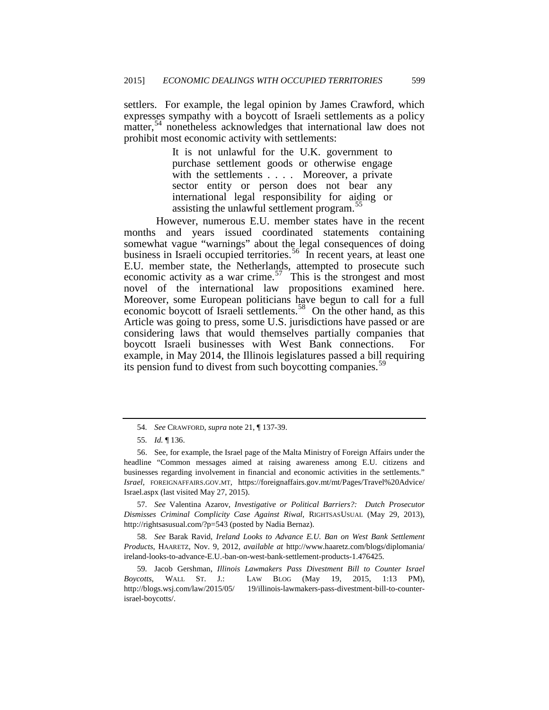settlers. For example, the legal opinion by James Crawford, which expresses sympathy with a boycott of Israeli settlements as a policy matter,<sup>[54](#page-14-3)</sup> nonetheless acknowledges that international law does not prohibit most economic activity with settlements:

> It is not unlawful for the U.K. government to purchase settlement goods or otherwise engage with the settlements . . . . Moreover, a private sector entity or person does not bear any international legal responsibility for aiding or assisting the unlawful settlement program.<sup>5</sup>

However, numerous E.U. member states have in the recent months and years issued coordinated statements containing somewhat vague "warnings" about the legal consequences of doing business in Israeli occupied territories.<sup>56</sup> In recent years, at least one E.U. member state, the Netherlands, attempted to prosecute such economic activity as a war crime.<sup>[57](#page-15-2)</sup> This is the strongest and most novel of the international law propositions examined here. Moreover, some European politicians have begun to call for a full economic boycott of Israeli settlements.<sup>58</sup> On the other hand, as this Article was going to press, some U.S. jurisdictions have passed or are considering laws that would themselves partially companies that boycott Israeli businesses with West Bank connections. For example, in May 2014, the Illinois legislatures passed a bill requiring its pension fund to divest from such boycotting companies.<sup>39</sup>

<span id="page-15-2"></span>57*. See* Valentina Azarov, *Investigative or Political Barriers?: Dutch Prosecutor Dismisses Criminal Complicity Case Against Riwal*, RIGHTSASUSUAL (May 29, 2013), http://rightsasusual.com/?p=543 (posted by Nadia Bernaz).

<span id="page-15-3"></span>58*. See* Barak Ravid, *Ireland Looks to Advance E.U. Ban on West Bank Settlement Products*, HAARETZ, Nov. 9, 2012, *available at* http://www.haaretz.com/blogs/diplomania/ ireland-looks-to-advance-E.U.-ban-on-west-bank-settlement-products-1.476425.

<span id="page-15-4"></span>59*.* Jacob Gershman, *Illinois Lawmakers Pass Divestment Bill to Counter Israel Boycotts*, WALL ST. J.: LAW BLOG (May 19, 2015, 1:13 PM), http://blogs.wsj.com/law/2015/05/ 19/illinois-lawmakers-pass-divestment-bill-to-counterisrael-boycotts/.

<span id="page-15-5"></span><sup>54</sup>*. See* CRAWFORD, *supra* note 21, ¶ 137-39.

<sup>55</sup>*. Id.* ¶ 136.

<span id="page-15-1"></span><span id="page-15-0"></span><sup>56.</sup> See, for example, the Israel page of the Malta Ministry of Foreign Affairs under the headline "Common messages aimed at raising awareness among E.U. citizens and businesses regarding involvement in financial and economic activities in the settlements." *Israel*, FOREIGNAFFAIRS.GOV.MT, https://foreignaffairs.gov.mt/mt/Pages/Travel%20Advice/ Israel.aspx (last visited May 27, 2015).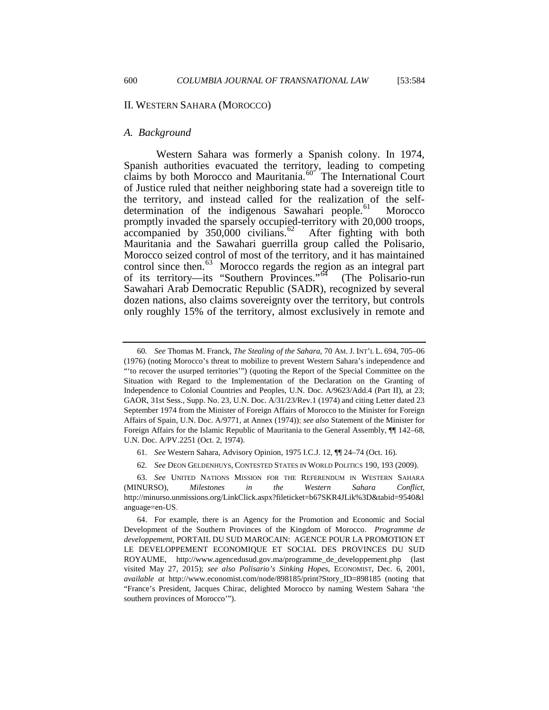### II. WESTERN SAHARA (MOROCCO)

## *A. Background*

Western Sahara was formerly a Spanish colony. In 1974, Spanish authorities evacuated the territory, leading to competing claims by both Morocco and Mauritania.<sup>[60](#page-15-5)</sup> The International Court of Justice ruled that neither neighboring state had a sovereign title to the territory, and instead called for the realization of the self-determination of the indigenous Sawahari people.<sup>[61](#page-16-0)</sup> Morocco promptly invaded the sparsely occupied-territory with 20,000 troops,  $\alpha$  accompanied by 350,000 civilians. $\frac{62}{2}$  After fighting with both Mauritania and the Sawahari guerrilla group called the Polisario, Morocco seized control of most of the territory, and it has maintained control since then.<sup>[63](#page-16-2)</sup> Morocco regards the region as an integral part of its territory—its "Southern Provinces."[64](#page-16-3) (The Polisario-run Sawahari Arab Democratic Republic (SADR), recognized by several dozen nations, also claims sovereignty over the territory, but controls only roughly 15% of the territory, almost exclusively in remote and

62*. See* DEON GELDENHUYS, CONTESTED STATES IN WORLD POLITICS 190, 193 (2009).

<span id="page-16-4"></span><sup>60</sup>*. See* Thomas M. Franck, *The Stealing of the Sahara*, 70 AM. J. INT'L L. 694, 705–06 (1976) (noting Morocco's threat to mobilize to prevent Western Sahara's independence and "'to recover the usurped territories'") (quoting the Report of the Special Committee on the Situation with Regard to the Implementation of the Declaration on the Granting of Independence to Colonial Countries and Peoples, U.N. Doc. A/9623/Add.4 (Part II), at 23; GAOR, 31st Sess., Supp. No. 23, U.N. Doc. A/31/23/Rev.1 (1974) and citing Letter dated 23 September 1974 from the Minister of Foreign Affairs of Morocco to the Minister for Foreign Affairs of Spain, U.N. Doc. A/9771, at Annex (1974)); *see also* Statement of the Minister for Foreign Affairs for the Islamic Republic of Mauritania to the General Assembly, ¶¶ 142–68, U.N. Doc. A/PV.2251 (Oct. 2, 1974).

<sup>61</sup>*. See* Western Sahara, Advisory Opinion, 1975 I.C.J. 12, ¶¶ 24–74 (Oct. 16).

<span id="page-16-2"></span><span id="page-16-1"></span><span id="page-16-0"></span><sup>63</sup>*. See* UNITED NATIONS MISSION FOR THE REFERENDUM IN WESTERN SAHARA (MINURSO), *Milestones in the Western Sahara Conflict*, http://minurso.unmissions.org/LinkClick.aspx?fileticket=b67SKR4JLik%3D&tabid=9540&l anguage=en-US.

<span id="page-16-3"></span><sup>64.</sup> For example, there is an Agency for the Promotion and Economic and Social Development of the Southern Provinces of the Kingdom of Morocco. *Programme de developpement*, PORTAIL DU SUD MAROCAIN: AGENCE POUR LA PROMOTION ET LE DEVELOPPEMENT ECONOMIQUE ET SOCIAL DES PROVINCES DU SUD ROYAUME, http://www.agencedusud.gov.ma/programme\_de\_developpement.php (last visited May 27, 2015); *see also Polisario's Sinking Hopes*, ECONOMIST, Dec. 6, 2001, *available at* http://www.economist.com/node/898185/print?Story\_ID=898185 (noting that "France's President, Jacques Chirac, delighted Morocco by naming Western Sahara 'the southern provinces of Morocco'").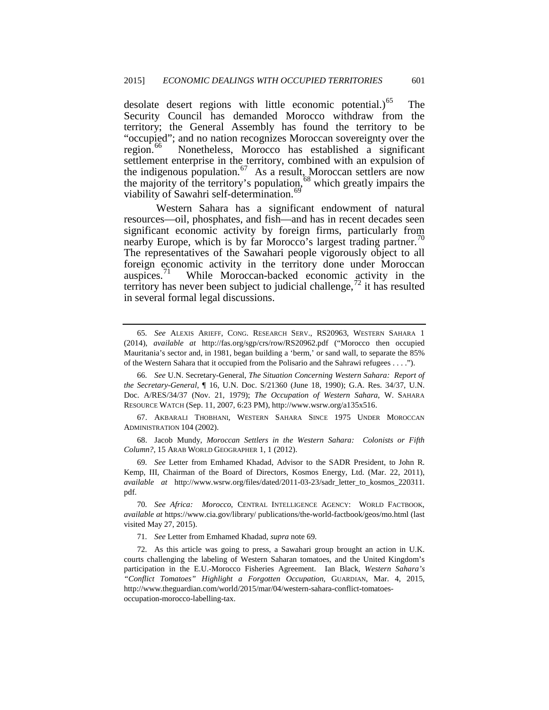desolate desert regions with little economic potential.) $<sup>65</sup>$  The</sup> Security Council has demanded Morocco withdraw from the territory; the General Assembly has found the territory to be "occupied"; and no nation recognizes Moroccan sovereignty over the region.<sup>66</sup> Nonetheless, Morocco has established a significant settlement enterprise in the territory, combined with an expulsion of the indigenous population.<sup>[67](#page-17-1)</sup> As a result, Moroccan settlers are now the majority of the territory's population,<sup>[68](#page-17-2)</sup> which greatly impairs the viability of Sawahri self-determination.<sup>[69](#page-17-3)</sup>

Western Sahara has a significant endowment of natural resources—oil, phosphates, and fish—and has in recent decades seen significant economic activity by foreign firms, particularly from nearby Europe, which is by far Morocco's largest trading partner.<sup>70</sup> The representatives of the Sawahari people vigorously object to all foreign economic activity in the territory done under Moroccan auspices.<sup>71</sup> While Moroccan-backed economic activity in the While Moroccan-backed economic activity in the territory has never been subject to judicial challenge,  $\frac{1}{2}$  it has resulted in several formal legal discussions.

<span id="page-17-7"></span><span id="page-17-2"></span>68. Jacob Mundy, *Moroccan Settlers in the Western Sahara: Colonists or Fifth Column?*, 15 ARAB WORLD GEOGRAPHER 1, 1 (2012).

<span id="page-17-3"></span>69*. See* Letter from Emhamed Khadad, Advisor to the SADR President, to John R. Kemp, III, Chairman of the Board of Directors, Kosmos Energy, Ltd. (Mar. 22, 2011), *available at* http://www.wsrw.org/files/dated/2011-03-23/sadr\_letter\_to\_kosmos\_220311. pdf.

71*. See* Letter from Emhamed Khadad, *supra* note 69.

<span id="page-17-6"></span><span id="page-17-5"></span>72*.* As this article was going to press, a Sawahari group brought an action in U.K. courts challenging the labeling of Western Saharan tomatoes, and the United Kingdom's participation in the E.U.-Morocco Fisheries Agreement. Ian Black, *Western Sahara's "Conflict Tomatoes" Highlight a Forgotten Occupation*, GUARDIAN, Mar. 4, 2015, http://www.theguardian.com/world/2015/mar/04/western-sahara-conflict-tomatoesoccupation-morocco-labelling-tax.

<sup>65</sup>*. See* ALEXIS ARIEFF, CONG. RESEARCH SERV., RS20963, WESTERN SAHARA 1 (2014), *available at* http://fas.org/sgp/crs/row/RS20962.pdf ("Morocco then occupied Mauritania's sector and, in 1981, began building a 'berm,' or sand wall, to separate the 85% of the Western Sahara that it occupied from the Polisario and the Sahrawi refugees . . . .").

<span id="page-17-0"></span><sup>66</sup>*. See* U.N. Secretary-General, *The Situation Concerning Western Sahara: Report of the Secretary-General*, ¶ 16, U.N. Doc. S/21360 (June 18, 1990); G.A. Res. 34/37, U.N. Doc. A/RES/34/37 (Nov. 21, 1979); *The Occupation of Western Sahara*, W. SAHARA RESOURCE WATCH (Sep. 11, 2007, 6:23 PM), http://www.wsrw.org/a135x516.

<span id="page-17-1"></span><sup>67.</sup> AKBARALI THOBHANI, WESTERN SAHARA SINCE 1975 UNDER MOROCCAN ADMINISTRATION 104 (2002).

<span id="page-17-4"></span><sup>70</sup>*. See Africa: Morocco*, CENTRAL INTELLIGENCE AGENCY: WORLD FACTBOOK, *available at* https://www.cia.gov/library/ publications/the-world-factbook/geos/mo.html (last visited May 27, 2015).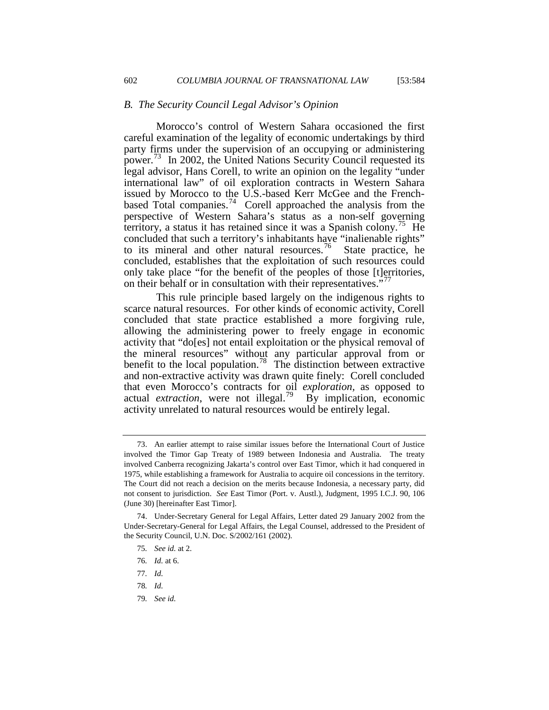## *B. The Security Council Legal Advisor's Opinion*

Morocco's control of Western Sahara occasioned the first careful examination of the legality of economic undertakings by third party firms under the supervision of an occupying or administering power.[73](#page-17-7) In 2002, the United Nations Security Council requested its legal advisor, Hans Corell, to write an opinion on the legality "under international law" of oil exploration contracts in Western Sahara issued by Morocco to the U.S.-based Kerr McGee and the Frenchbased Total companies.<sup>74</sup> Corell approached the analysis from the perspective of Western Sahara's status as a non-self governing territory, a status it has retained since it was a Spanish colony.<sup>75</sup> He concluded that such a territory's inhabitants have "inalienable rights" to its mineral and other natural resources.<sup>76</sup> State practice, he concluded, establishes that the exploitation of such resources could only take place "for the benefit of the peoples of those [t]erritories, on their behalf or in consultation with their representatives."

This rule principle based largely on the indigenous rights to scarce natural resources. For other kinds of economic activity, Corell concluded that state practice established a more forgiving rule, allowing the administering power to freely engage in economic activity that "do[es] not entail exploitation or the physical removal of the mineral resources" without any particular approval from or benefit to the local population.<sup>78</sup> The distinction between extractive and non-extractive activity was drawn quite finely: Corell concluded that even Morocco's contracts for oil *exploration,* as opposed to actual *extraction*, were not illegal.<sup>[79](#page-18-5)</sup> By implication, economic activity unrelated to natural resources would be entirely legal.

<span id="page-18-6"></span><sup>73.</sup> An earlier attempt to raise similar issues before the International Court of Justice involved the Timor Gap Treaty of 1989 between Indonesia and Australia. The treaty involved Canberra recognizing Jakarta's control over East Timor, which it had conquered in 1975, while establishing a framework for Australia to acquire oil concessions in the territory. The Court did not reach a decision on the merits because Indonesia, a necessary party, did not consent to jurisdiction. *See* East Timor (Port. v. Austl.), Judgment, 1995 I.C.J. 90, 106 (June 30) [hereinafter East Timor].

<span id="page-18-3"></span><span id="page-18-2"></span><span id="page-18-1"></span><span id="page-18-0"></span><sup>74.</sup> Under-Secretary General for Legal Affairs, Letter dated 29 January 2002 from the Under-Secretary-General for Legal Affairs, the Legal Counsel, addressed to the President of the Security Council, U.N. Doc. S/2002/161 (2002).

<sup>75</sup>*. See id.* at 2.

<sup>76</sup>*. Id.* at 6.

<sup>77</sup>*. Id.*

<span id="page-18-5"></span><span id="page-18-4"></span><sup>78</sup>*. Id.*

<sup>79</sup>*. See id.*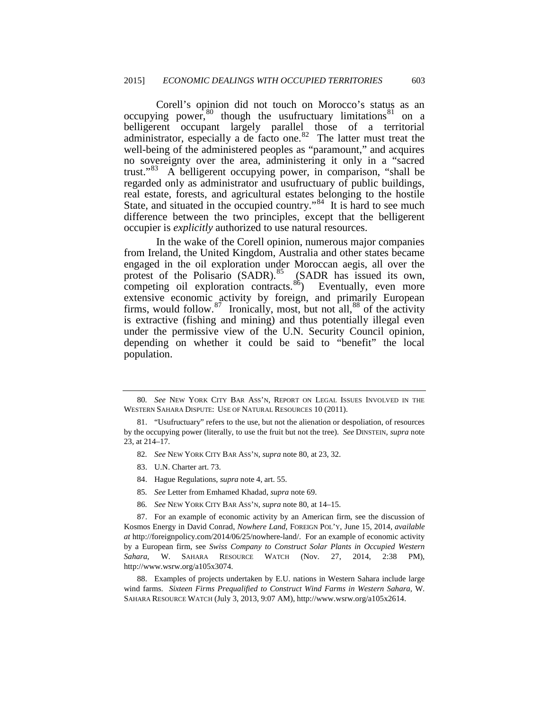Corell's opinion did not touch on Morocco's status as an occupying power, $80$  though the usufructuary limitations  $81$  on a belligerent occupant largely parallel those of a territorial administrator, especially a de facto one. $82$  The latter must treat the well-being of the administered peoples as "paramount," and acquires no sovereignty over the area, administering it only in a "sacred trust."[83](#page-19-2) A belligerent occupying power, in comparison, "shall be regarded only as administrator and usufructuary of public buildings, real estate, forests, and agricultural estates belonging to the hostile State, and situated in the occupied country."<sup>84</sup> It is hard to see much difference between the two principles, except that the belligerent occupier is *explicitly* authorized to use natural resources.

In the wake of the Corell opinion, numerous major companies from Ireland, the United Kingdom, Australia and other states became engaged in the oil exploration under Moroccan aegis, all over the protest of the Polisario  $(SADR)$ .<sup>85</sup> (SADR has issued its own, competing oil exploration contracts.<sup>[86](#page-19-5)</sup> $)$  Eventually, even more extensive economic activity by foreign, and primarily European firms, would follow. $87$  Ironically, most, but not all,  $88$  of the activity is extractive (fishing and mining) and thus potentially illegal even under the permissive view of the U.N. Security Council opinion, depending on whether it could be said to "benefit" the local population.

- 82*. See* NEW YORK CITY BAR ASS'N, *supra* note 80, at 23, 32.
- 83. U.N. Charter art. 73.
- 84. Hague Regulations, *supra* note 4, art. 55.
- 85*. See* Letter from Emhamed Khadad, *supra* note 69.
- 86*. See* NEW YORK CITY BAR ASS'N, *supra* note 80, at 14–15.

<span id="page-19-6"></span><span id="page-19-5"></span><span id="page-19-4"></span><span id="page-19-3"></span>87. For an example of economic activity by an American firm, see the discussion of Kosmos Energy in David Conrad, *Nowhere Land*, FOREIGN POL'Y, June 15, 2014, *available at* http://foreignpolicy.com/2014/06/25/nowhere-land/. For an example of economic activity by a European firm, see *Swiss Company to Construct Solar Plants in Occupied Western Sahara*, W. SAHARA RESOURCE WATCH (Nov. 27, 2014, 2:38 PM), http://www.wsrw.org/a105x3074.

<span id="page-19-7"></span>88. Examples of projects undertaken by E.U. nations in Western Sahara include large wind farms. *Sixteen Firms Prequalified to Construct Wind Farms in Western Sahara*, W. SAHARA RESOURCE WATCH (July 3, 2013, 9:07 AM), http://www.wsrw.org/a105x2614.

<span id="page-19-8"></span><sup>80</sup>*. See* NEW YORK CITY BAR ASS'N, REPORT ON LEGAL ISSUES INVOLVED IN THE WESTERN SAHARA DISPUTE: USE OF NATURAL RESOURCES 10 (2011).

<span id="page-19-2"></span><span id="page-19-1"></span><span id="page-19-0"></span><sup>81. &</sup>quot;Usufructuary" refers to the use, but not the alienation or despoliation, of resources by the occupying power (literally, to use the fruit but not the tree). *See* DINSTEIN, *supra* note 23, at 214–17.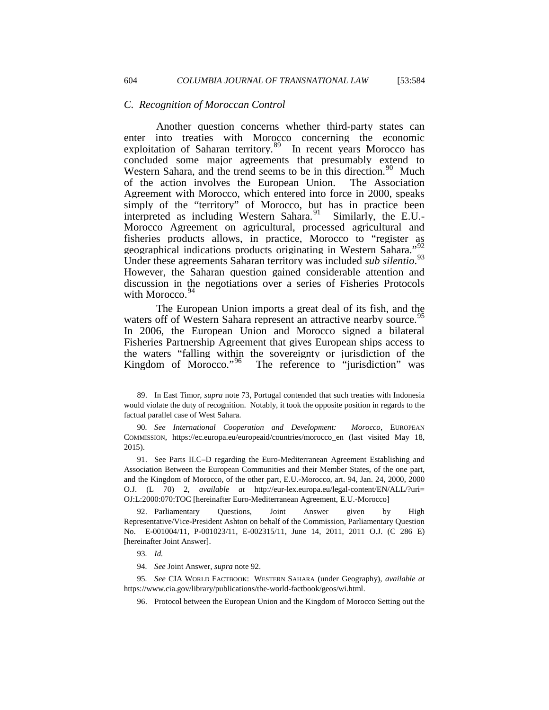## *C. Recognition of Moroccan Control*

Another question concerns whether third-party states can enter into treaties with Morocco concerning the economic exploitation of Saharan territory. $89$  In recent years Morocco has concluded some major agreements that presumably extend to Western Sahara, and the trend seems to be in this direction.<sup>90</sup> Much of the action involves the European Union. The Association Agreement with Morocco, which entered into force in 2000, speaks simply of the "territory" of Morocco, but has in practice been interpreted as including Western Sahara. $91$  Similarly, the E.U.-Morocco Agreement on agricultural, processed agricultural and fisheries products allows, in practice, Morocco to "register as geographical indications products originating in Western Sahara."[92](#page-20-2)  Under these agreements Saharan territory was included *sub silentio*. [93](#page-20-3)  However, the Saharan question gained considerable attention and discussion in the negotiations over a series of Fisheries Protocols with Morocco.<sup>5</sup>

<span id="page-20-7"></span>The European Union imports a great deal of its fish, and the waters off of Western Sahara represent an attractive nearby source.<sup>95</sup> In 2006, the European Union and Morocco signed a bilateral Fisheries Partnership Agreement that gives European ships access to the waters "falling within the sovereignty or jurisdiction of the Kingdom of Morocco."<sup>96</sup> The reference to "jurisdiction" was The reference to "jurisdiction" was

<span id="page-20-2"></span>92. Parliamentary Questions, Joint Answer given by High Representative/Vice-President Ashton on behalf of the Commission, Parliamentary Question No. E-001004/11, P-001023/11, E-002315/11, June 14, 2011, 2011 O.J. (C 286 E) [hereinafter Joint Answer].

93*. Id.*

94*. See* Joint Answer, *supra* note 92.

<span id="page-20-6"></span><span id="page-20-5"></span><span id="page-20-4"></span><span id="page-20-3"></span>95*. See* CIA WORLD FACTBOOK: WESTERN SAHARA (under Geography), *available at* https://www.cia.gov/library/publications/the-world-factbook/geos/wi.html.

96. Protocol between the European Union and the Kingdom of Morocco Setting out the

<sup>89.</sup> In East Timor, *supra* note 73, Portugal contended that such treaties with Indonesia would violate the duty of recognition. Notably, it took the opposite position in regards to the factual parallel case of West Sahara.

<span id="page-20-0"></span><sup>90</sup>*. See International Cooperation and Development: Morocco*, EUROPEAN COMMISSION, https://ec.europa.eu/europeaid/countries/morocco\_en (last visited May 18, 2015).

<span id="page-20-1"></span><sup>91.</sup> See Parts II.C–D regarding the Euro-Mediterranean Agreement Establishing and Association Between the European Communities and their Member States, of the one part, and the Kingdom of Morocco, of the other part, E.U.-Morocco, art. 94, Jan. 24, 2000, 2000 O.J. (L 70) 2, *available at* http://eur-lex.europa.eu/legal-content/EN/ALL/?uri= OJ:L:2000:070:TOC [hereinafter Euro-Mediterranean Agreement, E.U.-Morocco]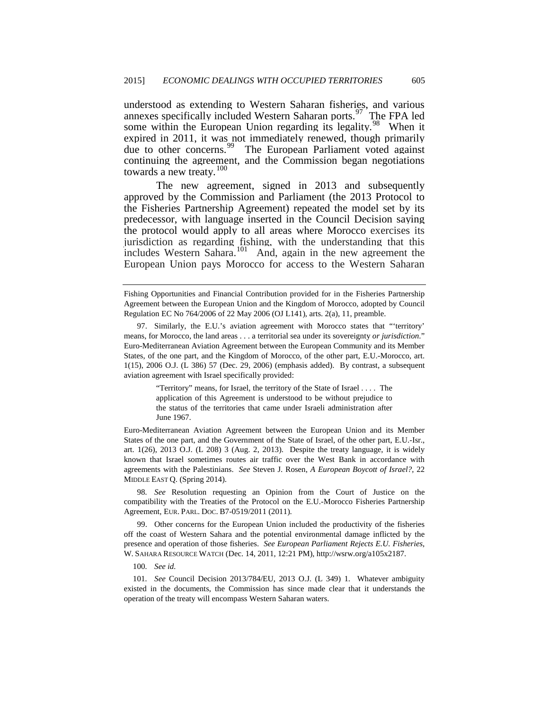understood as extending to Western Saharan fisheries, and various annexes specifically included Western Saharan ports.<sup>97</sup> The FPA led some within the European Union regarding its legality.<sup>98</sup> When it expired in 2011, it was not immediately renewed, though primarily due to other concerns.<sup>99</sup> The European Parliament voted against The European Parliament voted against continuing the agreement, and the Commission began negotiations towards a new treaty.<sup>[100](#page-21-2)</sup>

The new agreement, signed in 2013 and subsequently approved by the Commission and Parliament (the 2013 Protocol to the Fisheries Partnership Agreement) repeated the model set by its predecessor, with language inserted in the Council Decision saying the protocol would apply to all areas where Morocco exercises its jurisdiction as regarding fishing, with the understanding that this includes Western Sahara.<sup>[101](#page-21-3)</sup> And, again in the new agreement the European Union pays Morocco for access to the Western Saharan

"Territory" means, for Israel, the territory of the State of Israel . . . . The application of this Agreement is understood to be without prejudice to the status of the territories that came under Israeli administration after June 1967.

Euro-Mediterranean Aviation Agreement between the European Union and its Member States of the one part, and the Government of the State of Israel, of the other part, E.U.-Isr., art. 1(26), 2013 O.J. (L 208) 3 (Aug. 2, 2013). Despite the treaty language, it is widely known that Israel sometimes routes air traffic over the West Bank in accordance with agreements with the Palestinians. *See* Steven J. Rosen, *A European Boycott of Israel?*, 22 MIDDLE EAST Q. (Spring 2014).

<span id="page-21-0"></span>98*. See* Resolution requesting an Opinion from the Court of Justice on the compatibility with the Treaties of the Protocol on the E.U.-Morocco Fisheries Partnership Agreement, EUR. PARL. DOC. B7-0519/2011 (2011).

<span id="page-21-1"></span>99. Other concerns for the European Union included the productivity of the fisheries off the coast of Western Sahara and the potential environmental damage inflicted by the presence and operation of those fisheries. *See European Parliament Rejects E.U. Fisheries*, W. SAHARA RESOURCE WATCH (Dec. 14, 2011, 12:21 PM), http://wsrw.org/a105x2187.

100*. See id.*

<span id="page-21-3"></span><span id="page-21-2"></span>101*. See* Council Decision 2013/784/EU, 2013 O.J. (L 349) 1. Whatever ambiguity existed in the documents, the Commission has since made clear that it understands the operation of the treaty will encompass Western Saharan waters.

<span id="page-21-4"></span>Fishing Opportunities and Financial Contribution provided for in the Fisheries Partnership Agreement between the European Union and the Kingdom of Morocco, adopted by Council Regulation EC No 764/2006 of 22 May 2006 (OJ L141), arts. 2(a), 11, preamble.

<sup>97.</sup> Similarly, the E.U.'s aviation agreement with Morocco states that "'territory' means, for Morocco, the land areas . . . a territorial sea under its sovereignty *or jurisdiction*." Euro-Mediterranean Aviation Agreement between the European Community and its Member States, of the one part, and the Kingdom of Morocco, of the other part, E.U.-Morocco, art. 1(15), 2006 O.J. (L 386) 57 (Dec. 29, 2006) (emphasis added). By contrast, a subsequent aviation agreement with Israel specifically provided: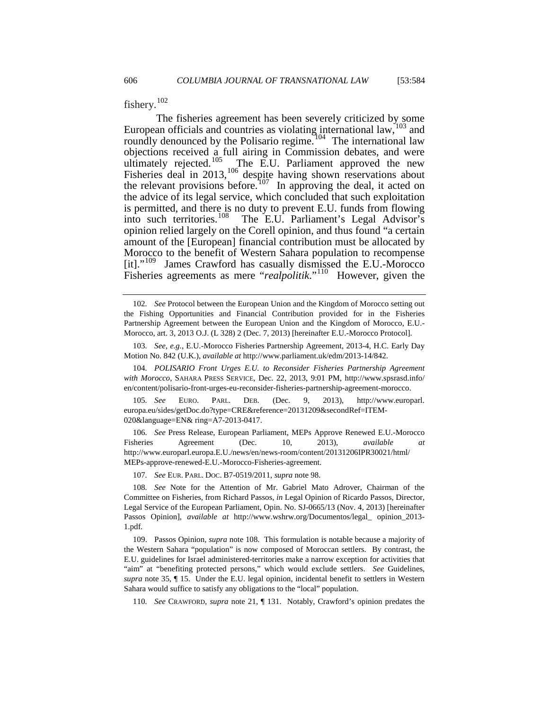fishery.<sup>[102](#page-21-4)</sup>

The fisheries agreement has been severely criticized by some European officials and countries as violating international  $law$ ,  $\frac{103}{2}$  $\frac{103}{2}$  $\frac{103}{2}$  and roundly denounced by the Polisario regime.<sup>[104](#page-22-1)</sup> The international law objections received a full airing in Commission debates, and were ultimately rejected.<sup>105</sup>  $\alpha$ The E.U. Parliament approved the new The E.U. Parliament approved the new Fisheries deal in 2013,<sup>[106](#page-22-3)</sup> despite having shown reservations about the relevant provisions before.<sup>[107](#page-22-4)</sup> In approving the deal, it acted on the advice of its legal service, which concluded that such exploitation is permitted, and there is no duty to prevent E.U. funds from flowing<br>into such territories.<sup>108</sup> The E.U. Parliament's Legal Advisor's The E.U. Parliament's Legal Advisor's opinion relied largely on the Corell opinion, and thus found "a certain amount of the [European] financial contribution must be allocated by Morocco to the benefit of Western Sahara population to recompense [it]."[109](#page-22-6) James Crawford has casually dismissed the E.U.-Morocco Fisheries agreements as mere "*realpolitik*."[110](#page-22-7) However, given the

<span id="page-22-0"></span>103*. See, e.g.*, E.U.-Morocco Fisheries Partnership Agreement, 2013-4, H.C. Early Day Motion No. 842 (U.K.), *available at* http://www.parliament.uk/edm/2013-14/842.

<span id="page-22-1"></span>104*. POLISARIO Front Urges E.U. to Reconsider Fisheries Partnership Agreement with Morocco*, SAHARA PRESS SERVICE, Dec. 22, 2013, 9:01 PM, http://www.spsrasd.info/ en/content/polisario-front-urges-eu-reconsider-fisheries-partnership-agreement-morocco.

<span id="page-22-2"></span>105*. See* EURO. PARL. DEB. (Dec. 9, 2013), http://www.europarl. europa.eu/sides/getDoc.do?type=CRE&reference=20131209&secondRef=ITEM-020&language=EN& ring=A7-2013-0417.

<span id="page-22-8"></span><span id="page-22-3"></span>106*. See* Press Release, European Parliament, MEPs Approve Renewed E.U.-Morocco Fisheries Agreement (Dec. 10, 2013), *available at* http://www.europarl.europa.E.U./news/en/news-room/content/20131206IPR30021/html/ MEPs-approve-renewed-E.U.-Morocco-Fisheries-agreement.

107*. See* EUR. PARL. DOC. B7-0519/2011, *supra* note 98.

<span id="page-22-7"></span>110*. See* CRAWFORD, *supra* note 21, ¶ 131. Notably, Crawford's opinion predates the

<sup>102</sup>*. See* Protocol between the European Union and the Kingdom of Morocco setting out the Fishing Opportunities and Financial Contribution provided for in the Fisheries Partnership Agreement between the European Union and the Kingdom of Morocco, E.U.- Morocco, art. 3, 2013 O.J. (L 328) 2 (Dec. 7, 2013) [hereinafter E.U.-Morocco Protocol].

<span id="page-22-5"></span><span id="page-22-4"></span><sup>108</sup>*. See* Note for the Attention of Mr. Gabriel Mato Adrover, Chairman of the Committee on Fisheries, from Richard Passos, *in* Legal Opinion of Ricardo Passos, Director, Legal Service of the European Parliament, Opin. No. SJ-0665/13 (Nov. 4, 2013) [hereinafter Passos Opinion], *available at* http://www.wshrw.org/Documentos/legal\_ opinion\_2013- 1.pdf.

<span id="page-22-6"></span><sup>109.</sup> Passos Opinion, *supra* note 108. This formulation is notable because a majority of the Western Sahara "population" is now composed of Moroccan settlers. By contrast, the E.U. guidelines for Israel administered-territories make a narrow exception for activities that "aim" at "benefiting protected persons," which would exclude settlers. *See* Guidelines, *supra* note 35, ¶ 15. Under the E.U. legal opinion, incidental benefit to settlers in Western Sahara would suffice to satisfy any obligations to the "local" population.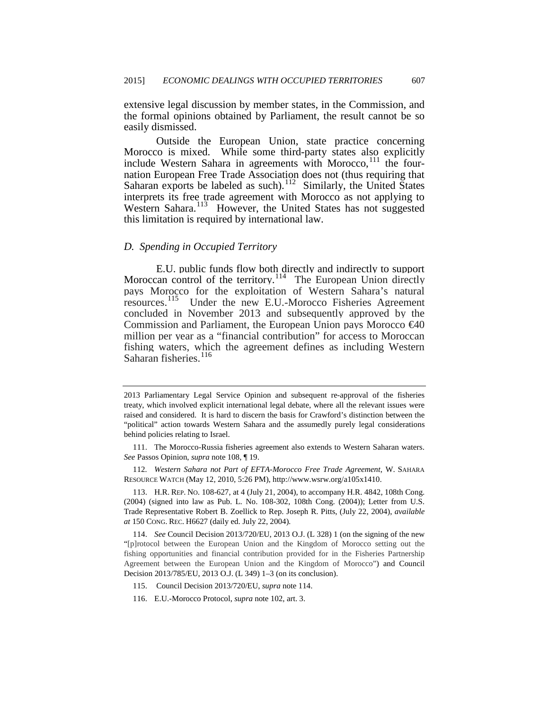extensive legal discussion by member states, in the Commission, and the formal opinions obtained by Parliament, the result cannot be so easily dismissed.

Outside the European Union, state practice concerning Morocco is mixed. While some third-party states also explicitly include Western Sahara in agreements with Morocco,<sup>[111](#page-22-8)</sup> the fournation European Free Trade Association does not (thus requiring that Saharan exports be labeled as such).<sup>[112](#page-23-0)</sup> Similarly, the United States interprets its free trade agreement with Morocco as not applying to Western Sahara.<sup>113</sup> However, the United States has not suggested this limitation is required by international law.

## *D. Spending in Occupied Territory*

E.U. public funds flow both directly and indirectly to support Moroccan control of the territory.<sup>[114](#page-23-2)</sup> The European Union directly pays Morocco for the exploitation of Western Sahara's natural resources.<sup>115</sup> Under the new E.U.-Morocco Fisheries Agreement Under the new E.U.-Morocco Fisheries Agreement concluded in November 2013 and subsequently approved by the Commission and Parliament, the European Union pays Morocco €40 million per year as a "financial contribution" for access to Moroccan fishing waters, which the agreement defines as including Western Saharan fisheries.<sup>[116](#page-23-4)</sup>

<span id="page-23-5"></span><span id="page-23-0"></span>112*. Western Sahara not Part of EFTA-Morocco Free Trade Agreement*, W. SAHARA RESOURCE WATCH (May 12, 2010, 5:26 PM), http://www.wsrw.org/a105x1410.

<span id="page-23-1"></span>113. H.R. REP. NO. 108-627, at 4 (July 21, 2004), to accompany H.R. 4842, 108th Cong. (2004) (signed into law as Pub. L. No. 108-302, 108th Cong. (2004)); Letter from U.S. Trade Representative Robert B. Zoellick to Rep. Joseph R. Pitts, (July 22, 2004), *available at* 150 CONG. REC. H6627 (daily ed. July 22, 2004).

<span id="page-23-2"></span>114. *See* Council Decision 2013/720/EU, 2013 O.J. (L 328) 1 (on the signing of the new "[p]rotocol between the European Union and the Kingdom of Morocco setting out the fishing opportunities and financial contribution provided for in the Fisheries Partnership Agreement between the European Union and the Kingdom of Morocco") and Council Decision 2013/785/EU, 2013 O.J. (L 349) 1–3 (on its conclusion).

<sup>2013</sup> Parliamentary Legal Service Opinion and subsequent re-approval of the fisheries treaty, which involved explicit international legal debate, where all the relevant issues were raised and considered. It is hard to discern the basis for Crawford's distinction between the "political" action towards Western Sahara and the assumedly purely legal considerations behind policies relating to Israel.

<sup>111.</sup> The Morocco-Russia fisheries agreement also extends to Western Saharan waters. *See* Passos Opinion, *supra* note 108, ¶ 19.

<span id="page-23-4"></span><span id="page-23-3"></span><sup>115.</sup> Council Decision 2013/720/EU, *supra* note 114.

<sup>116.</sup> E.U.-Morocco Protocol, *supra* note 102, art. 3.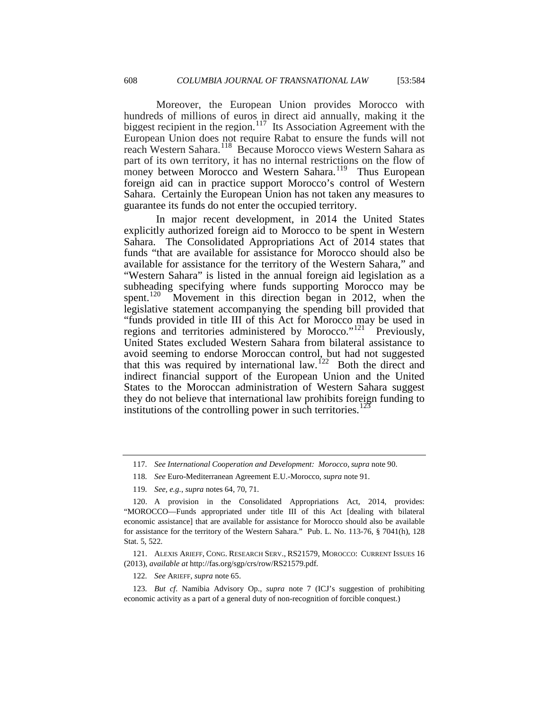Moreover, the European Union provides Morocco with hundreds of millions of euros in direct aid annually, making it the biggest recipient in the region.<sup>117</sup> Its Association Agreement with the European Union does not require Rabat to ensure the funds will not reach Western Sahara.<sup>118</sup> Because Morocco views Western Sahara as part of its own territory, it has no internal restrictions on the flow of money between Morocco and Western Sahara.<sup>[119](#page-24-1)</sup> Thus European foreign aid can in practice support Morocco's control of Western Sahara. Certainly the European Union has not taken any measures to guarantee its funds do not enter the occupied territory.

In major recent development, in 2014 the United States explicitly authorized foreign aid to Morocco to be spent in Western Sahara. The Consolidated Appropriations Act of 2014 states that funds "that are available for assistance for Morocco should also be available for assistance for the territory of the Western Sahara," and "Western Sahara" is listed in the annual foreign aid legislation as a subheading specifying where funds supporting Morocco may be spent.<sup>[120](#page-24-2)</sup> Movement in this direction began in 2012, when the legislative statement accompanying the spending bill provided that "funds provided in title III of this Act for Morocco may be used in regions and territories administered by Morocco." $121$  Previously, United States excluded Western Sahara from bilateral assistance to avoid seeming to endorse Moroccan control, but had not suggested that this was required by international law.<sup>[122](#page-24-4)</sup> Both the direct and indirect financial support of the European Union and the United States to the Moroccan administration of Western Sahara suggest they do not believe that international law prohibits foreign funding to institutions of the controlling power in such territories.<sup>[123](#page-24-5)</sup>

<span id="page-24-6"></span><sup>117</sup>*. See International Cooperation and Development: Morocco*, *supra* note 90.

<sup>118</sup>*. See* Euro-Mediterranean Agreement E.U.-Morocco, *supra* note 91.

<sup>119</sup>*. See, e.g.*, *supra* notes 64, 70, 71.

<span id="page-24-2"></span><span id="page-24-1"></span><span id="page-24-0"></span><sup>120.</sup> A provision in the Consolidated Appropriations Act, 2014, provides: "MOROCCO—Funds appropriated under title III of this Act [dealing with bilateral economic assistance] that are available for assistance for Morocco should also be available for assistance for the territory of the Western Sahara." Pub. L. No. 113-76, § 7041(h), 128 Stat. 5, 522.

<span id="page-24-3"></span><sup>121.</sup> ALEXIS ARIEFF, CONG. RESEARCH SERV., RS21579, MOROCCO: CURRENT ISSUES 16 (2013), *available at* http://fas.org/sgp/crs/row/RS21579.pdf.

<sup>122</sup>*. See* ARIEFF, *supra* note 65.

<span id="page-24-5"></span><span id="page-24-4"></span><sup>123</sup>*. But cf*. Namibia Advisory Op., *supra* note 7 (ICJ's suggestion of prohibiting economic activity as a part of a general duty of non-recognition of forcible conquest.)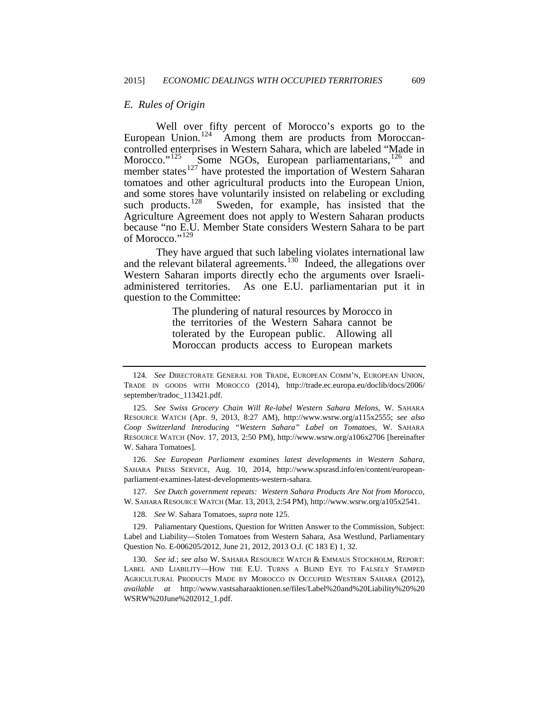## *E. Rules of Origin*

Well over fifty percent of Morocco's exports go to the European Union.<sup>124</sup> Among them are products from Moroccancontrolled enterprises in Western Sahara, which are labeled "Made in Morocco." $125 \int_{0}^{125}$  $125 \int_{0}^{125}$  Some NGOs, European parliamentarians,  $126$  and member states<sup>[127](#page-25-2)</sup> have protested the importation of Western Saharan tomatoes and other agricultural products into the European Union, and some stores have voluntarily insisted on relabeling or excluding such products.<sup>128</sup> Sweden, for example, has insisted that the Sweden, for example, has insisted that the Agriculture Agreement does not apply to Western Saharan products because "no E.U. Member State considers Western Sahara to be part of Morocco."<sup>[129](#page-25-4)</sup>

They have argued that such labeling violates international law and the relevant bilateral agreements.<sup>130</sup> Indeed, the allegations over Western Saharan imports directly echo the arguments over Israeliadministered territories. As one E.U. parliamentarian put it in question to the Committee:

> The plundering of natural resources by Morocco in the territories of the Western Sahara cannot be tolerated by the European public. Allowing all Moroccan products access to European markets

<span id="page-25-1"></span>126*. See European Parliament examines latest developments in Western Sahara,* SAHARA PRESS SERVICE, Aug. 10, 2014, http://www.spsrasd.info/en/content/europeanparliament-examines-latest-developments-western-sahara.

<span id="page-25-2"></span>127*. See Dutch government repeats: Western Sahara Products Are Not from Morocco*, W. SAHARA RESOURCE WATCH (Mar. 13, 2013, 2:54 PM), http://www.wsrw.org/a105x2541.

128*. See* W. Sahara Tomatoes, *supra* note 125.

<span id="page-25-4"></span><span id="page-25-3"></span>129. Paliamentary Questions, Question for Written Answer to the Commission, Subject: Label and Liability—Stolen Tomatoes from Western Sahara, Asa Westlund, Parliamentary Question No. E-006205/2012, June 21, 2012, 2013 O.J. (C 183 E) 1, 32.

<span id="page-25-5"></span>130*. See id.*; *see also* W. SAHARA RESOURCE WATCH & EMMAUS STOCKHOLM, REPORT: LABEL AND LIABILITY—HOW THE E.U. TURNS A BLIND EYE TO FALSELY STAMPED AGRICULTURAL PRODUCTS MADE BY MOROCCO IN OCCUPIED WESTERN SAHARA (2012), *available at* http://www.vastsaharaaktionen.se/files/Label%20and%20Liability%20%20 WSRW%20June%202012\_1.pdf.

<sup>124</sup>*. See* DIRECTORATE GENERAL FOR TRADE, EUROPEAN COMM'N, EUROPEAN UNION, TRADE IN GOODS WITH MOROCCO (2014), http://trade.ec.europa.eu/doclib/docs/2006/ september/tradoc\_113421.pdf.

<span id="page-25-6"></span><span id="page-25-0"></span><sup>125</sup>*. See Swiss Grocery Chain Will Re-label Western Sahara Melons*, W. SAHARA RESOURCE WATCH (Apr. 9, 2013, 8:27 AM), http://www.wsrw.org/a115x2555; *see also Coop Switzerland Introducing "Western Sahara" Label on Tomatoes*, W. SAHARA RESOURCE WATCH (Nov. 17, 2013, 2:50 PM), http://www.wsrw.org/a106x2706 [hereinafter W. Sahara Tomatoes].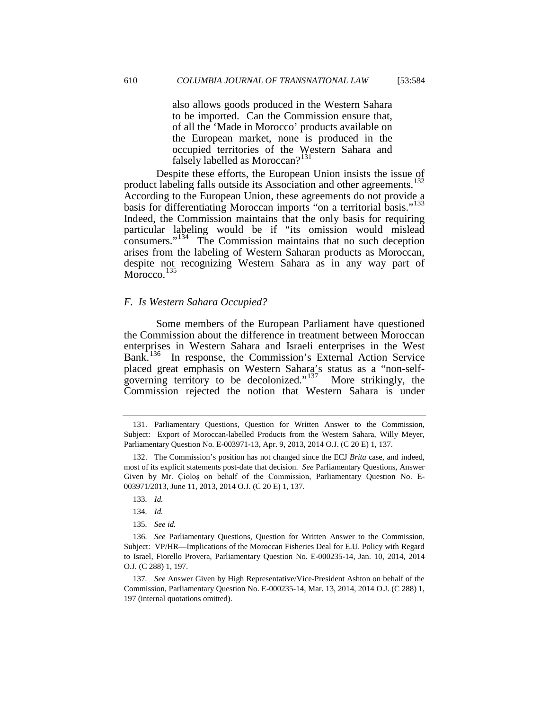also allows goods produced in the Western Sahara to be imported. Can the Commission ensure that, of all the 'Made in Morocco' products available on the European market, none is produced in the occupied territories of the Western Sahara and falsely labelled as Moroccan?<sup>[131](#page-25-6)</sup>

Despite these efforts, the European Union insists the issue of product labeling falls outside its Association and other agreements.<sup>132</sup> According to the European Union, these agreements do not provide a basis for differentiating Moroccan imports "on a territorial basis."<sup>133</sup> Indeed, the Commission maintains that the only basis for requiring particular labeling would be if "its omission would mislead consumers."[134](#page-26-2) The Commission maintains that no such deception arises from the labeling of Western Saharan products as Moroccan, despite not recognizing Western Sahara as in any way part of Morocco.<sup>[135](#page-26-3)</sup>

### *F. Is Western Sahara Occupied?*

Some members of the European Parliament have questioned the Commission about the difference in treatment between Moroccan enterprises in Western Sahara and Israeli enterprises in the West Bank.<sup>[136](#page-26-4)</sup> In response, the Commission's External Action Service placed great emphasis on Western Sahara's status as a "non-self-governing territory to be decolonized."<sup>[137](#page-26-5)</sup> More strikingly, the Commission rejected the notion that Western Sahara is under

<span id="page-26-6"></span><sup>131.</sup> Parliamentary Questions, Question for Written Answer to the Commission, Subject: Export of Moroccan-labelled Products from the Western Sahara, Willy Meyer, Parliamentary Question No. E-003971-13, Apr. 9, 2013, 2014 O.J. (C 20 E) 1, 137.

<span id="page-26-0"></span><sup>132.</sup> The Commission's position has not changed since the ECJ *Brita* case, and indeed, most of its explicit statements post-date that decision. *See* Parliamentary Questions, Answer Given by Mr. Çioloş on behalf of the Commission, Parliamentary Question No. E-003971/2013, June 11, 2013, 2014 O.J. (C 20 E) 1, 137.

<sup>133</sup>*. Id.*

<sup>134</sup>*. Id.*

<sup>135</sup>*. See id.*

<span id="page-26-4"></span><span id="page-26-3"></span><span id="page-26-2"></span><span id="page-26-1"></span><sup>136</sup>*. See* Parliamentary Questions, Question for Written Answer to the Commission, Subject: VP/HR—Implications of the Moroccan Fisheries Deal for E.U. Policy with Regard to Israel, Fiorello Provera, Parliamentary Question No. E-000235-14, Jan. 10, 2014, 2014 O.J. (C 288) 1, 197.

<span id="page-26-5"></span><sup>137</sup>*. See* Answer Given by High Representative/Vice-President Ashton on behalf of the Commission, Parliamentary Question No. E-000235-14, Mar. 13, 2014, 2014 O.J. (C 288) 1, 197 (internal quotations omitted).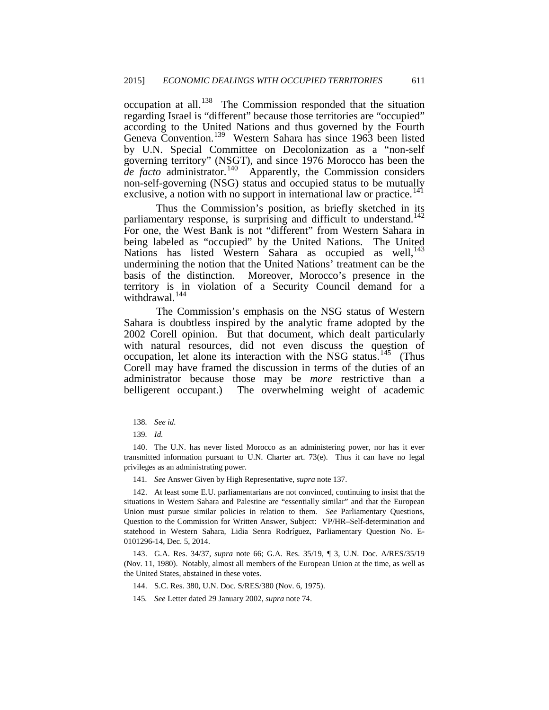occupation at all.[138](#page-26-6) The Commission responded that the situation regarding Israel is "different" because those territories are "occupied" according to the United Nations and thus governed by the Fourth Geneva Convention.<sup>[139](#page-27-0)</sup> Western Sahara has since 1963 been listed by U.N. Special Committee on Decolonization as a "non-self governing territory" (NSGT), and since 1976 Morocco has been the *de facto* administrator.[140](#page-27-1) Apparently, the Commission considers non-self-governing (NSG) status and occupied status to be mutually exclusive, a notion with no support in international law or practice.<sup>[141](#page-27-2)</sup>

Thus the Commission's position, as briefly sketched in its parliamentary response, is surprising and difficult to understand.<sup>142</sup> For one, the West Bank is not "different" from Western Sahara in being labeled as "occupied" by the United Nations. The United Nations has listed Western Sahara as occupied as well,<sup>[143](#page-27-4)</sup> undermining the notion that the United Nations' treatment can be the basis of the distinction. Moreover, Morocco's presence in the territory is in violation of a Security Council demand for a withdrawal.<sup>[144](#page-27-5)</sup>

<span id="page-27-7"></span>The Commission's emphasis on the NSG status of Western Sahara is doubtless inspired by the analytic frame adopted by the 2002 Corell opinion. But that document, which dealt particularly with natural resources, did not even discuss the question of occupation, let alone its interaction with the NSG status.<sup>[145](#page-27-6)</sup> (Thus Corell may have framed the discussion in terms of the duties of an administrator because those may be *more* restrictive than a belligerent occupant.) The overwhelming weight of academic

- 144. S.C. Res. 380, U.N. Doc. S/RES/380 (Nov. 6, 1975).
- 145*. See* Letter dated 29 January 2002, *supra* note 74.

<sup>138</sup>*. See id.*

<sup>139</sup>*. Id.*

<span id="page-27-1"></span><span id="page-27-0"></span><sup>140.</sup> The U.N. has never listed Morocco as an administering power, nor has it ever transmitted information pursuant to U.N. Charter art. 73(e). Thus it can have no legal privileges as an administrating power.

<sup>141</sup>*. See* Answer Given by High Representative, *supra* note 137.

<span id="page-27-3"></span><span id="page-27-2"></span><sup>142.</sup> At least some E.U. parliamentarians are not convinced, continuing to insist that the situations in Western Sahara and Palestine are "essentially similar" and that the European Union must pursue similar policies in relation to them. *See* Parliamentary Questions, Question to the Commission for Written Answer, Subject: VP/HR–Self-determination and statehood in Western Sahara, Lidia Senra Rodríguez, Parliamentary Question No. E-0101296-14, Dec. 5, 2014.

<span id="page-27-6"></span><span id="page-27-5"></span><span id="page-27-4"></span><sup>143.</sup> G.A. Res. 34/37, *supra* note 66; G.A. Res. 35/19, ¶ 3, U.N. Doc. A/RES/35/19 (Nov. 11, 1980). Notably, almost all members of the European Union at the time, as well as the United States, abstained in these votes.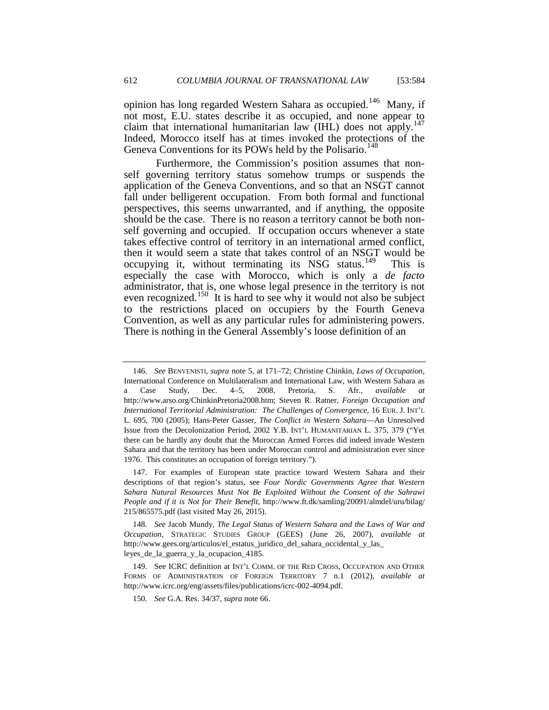opinion has long regarded Western Sahara as occupied.<sup>146</sup> Many, if not most, E.U. states describe it as occupied, and none appear to claim that international humanitarian law (IHL) does not apply.<sup>147</sup> Indeed, Morocco itself has at times invoked the protections of the Geneva Conventions for its POWs held by the Polisario.<sup>14</sup>

Furthermore, the Commission's position assumes that nonself governing territory status somehow trumps or suspends the application of the Geneva Conventions, and so that an NSGT cannot fall under belligerent occupation. From both formal and functional perspectives, this seems unwarranted, and if anything, the opposite should be the case. There is no reason a territory cannot be both nonself governing and occupied. If occupation occurs whenever a state takes effective control of territory in an international armed conflict, then it would seem a state that takes control of an NSGT would be occupying it, without terminating its NSG status.<sup>[149](#page-28-2)</sup> This is especially the case with Morocco, which is only a *de facto* administrator, that is, one whose legal presence in the territory is not even recognized.<sup>150</sup> It is hard to see why it would not also be subject to the restrictions placed on occupiers by the Fourth Geneva Convention, as well as any particular rules for administering powers. There is nothing in the General Assembly's loose definition of an

<sup>146</sup>*. See* BENVENISTI, *supra* note 5, at 171–72; Christine Chinkin, *Laws of Occupation*, International Conference on Multilateralism and International Law, with Western Sahara as a Case Study, Dec. 4–5, 2008, Pretoria, S. Afr., *available at* http://www.arso.org/ChinkinPretoria2008.htm; Steven R. Ratner, *Foreign Occupation and International Territorial Administration: The Challenges of Convergence,* 16 EUR. J. INT'L L. 695, 700 (2005); Hans-Peter Gasser, *The Conflict in Western Sahara*—An Unresolved Issue from the Decolonization Period, 2002 Y.B. INT'L HUMANITARIAN L. 375, 379 ("Yet there can be hardly any doubt that the Moroccan Armed Forces did indeed invade Western Sahara and that the territory has been under Moroccan control and administration ever since 1976. This constitutes an occupation of foreign territory.").

<span id="page-28-4"></span><span id="page-28-0"></span><sup>147.</sup> For examples of European state practice toward Western Sahara and their descriptions of that region's status, see *Four Nordic Governments Agree that Western Sahara Natural Resources Must Not Be Exploited Without the Consent of the Sahrawi People and if it is Not for Their Benefit*, http://www.ft.dk/samling/20091/almdel/uru/bilag/ 215/865575.pdf (last visited May 26, 2015).

<span id="page-28-1"></span><sup>148</sup>*. See* Jacob Mundy, *The Legal Status of Western Sahara and the Laws of War and Occupation*, STRATEGIC STUDIES GROUP (GEES) (June 26, 2007), *available at*  http://www.gees.org/articulos/el\_estatus\_juridico\_del\_sahara\_occidental\_y\_las\_ leyes\_de\_la\_guerra\_y\_la\_ocupacion\_4185.

<span id="page-28-3"></span><span id="page-28-2"></span><sup>149.</sup> See ICRC definition at INT'L COMM. OF THE RED CROSS, OCCUPATION AND OTHER FORMS OF ADMINISTRATION OF FOREIGN TERRITORY 7 n.1 (2012), *available at* http://www.icrc.org/eng/assets/files/publications/icrc-002-4094.pdf.

<sup>150</sup>*. See* G.A. Res. 34/37, *supra* note 66.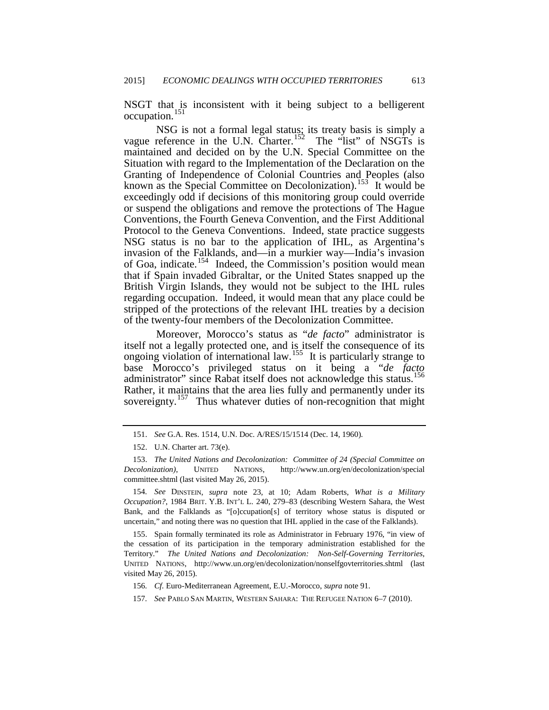NSGT that is inconsistent with it being subject to a belligerent occupation.<sup>[151](#page-28-4)</sup>

NSG is not a formal legal status; its treaty basis is simply a vague reference in the U.N. Charter.<sup>[152](#page-29-0)</sup> The "list" of NSGTs is maintained and decided on by the U.N. Special Committee on the Situation with regard to the Implementation of the Declaration on the Granting of Independence of Colonial Countries and Peoples (also known as the Special Committee on Decolonization).<sup>[153](#page-29-1)</sup> It would be exceedingly odd if decisions of this monitoring group could override or suspend the obligations and remove the protections of The Hague Conventions, the Fourth Geneva Convention, and the First Additional Protocol to the Geneva Conventions. Indeed, state practice suggests NSG status is no bar to the application of IHL, as Argentina's invasion of the Falklands, and—in a murkier way—India's invasion of Goa, indicate.<sup>154</sup> Indeed, the Commission's position would mean that if Spain invaded Gibraltar, or the United States snapped up the British Virgin Islands, they would not be subject to the IHL rules regarding occupation. Indeed, it would mean that any place could be stripped of the protections of the relevant IHL treaties by a decision of the twenty-four members of the Decolonization Committee.

Moreover, Morocco's status as "*de facto*" administrator is itself not a legally protected one, and is itself the consequence of its ongoing violation of international law.<sup>[155](#page-29-3)</sup> It is particularly strange to base Morocco's privileged status on it being a "*de facto* administrator" since Rabat itself does not acknowledge this status.<sup>156</sup> Rather, it maintains that the area lies fully and permanently under its sovereignty.<sup>[157](#page-29-5)</sup> Thus whatever duties of non-recognition that might

<sup>151.</sup> *See* G.A. Res. 1514, U.N. Doc. A/RES/15/1514 (Dec. 14, 1960).

<sup>152.</sup> U.N. Charter art. 73(e).

<span id="page-29-6"></span><span id="page-29-1"></span><span id="page-29-0"></span><sup>153.</sup> *The United Nations and Decolonization: Committee of 24 (Special Committee on Decolonization)*, UNITED NATIONS, http://www.un.org/en/decolonization/special committee.shtml (last visited May 26, 2015).

<span id="page-29-2"></span><sup>154</sup>*. See* DINSTEIN, *supra* note 23, at 10; Adam Roberts, *What is a Military Occupation?*, 1984 BRIT. Y.B. INT'L L. 240, 279–83 (describing Western Sahara, the West Bank, and the Falklands as "[o]ccupation[s] of territory whose status is disputed or uncertain," and noting there was no question that IHL applied in the case of the Falklands).

<span id="page-29-4"></span><span id="page-29-3"></span><sup>155.</sup> Spain formally terminated its role as Administrator in February 1976, "in view of the cessation of its participation in the temporary administration established for the Territory." *The United Nations and Decolonization: Non-Self-Governing Territories*, UNITED NATIONS, http://www.un.org/en/decolonization/nonselfgovterritories.shtml (last visited May 26, 2015).

<sup>156</sup>*. Cf.* Euro-Mediterranean Agreement, E.U.-Morocco, *supra* note 91.

<span id="page-29-5"></span><sup>157</sup>*. See* PABLO SAN MARTIN, WESTERN SAHARA: THE REFUGEE NATION 6–7 (2010).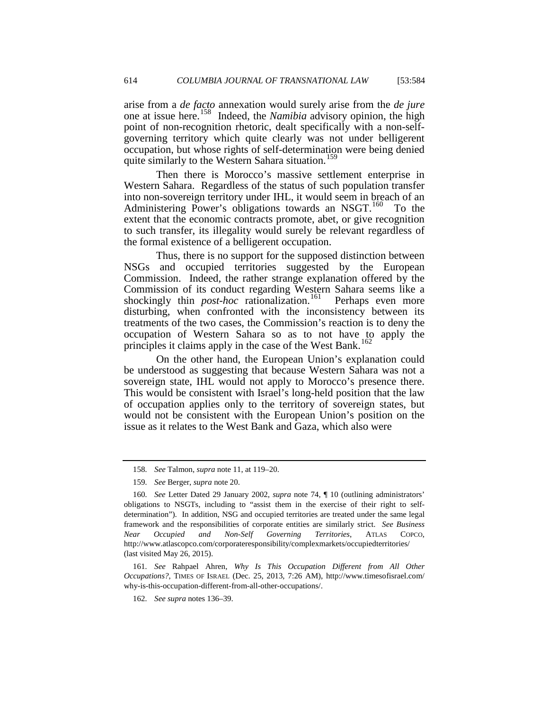arise from a *de facto* annexation would surely arise from the *de jure* one at issue here.[158](#page-29-6) Indeed, the *Namibia* advisory opinion, the high point of non-recognition rhetoric, dealt specifically with a non-selfgoverning territory which quite clearly was not under belligerent occupation, but whose rights of self-determination were being denied quite similarly to the Western Sahara situation.<sup>[159](#page-30-0)</sup>

Then there is Morocco's massive settlement enterprise in Western Sahara. Regardless of the status of such population transfer into non-sovereign territory under IHL, it would seem in breach of an Administering Power's obligations towards an NSGT. $160$  To the extent that the economic contracts promote, abet, or give recognition to such transfer, its illegality would surely be relevant regardless of the formal existence of a belligerent occupation.

Thus, there is no support for the supposed distinction between NSGs and occupied territories suggested by the European Commission. Indeed, the rather strange explanation offered by the Commission of its conduct regarding Western Sahara seems like a shockingly thin *post-hoc* rationalization.<sup>161</sup> Perhaps even more disturbing, when confronted with the inconsistency between its treatments of the two cases, the Commission's reaction is to deny the occupation of Western Sahara so as to not have to apply the principles it claims apply in the case of the West Bank.<sup>[162](#page-30-3)</sup>

On the other hand, the European Union's explanation could be understood as suggesting that because Western Sahara was not a sovereign state, IHL would not apply to Morocco's presence there. This would be consistent with Israel's long-held position that the law of occupation applies only to the territory of sovereign states, but would not be consistent with the European Union's position on the issue as it relates to the West Bank and Gaza, which also were

<span id="page-30-3"></span><span id="page-30-2"></span>161*. See* Rahpael Ahren, *Why Is This Occupation Different from All Other Occupations?*, TIMES OF ISRAEL (Dec. 25, 2013, 7:26 AM), http://www.timesofisrael.com/ why-is-this-occupation-different-from-all-other-occupations/.

162*. See supra* notes 136–39.

<sup>158</sup>*. See* Talmon, *supra* note 11, at 119–20.

<sup>159</sup>*. See* Berger, *supra* note 20.

<span id="page-30-4"></span><span id="page-30-1"></span><span id="page-30-0"></span><sup>160</sup>*. See* Letter Dated 29 January 2002, *supra* note 74, ¶ 10 (outlining administrators' obligations to NSGTs, including to "assist them in the exercise of their right to selfdetermination"). In addition, NSG and occupied territories are treated under the same legal framework and the responsibilities of corporate entities are similarly strict. *See Business Near Occupied and Non-Self Governing Territories*, ATLAS COPCO, http://www.atlascopco.com/corporateresponsibility/complexmarkets/occupiedterritories/ (last visited May 26, 2015).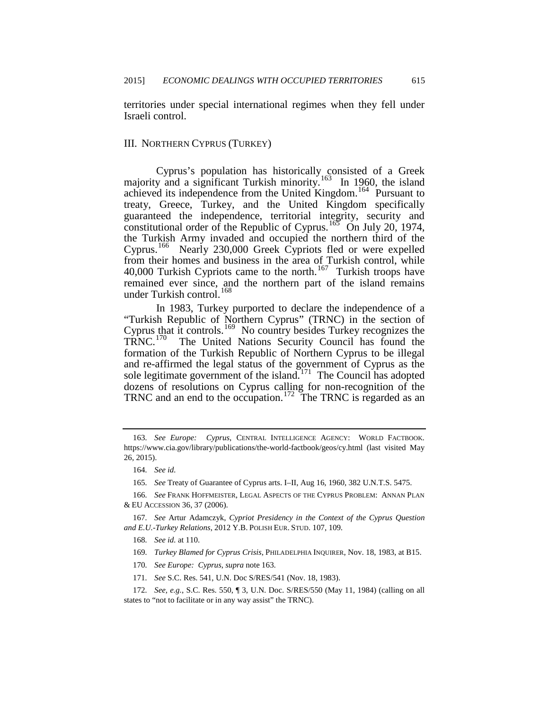territories under special international regimes when they fell under Israeli control.

## III. NORTHERN CYPRUS (TURKEY)

Cyprus's population has historically consisted of a Greek majority and a significant Turkish minority.<sup>[163](#page-30-4)</sup> In 1960, the island achieved its independence from the United Kingdom.[164](#page-31-0) Pursuant to treaty, Greece, Turkey, and the United Kingdom specifically guaranteed the independence, territorial integrity, security and constitutional order of the Republic of Cyprus.<sup>[165](#page-31-1)</sup> On July 20, 1974, the Turkish Army invaded and occupied the northern third of the Cyprus.[166](#page-31-2) Nearly 230,000 Greek Cypriots fled or were expelled from their homes and business in the area of Turkish control, while 40,000 Turkish Cypriots came to the north.[167](#page-31-3) Turkish troops have remained ever since, and the northern part of the island remains under Turkish control.<sup>[168](#page-31-4)</sup>

<span id="page-31-9"></span>In 1983, Turkey purported to declare the independence of a "Turkish Republic of Northern Cyprus" (TRNC) in the section of Cyprus that it controls.<sup>[169](#page-31-5)</sup> No country besides Turkey recognizes the TRNC.<sup>170</sup> The United Nations Security Council has found the The United Nations Security Council has found the formation of the Turkish Republic of Northern Cyprus to be illegal and re-affirmed the legal status of the government of Cyprus as the sole legitimate government of the island.<sup>171</sup> The Council has adopted dozens of resolutions on Cyprus calling for non-recognition of the TRNC and an end to the occupation.<sup>172</sup> The TRNC is regarded as an

<sup>163</sup>*. See Europe: Cyprus*, CENTRAL INTELLIGENCE AGENCY: WORLD FACTBOOK. https://www.cia.gov/library/publications/the-world-factbook/geos/cy.html (last visited May 26, 2015).

<sup>164</sup>*. See id.*

<sup>165</sup>*. See* Treaty of Guarantee of Cyprus arts. I–II, Aug 16, 1960, 382 U.N.T.S. 5475.

<span id="page-31-2"></span><span id="page-31-1"></span><span id="page-31-0"></span><sup>166</sup>*. See* FRANK HOFFMEISTER, LEGAL ASPECTS OF THE CYPRUS PROBLEM: ANNAN PLAN & EU ACCESSION 36, 37 (2006).

<span id="page-31-5"></span><span id="page-31-4"></span><span id="page-31-3"></span><sup>167</sup>*. See* Artur Adamczyk, *Cypriot Presidency in the Context of the Cyprus Question and E.U.-Turkey Relations*, 2012 Y.B. POLISH EUR. STUD. 107, 109.

<sup>168</sup>*. See id.* at 110.

<sup>169</sup>*. Turkey Blamed for Cyprus Crisis*, PHILADELPHIA INQUIRER, Nov. 18, 1983, at B15.

<sup>170</sup>*. See Europe: Cyprus*, *supra* note 163.

<sup>171</sup>*. See* S.C. Res. 541, U.N. Doc S/RES/541 (Nov. 18, 1983).

<span id="page-31-8"></span><span id="page-31-7"></span><span id="page-31-6"></span><sup>172</sup>*. See, e.g.*, S.C. Res. 550, ¶ 3, U.N. Doc. S/RES/550 (May 11, 1984) (calling on all states to "not to facilitate or in any way assist" the TRNC).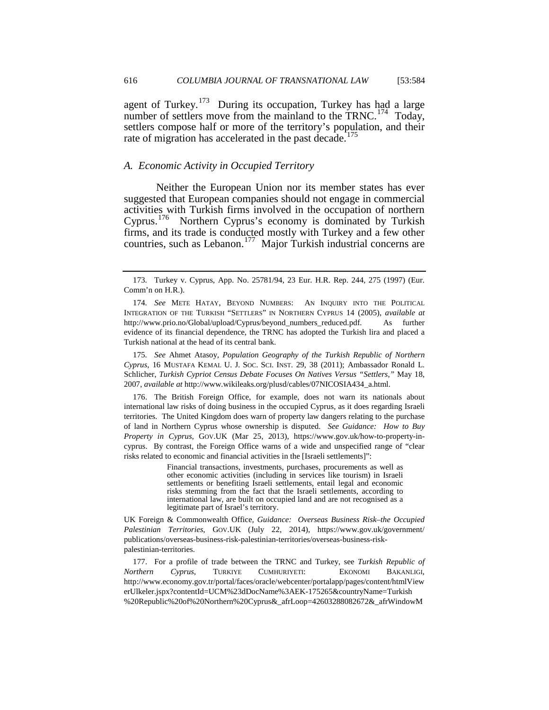agent of Turkey.<sup>173</sup> During its occupation, Turkey has had a large number of settlers move from the mainland to the  $TRNC$ .<sup>[174](#page-32-0)</sup> Today, settlers compose half or more of the territory's population, and their rate of migration has accelerated in the past decade.<sup>[175](#page-32-1)</sup>

## *A. Economic Activity in Occupied Territory*

Neither the European Union nor its member states has ever suggested that European companies should not engage in commercial activities with Turkish firms involved in the occupation of northern Cyprus.[176](#page-32-2) Northern Cyprus's economy is dominated by Turkish firms, and its trade is conducted mostly with Turkey and a few other countries, such as Lebanon.<sup>177</sup> Major Turkish industrial concerns are

<span id="page-32-1"></span>175*. See* Ahmet Atasoy, *Population Geography of the Turkish Republic of Northern Cyprus*, 16 MUSTAFA KEMAL U. J. SOC. SCI. INST. 29, 38 (2011); Ambassador Ronald L. Schlicher, *Turkish Cypriot Census Debate Focuses On Natives Versus "Settlers*,*"* May 18, 2007, *available at* http://www.wikileaks.org/plusd/cables/07NICOSIA434\_a.html.

<span id="page-32-4"></span><span id="page-32-2"></span>176. The British Foreign Office, for example, does not warn its nationals about international law risks of doing business in the occupied Cyprus, as it does regarding Israeli territories. The United Kingdom does warn of property law dangers relating to the purchase of land in Northern Cyprus whose ownership is disputed. *See Guidance: How to Buy Property in Cyprus*, GOV.UK (Mar 25, 2013), https://www.gov.uk/how-to-property-incyprus. By contrast, the Foreign Office warns of a wide and unspecified range of "clear risks related to economic and financial activities in the [Israeli settlements]":

> Financial transactions, investments, purchases, procurements as well as other economic activities (including in services like tourism) in Israeli settlements or benefiting Israeli settlements, entail legal and economic risks stemming from the fact that the Israeli settlements, according to international law, are built on occupied land and are not recognised as a legitimate part of Israel's territory.

UK Foreign & Commonwealth Office*, Guidance: Overseas Business Risk–the Occupied Palestinian Territories*, GOV.UK (July 22, 2014), https://www.gov.uk/government/ publications/overseas-business-risk-palestinian-territories/overseas-business-riskpalestinian-territories.

<span id="page-32-3"></span>177. For a profile of trade between the TRNC and Turkey, see *Turkish Republic of Northern Cyprus*, TURKIYE CUMHURIYETI: EKONOMI BAKANLIGI, http://www.economy.gov.tr/portal/faces/oracle/webcenter/portalapp/pages/content/htmlView erUlkeler.jspx?contentId=UCM%23dDocName%3AEK-175265&countryName=Turkish %20Republic%20of%20Northern%20Cyprus&\_afrLoop=42603288082672&\_afrWindowM

<sup>173</sup>*.* Turkey v. Cyprus, App. No. 25781/94, 23 Eur. H.R. Rep. 244, 275 (1997) (Eur. Comm'n on H.R.).

<span id="page-32-0"></span><sup>174</sup>*. See* METE HATAY, BEYOND NUMBERS: AN INQUIRY INTO THE POLITICAL INTEGRATION OF THE TURKISH "SETTLERS" IN NORTHERN CYPRUS 14 (2005), *available at* http://www.prio.no/Global/upload/Cyprus/beyond\_numbers\_reduced.pdf. As further evidence of its financial dependence, the TRNC has adopted the Turkish lira and placed a Turkish national at the head of its central bank.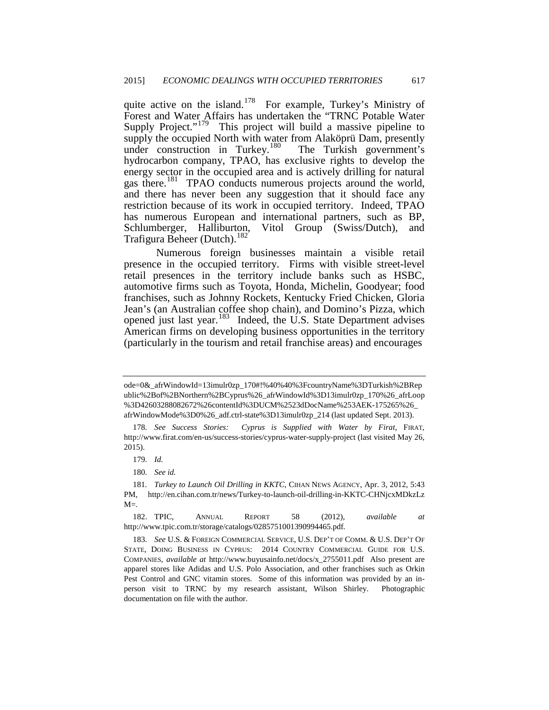quite active on the island.<sup>178</sup> For example, Turkey's Ministry of Forest and Water Affairs has undertaken the "TRNC Potable Water Supply Project."<sup>[179](#page-33-0)</sup> This project will build a massive pipeline to supply the occupied North with water from Alaköprü Dam, presently under construction in Turkey.<sup>[180](#page-33-1)</sup> The Turkish government's hydrocarbon company, TPAO, has exclusive rights to develop the energy sector in the occupied area and is actively drilling for natural gas there.<sup>181</sup> TPAO conducts numerous projects around the world, and there has never been any suggestion that it should face any restriction because of its work in occupied territory. Indeed, TPAO has numerous European and international partners, such as BP, Schlumberger, Halliburton, Vitol Group (Swiss/Dutch), and Trafigura Beheer (Dutch).<sup>[182](#page-33-3)</sup>

Numerous foreign businesses maintain a visible retail presence in the occupied territory. Firms with visible street-level retail presences in the territory include banks such as HSBC, automotive firms such as Toyota, Honda, Michelin, Goodyear; food franchises, such as Johnny Rockets, Kentucky Fried Chicken, Gloria Jean's (an Australian coffee shop chain), and Domino's Pizza, which opened just last year.[183](#page-33-4) Indeed, the U.S. State Department advises American firms on developing business opportunities in the territory (particularly in the tourism and retail franchise areas) and encourages

<span id="page-33-5"></span>ode=0&\_afrWindowId=13imulr0zp\_170#!%40%40%3FcountryName%3DTurkish%2BRep ublic%2Bof%2BNorthern%2BCyprus%26\_afrWindowId%3D13imulr0zp\_170%26\_afrLoop %3D42603288082672%26contentId%3DUCM%2523dDocName%253AEK-175265%26\_ afrWindowMode%3D0%26\_adf.ctrl-state%3D13imulr0zp\_214 (last updated Sept. 2013).

<sup>178</sup>*. See Success Stories: Cyprus is Supplied with Water by Firat*, FIRAT, http://www.firat.com/en-us/success-stories/cyprus-water-supply-project (last visited May 26, 2015).

<sup>179</sup>*. Id.*

<sup>180</sup>*. See id.*

<span id="page-33-2"></span><span id="page-33-1"></span><span id="page-33-0"></span><sup>181</sup>*. Turkey to Launch Oil Drilling in KKTC*, CIHAN NEWS AGENCY, Apr. 3, 2012, 5:43 PM, http://en.cihan.com.tr/news/Turkey-to-launch-oil-drilling-in-KKTC-CHNjcxMDkzLz  $M =$ .

<span id="page-33-3"></span><sup>182.</sup> TPIC, ANNUAL REPORT 58 (2012), *available at* http://www.tpic.com.tr/storage/catalogs/0285751001390994465.pdf.

<span id="page-33-4"></span><sup>183</sup>*. See* U.S. & FOREIGN COMMERCIAL SERVICE, U.S. DEP'T OF COMM. & U.S. DEP'T OF STATE, DOING BUSINESS IN CYPRUS: 2014 COUNTRY COMMERCIAL GUIDE FOR U.S. COMPANIES, *available at* http://www.buyusainfo.net/docs/x\_2755011.pdf Also present are apparel stores like Adidas and U.S. Polo Association, and other franchises such as Orkin Pest Control and GNC vitamin stores. Some of this information was provided by an inperson visit to TRNC by my research assistant, Wilson Shirley. Photographic documentation on file with the author.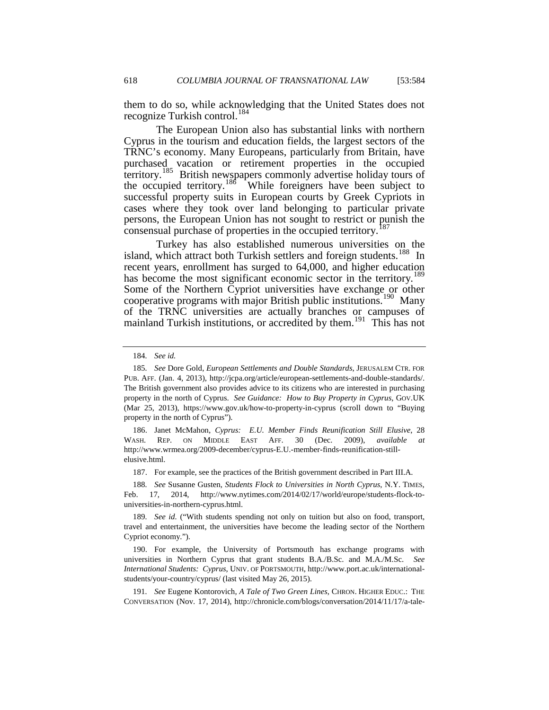them to do so, while acknowledging that the United States does not recognize Turkish control.<sup>[184](#page-33-5)</sup>

The European Union also has substantial links with northern Cyprus in the tourism and education fields, the largest sectors of the TRNC's economy. Many Europeans, particularly from Britain, have purchased vacation or retirement properties in the occupied territory.<sup>[185](#page-34-0)</sup> British newspapers commonly advertise holiday tours of the occupied territory.<sup>186</sup> While foreigners have been subject to successful property suits in European courts by Greek Cypriots in cases where they took over land belonging to particular private persons, the European Union has not sought to restrict or punish the consensual purchase of properties in the occupied territory.<sup>[187](#page-34-2)</sup>

Turkey has also established numerous universities on the island, which attract both Turkish settlers and foreign students.<sup>188</sup> In recent years, enrollment has surged to 64,000, and higher education has become the most significant economic sector in the territory.<sup>189</sup> Some of the Northern Cypriot universities have exchange or other cooperative programs with major British public institutions.<sup>190</sup> Many of the TRNC universities are actually branches or campuses of mainland Turkish institutions, or accredited by them.<sup>191</sup> This has not

187. For example, see the practices of the British government described in Part III.A.

<span id="page-34-7"></span><span id="page-34-3"></span><span id="page-34-2"></span>188*. See* Susanne Gusten, *Students Flock to Universities in North Cyprus*, N.Y. TIMES, Feb. 17, 2014, http://www.nytimes.com/2014/02/17/world/europe/students-flock-touniversities-in-northern-cyprus.html.

<span id="page-34-4"></span>189*. See id.* ("With students spending not only on tuition but also on food, transport, travel and entertainment, the universities have become the leading sector of the Northern Cypriot economy.").

<sup>184</sup>*. See id.*

<span id="page-34-0"></span><sup>185</sup>*. See* Dore Gold, *European Settlements and Double Standards*, JERUSALEM CTR. FOR PUB. AFF. (Jan. 4, 2013), http://jcpa.org/article/european-settlements-and-double-standards/. The British government also provides advice to its citizens who are interested in purchasing property in the north of Cyprus. *See Guidance: How to Buy Property in Cyprus*, GOV.UK (Mar 25, 2013),<https://www.gov.uk/how-to-property-in-cyprus> (scroll down to "Buying property in the north of Cyprus").

<span id="page-34-1"></span><sup>186.</sup> Janet McMahon, *Cyprus: E.U. Member Finds Reunification Still Elusive*, 28 WASH. REP. ON MIDDLE EAST AFF. 30 (Dec. 2009), *available* http://www.wrmea.org/2009-december/cyprus-E.U.-member-finds-reunification-stillelusive.html.

<span id="page-34-5"></span><sup>190.</sup> For example, the University of Portsmouth has exchange programs with universities in Northern Cyprus that grant students B.A./B.Sc. and M.A./M.Sc. *See International Students: Cyprus*, UNIV. OF PORTSMOUTH, http://www.port.ac.uk/internationalstudents/your-country/cyprus/ (last visited May 26, 2015).

<span id="page-34-6"></span><sup>191</sup>*. See* Eugene Kontorovich, *A Tale of Two Green Lines*, CHRON. HIGHER EDUC.: THE CONVERSATION (Nov. 17, 2014), http://chronicle.com/blogs/conversation/2014/11/17/a-tale-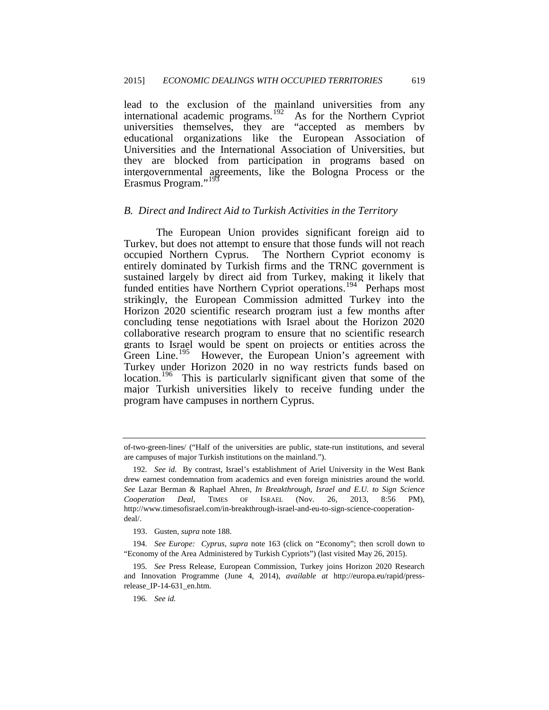lead to the exclusion of the mainland universities from any international academic programs.<sup>192</sup> As for the Northern Cypriot universities themselves, they are "accepted as members by educational organizations like the European Association of Universities and the International Association of Universities, but they are blocked from participation in programs based on intergovernmental agreements, like the Bologna Process or the Erasmus Program."<sup>[193](#page-35-0)</sup>

### *B. Direct and Indirect Aid to Turkish Activities in the Territory*

The European Union provides significant foreign aid to Turkey, but does not attempt to ensure that those funds will not reach occupied Northern Cyprus. The Northern Cypriot economy is entirely dominated by Turkish firms and the TRNC government is sustained largely by direct aid from Turkey, making it likely that funded entities have Northern Cypriot operations.<sup>[194](#page-35-1)</sup> Perhaps most strikingly, the European Commission admitted Turkey into the Horizon 2020 scientific research program just a few months after concluding tense negotiations with Israel about the Horizon 2020 collaborative research program to ensure that no scientific research grants to Israel would be spent on projects or entities across the Green Line.<sup>195</sup> However, the European Union's agreement with Turkey under Horizon 2020 in no way restricts funds based on location.<sup>196</sup> This is particularly significant given that some of the major Turkish universities likely to receive funding under the program have campuses in northern Cyprus.

<span id="page-35-4"></span>of-two-green-lines/ ("Half of the universities are public, state-run institutions, and several are campuses of major Turkish institutions on the mainland.").

<sup>192</sup>*. See id.* By contrast, Israel's establishment of Ariel University in the West Bank drew earnest condemnation from academics and even foreign ministries around the world. *See* Lazar Berman & Raphael Ahren, *In Breakthrough, Israel and E.U. to Sign Science Cooperation Deal*, TIMES OF ISRAEL (Nov. 26, 2013, 8:56 PM), http://www.timesofisrael.com/in-breakthrough-israel-and-eu-to-sign-science-cooperationdeal/.

<sup>193.</sup> Gusten, *supra* note 188.

<span id="page-35-1"></span><span id="page-35-0"></span><sup>194</sup>*. See Europe: Cyprus*, *supra* note 163 (click on "Economy"; then scroll down to "Economy of the Area Administered by Turkish Cypriots") (last visited May 26, 2015).

<span id="page-35-3"></span><span id="page-35-2"></span><sup>195</sup>*. See* Press Release, European Commission, Turkey joins Horizon 2020 Research and Innovation Programme (June 4, 2014), *available at* http://europa.eu/rapid/pressrelease\_IP-14-631\_en.htm.

<sup>196</sup>*. See id.*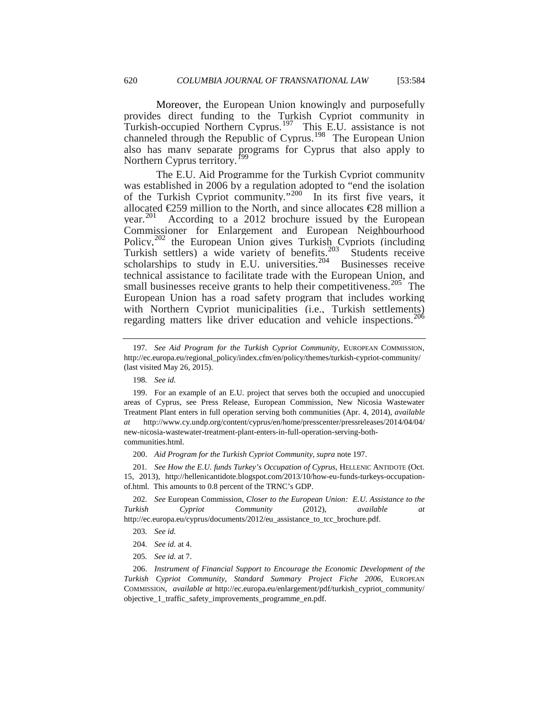Moreover, the European Union knowingly and purposefully provides direct funding to the Turkish Cypriot community in Turkish-occupied Northern Cyprus.<sup>[197](#page-35-4)</sup> This E.U. assistance is not channeled through the Republic of Cyprus.<sup>[198](#page-36-0)</sup> The European Union also has many separate programs for Cyprus that also apply to Northern Cyprus territory.<sup>1</sup>

The E.U. Aid Programme for the Turkish Cypriot community was established in 2006 by a regulation adopted to "end the isolation of the Turkish Cypriot community."<sup>[200](#page-36-2)</sup> In its first five years, it allocated  $E$ 59 million to the North, and since allocates  $E$ 8 million a year.<sup>201</sup> According to a 2012 brochure issued by the European Commissioner for Enlargement and European Neighbourhood Policy,<sup>[202](#page-36-4)</sup> the European Union gives Turkish Cypriots (including Turkish settlers) a wide variety of benefits.<sup>[203](#page-36-5)</sup> Students receive scholarships to study in E.U. universities.<sup>[204](#page-36-6)</sup> Businesses receive technical assistance to facilitate trade with the European Union, and small businesses receive grants to help their competitiveness.<sup>[205](#page-36-7)</sup> The European Union has a road safety program that includes working with Northern Cypriot municipalities (i.e., Turkish settlements) regarding matters like driver education and vehicle inspections.[206](#page-36-8) 

<span id="page-36-5"></span><span id="page-36-4"></span>202*. See* European Commission, *Closer to the European Union: E.U. Assistance to the Turkish Cypriot Community* (2012), *available at* http://ec.europa.eu/cyprus/documents/2012/eu\_assistance\_to\_tcc\_brochure.pdf.

<sup>197</sup>*. See Aid Program for the Turkish Cypriot Community*, EUROPEAN COMMISSION, http://ec.europa.eu/regional\_policy/index.cfm/en/policy/themes/turkish-cypriot-community/ (last visited May 26, 2015).

<sup>198</sup>*. See id.*

<span id="page-36-9"></span><span id="page-36-1"></span><span id="page-36-0"></span><sup>199.</sup> For an example of an E.U. project that serves both the occupied and unoccupied areas of Cyprus, see Press Release, European Commission, New Nicosia Wastewater Treatment Plant enters in full operation serving both communities (Apr. 4, 2014), *available at* http://www.cy.undp.org/content/cyprus/en/home/presscenter/pressreleases/2014/04/04/ new-nicosia-wastewater-treatment-plant-enters-in-full-operation-serving-bothcommunities.html.

<sup>200.</sup> *Aid Program for the Turkish Cypriot Community*, *supra* note 197.

<span id="page-36-3"></span><span id="page-36-2"></span><sup>201</sup>*. See How the E.U. funds Turkey's Occupation of Cyprus*, HELLENIC ANTIDOTE (Oct. 15, 2013), http://hellenicantidote.blogspot.com/2013/10/how-eu-funds-turkeys-occupationof.html. This amounts to 0.8 percent of the TRNC's GDP.

<sup>203</sup>*. See id.*

<sup>204</sup>*. See id.* at 4.

<sup>205</sup>*. See id.* at 7.

<span id="page-36-8"></span><span id="page-36-7"></span><span id="page-36-6"></span><sup>206.</sup> *Instrument of Financial Support to Encourage the Economic Development of the Turkish Cypriot Community, Standard Summary Project Fiche 2006*, EUROPEAN COMMISSION, *available at* http://ec.europa.eu/enlargement/pdf/turkish\_cypriot\_community/ objective\_1\_traffic\_safety\_improvements\_programme\_en.pdf.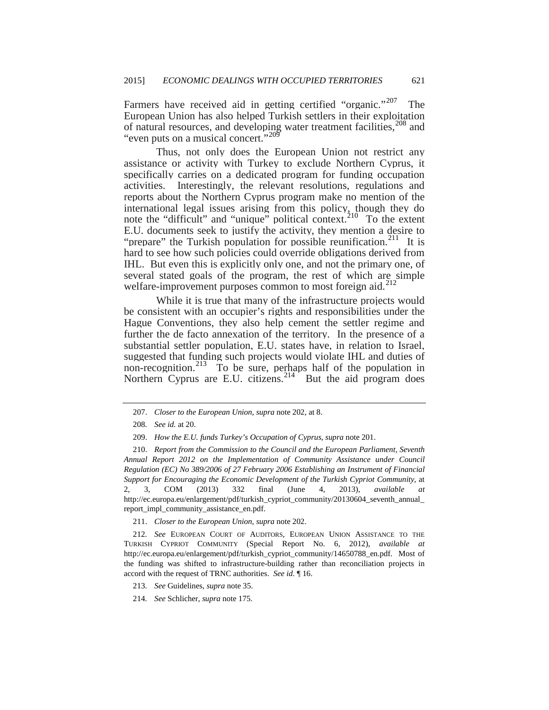Farmers have received aid in getting certified "organic."<sup>[207](#page-36-9)</sup> The European Union has also helped Turkish settlers in their exploitation of natural resources, and developing water treatment facilities,<sup>[208](#page-37-0)</sup> and "even puts on a musical concert."<sup>[209](#page-37-1)</sup>

Thus, not only does the European Union not restrict any assistance or activity with Turkey to exclude Northern Cyprus, it specifically carries on a dedicated program for funding occupation activities. Interestingly, the relevant resolutions, regulations and reports about the Northern Cyprus program make no mention of the international legal issues arising from this policy, though they do note the "difficult" and "unique" political context.<sup>210</sup> To the extent E.U. documents seek to justify the activity, they mention a desire to "prepare" the Turkish population for possible reunification.<sup>[211](#page-37-3)</sup> It is hard to see how such policies could override obligations derived from IHL. But even this is explicitly only one, and not the primary one, of several stated goals of the program, the rest of which are simple welfare-improvement purposes common to most foreign aid. $^{212}$  $^{212}$  $^{212}$ 

While it is true that many of the infrastructure projects would be consistent with an occupier's rights and responsibilities under the Hague Conventions, they also help cement the settler regime and further the de facto annexation of the territory. In the presence of a substantial settler population, E.U. states have, in relation to Israel, suggested that funding such projects would violate IHL and duties of non-recognition.<sup>213</sup> To be sure, perhaps half of the population in Northern Cyprus are E.U. citizens. $2^{14}$  But the aid program does

211. *Closer to the European Union*, *supra* note 202.

<span id="page-37-4"></span><span id="page-37-3"></span>212*. See* EUROPEAN COURT OF AUDITORS, EUROPEAN UNION ASSISTANCE TO THE TURKISH CYPRIOT COMMUNITY (Special Report No. 6, 2012), *available at*  http://ec.europa.eu/enlargement/pdf/turkish\_cypriot\_community/14650788\_en.pdf. Most of the funding was shifted to infrastructure-building rather than reconciliation projects in accord with the request of TRNC authorities. *See id.* ¶ 16.

<span id="page-37-5"></span>213*. See* Guidelines, *supra* note 35.

<span id="page-37-6"></span>214*. See* Schlicher, *supra* note 175.

<sup>207.</sup> *Closer to the European Union*, *supra* note 202, at 8.

<sup>208</sup>*. See id.* at 20.

<sup>209.</sup> *How the E.U. funds Turkey's Occupation of Cyprus*, *supra* note 201.

<span id="page-37-7"></span><span id="page-37-2"></span><span id="page-37-1"></span><span id="page-37-0"></span><sup>210.</sup> *Report from the Commission to the Council and the European Parliament, Seventh Annual Report 2012 on the Implementation of Community Assistance under Council Regulation (EC) No 389/2006 of 27 February 2006 Establishing an Instrument of Financial Support for Encouraging the Economic Development of the Turkish Cypriot Community*, at 2, 3, COM (2013) 332 final (June 4, 2013), *available at*  http://ec.europa.eu/enlargement/pdf/turkish\_cypriot\_community/20130604\_seventh\_annual\_ report\_impl\_community\_assistance\_en.pdf.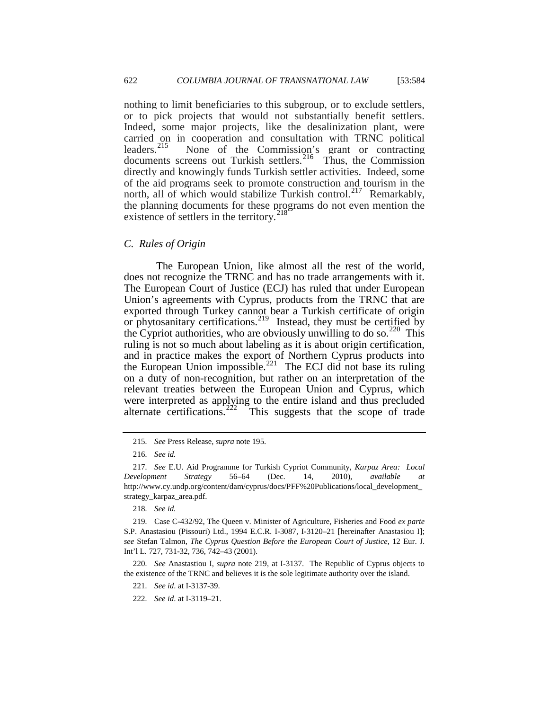nothing to limit beneficiaries to this subgroup, or to exclude settlers, or to pick projects that would not substantially benefit settlers. Indeed, some major projects, like the desalinization plant, were carried on in cooperation and consultation with TRNC political leaders.<sup>215</sup> None of the Commission's grant or contracting None of the Commission's grant or contracting documents screens out Turkish settlers.<sup>216</sup> Thus, the Commission directly and knowingly funds Turkish settler activities. Indeed, some of the aid programs seek to promote construction and tourism in the north, all of which would stabilize Turkish control.<sup>[217](#page-38-1)</sup> Remarkably, the planning documents for these programs do not even mention the existence of settlers in the territory.<sup>[218](#page-38-2)</sup>

### *C. Rules of Origin*

The European Union, like almost all the rest of the world, does not recognize the TRNC and has no trade arrangements with it. The European Court of Justice (ECJ) has ruled that under European Union's agreements with Cyprus, products from the TRNC that are exported through Turkey cannot bear a Turkish certificate of origin or phytosanitary certifications.<sup>[219](#page-38-3)</sup> Instead, they must be certified by the Cypriot authorities, who are obviously unwilling to do so.<sup>220</sup> This ruling is not so much about labeling as it is about origin certification, and in practice makes the export of Northern Cyprus products into the European Union impossible.<sup>[221](#page-38-5)</sup> The ECJ did not base its ruling on a duty of non-recognition, but rather on an interpretation of the relevant treaties between the European Union and Cyprus, which were interpreted as applying to the entire island and thus precluded alternate certifications.<sup>222</sup> This suggests that the scope of trade

<sup>215</sup>*. See* Press Release, *supra* note 195.

<sup>216</sup>*. See id.*

<span id="page-38-1"></span><span id="page-38-0"></span><sup>217</sup>*. See* E.U. Aid Programme for Turkish Cypriot Community, *Karpaz Area: Local Development Strategy* 56–64 (Dec. 14, 2010), *available at* http://www.cy.undp.org/content/dam/cyprus/docs/PFF%20Publications/local\_development\_ strategy\_karpaz\_area.pdf.

<sup>218</sup>*. See id.*

<span id="page-38-7"></span><span id="page-38-3"></span><span id="page-38-2"></span><sup>219</sup>*.* Case C-432/92, The Queen v. Minister of Agriculture, Fisheries and Food *ex parte*  S.P. Anastasiou (Pissouri) Ltd., 1994 E.C.R. I-3087, I-3120–21 [hereinafter Anastasiou I]; *see* Stefan Talmon, *The Cyprus Question Before the European Court of Justice*, 12 Eur. J. Int'l L. 727, 731-32, 736, 742–43 (2001).

<span id="page-38-6"></span><span id="page-38-5"></span><span id="page-38-4"></span><sup>220</sup>*. See* Anastastiou I, *supra* note 219, at I-3137. The Republic of Cyprus objects to the existence of the TRNC and believes it is the sole legitimate authority over the island.

<sup>221</sup>*. See id*. at I-3137-39.

<sup>222</sup>*. See id*. at I-3119–21.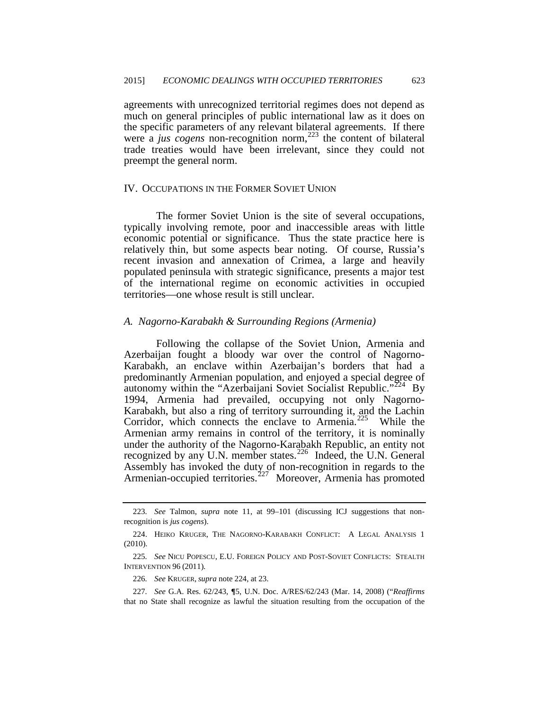agreements with unrecognized territorial regimes does not depend as much on general principles of public international law as it does on the specific parameters of any relevant bilateral agreements. If there were a *jus cogens* non-recognition norm,<sup>[223](#page-38-7)</sup> the content of bilateral trade treaties would have been irrelevant, since they could not preempt the general norm.

## IV. OCCUPATIONS IN THE FORMER SOVIET UNION

The former Soviet Union is the site of several occupations, typically involving remote, poor and inaccessible areas with little economic potential or significance. Thus the state practice here is relatively thin, but some aspects bear noting. Of course, Russia's recent invasion and annexation of Crimea, a large and heavily populated peninsula with strategic significance, presents a major test of the international regime on economic activities in occupied territories—one whose result is still unclear.

## *A. Nagorno-Karabakh & Surrounding Regions (Armenia)*

<span id="page-39-4"></span>Following the collapse of the Soviet Union, Armenia and Azerbaijan fought a bloody war over the control of Nagorno-Karabakh, an enclave within Azerbaijan's borders that had a predominantly Armenian population, and enjoyed a special degree of autonomy within the "Azerbaijani Soviet Socialist Republic."<sup> $224$ </sup> By 1994, Armenia had prevailed, occupying not only Nagorno-Karabakh, but also a ring of territory surrounding it, and the Lachin Corridor, which connects the enclave to Armenia.<sup>225</sup> While the Armenian army remains in control of the territory, it is nominally under the authority of the Nagorno-Karabakh Republic, an entity not recognized by any U.N. member states. $^{226}$  Indeed, the U.N. General Assembly has invoked the duty of non-recognition in regards to the Armenian-occupied territories.<sup>[227](#page-39-3)</sup> Moreover, Armenia has promoted

<sup>223</sup>*. See* Talmon, *supra* note 11, at 99–101 (discussing ICJ suggestions that nonrecognition is *jus cogens*).

<span id="page-39-0"></span><sup>224.</sup> HEIKO KRUGER, THE NAGORNO-KARABAKH CONFLICT: A LEGAL ANALYSIS 1 (2010).

<span id="page-39-1"></span><sup>225</sup>*. See* NICU POPESCU, E.U. FOREIGN POLICY AND POST-SOVIET CONFLICTS: STEALTH INTERVENTION 96 (2011).

<sup>226</sup>*. See* KRUGER, *supra* note 224, at 23.

<span id="page-39-3"></span><span id="page-39-2"></span><sup>227</sup>*. See* G.A. Res. 62/243, **¶**5, U.N. Doc. A/RES/62/243 (Mar. 14, 2008) ("*Reaffirms* that no State shall recognize as lawful the situation resulting from the occupation of the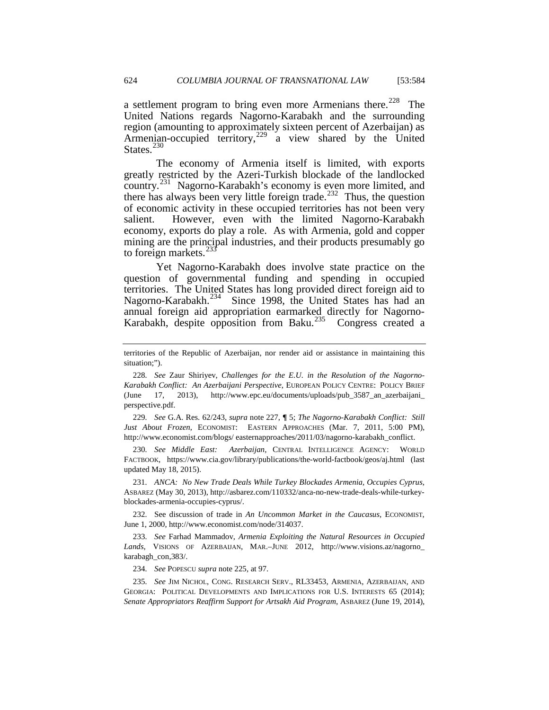a settlement program to bring even more Armenians there.<sup>228</sup> The United Nations regards Nagorno-Karabakh and the surrounding region (amounting to approximately sixteen percent of Azerbaijan) as Armenian-occupied territory,<sup>[229](#page-40-0)</sup> a view shared by the United States. $^{230}$  $^{230}$  $^{230}$ 

The economy of Armenia itself is limited, with exports greatly restricted by the Azeri-Turkish blockade of the landlocked country.<sup>231</sup> Nagorno-Karabakh's economy is even more limited, and there has always been very little foreign trade.<sup>[232](#page-40-3)</sup> Thus, the question of economic activity in these occupied territories has not been very salient. However, even with the limited Nagorno-Karabakh economy, exports do play a role. As with Armenia, gold and copper mining are the principal industries, and their products presumably go to foreign markets. $^{23}$ 

Yet Nagorno-Karabakh does involve state practice on the question of governmental funding and spending in occupied territories. The United States has long provided direct foreign aid to Nagorno-Karabakh.<sup>234</sup> Since 1998, the United States has had an annual foreign aid appropriation earmarked directly for Nagorno-Karabakh, despite opposition from Baku.<sup>[235](#page-40-6)</sup> Congress created a

<span id="page-40-0"></span>229*. See* G.A. Res. 62/243, *supra* note 227, **¶** 5; *The Nagorno-Karabakh Conflict: Still Just About Frozen*, ECONOMIST: EASTERN APPROACHES (Mar. 7, 2011, 5:00 PM), http://www.economist.com/blogs/ easternapproaches/2011/03/nagorno-karabakh\_conflict.

<span id="page-40-1"></span>230*. See Middle East: Azerbaijan*, CENTRAL INTELLIGENCE AGENCY: WORLD FACTBOOK, https://www.cia.gov/library/publications/the-world-factbook/geos/aj.html (last updated May 18, 2015).

<span id="page-40-2"></span>231*. ANCA: No New Trade Deals While Turkey Blockades Armenia, Occupies Cyprus*, ASBAREZ (May 30, 2013), http://asbarez.com/110332/anca-no-new-trade-deals-while-turkeyblockades-armenia-occupies-cyprus/.

<span id="page-40-3"></span>232*.* See discussion of trade in *An Uncommon Market in the Caucasus*, ECONOMIST, June 1, 2000, http://www.economist.com/node/314037.

<span id="page-40-4"></span>233*. See* Farhad Mammadov, *Armenia Exploiting the Natural Resources in Occupied Lands*, VISIONS OF AZERBAIJAN, MAR.–JUNE 2012, http://www.visions.az/nagorno\_ karabagh\_con,383/.

234*. See* POPESCU *supra* note 225, at 97.

<span id="page-40-6"></span><span id="page-40-5"></span>235*. See* JIM NICHOL, CONG. RESEARCH SERV., RL33453, ARMENIA, AZERBAIJAN, AND GEORGIA: POLITICAL DEVELOPMENTS AND IMPLICATIONS FOR U.S. INTERESTS 65 (2014); *Senate Appropriators Reaffirm Support for Artsakh Aid Program*, ASBAREZ (June 19, 2014),

territories of the Republic of Azerbaijan, nor render aid or assistance in maintaining this situation;").

<span id="page-40-7"></span><sup>228</sup>*. See* Zaur Shiriyev, *Challenges for the E.U. in the Resolution of the Nagorno-Karabakh Conflict: An Azerbaijani Perspective*, EUROPEAN POLICY CENTRE: POLICY BRIEF (June 17, 2013), http://www.epc.eu/documents/uploads/pub\_3587\_an\_azerbaijani\_ perspective.pdf.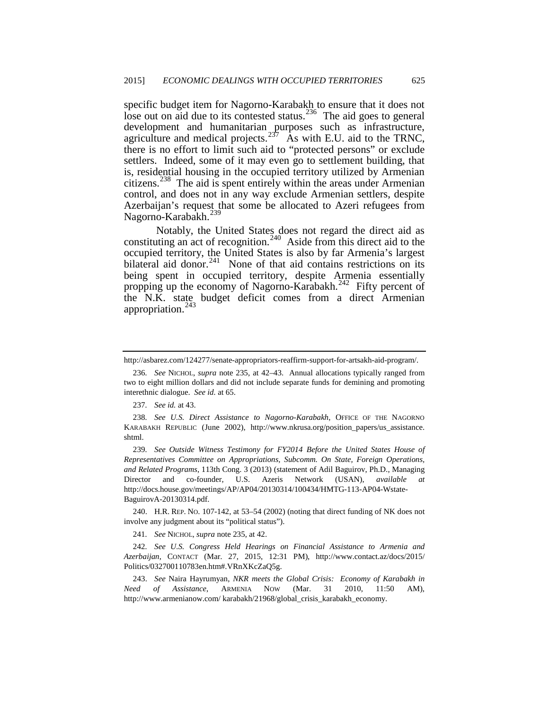specific budget item for Nagorno-Karabakh to ensure that it does not lose out on aid due to its contested status. $^{236}$  $^{236}$  $^{236}$  The aid goes to general development and humanitarian purposes such as infrastructure, agriculture and medical projects.<sup>[237](#page-41-0)</sup> As with E.U. aid to the TRNC, there is no effort to limit such aid to "protected persons" or exclude settlers. Indeed, some of it may even go to settlement building, that is, residential housing in the occupied territory utilized by Armenian citizens.<sup>238</sup> The aid is spent entirely within the areas under Armenian control, and does not in any way exclude Armenian settlers, despite Azerbaijan's request that some be allocated to Azeri refugees from Nagorno-Karabakh.<sup>[239](#page-41-2)</sup>

Notably, the United States does not regard the direct aid as constituting an act of recognition.<sup>240</sup> Aside from this direct aid to the occupied territory, the United States is also by far Armenia's largest bilateral aid donor.<sup>241</sup> None of that aid contains restrictions on its being spent in occupied territory, despite Armenia essentially propping up the economy of Nagorno-Karabakh.<sup>242</sup> Fifty percent of the N.K. state budget deficit comes from a direct Armenian appropriation.<sup>[243](#page-41-6)</sup>

237*. See id.* at 43.

<span id="page-41-2"></span>239*. See Outside Witness Testimony for FY2014 Before the United States House of Representatives Committee on Appropriations, Subcomm. On State, Foreign Operations, and Related Programs*, 113th Cong. 3 (2013) (statement of Adil Baguirov, Ph.D., Managing Director and co-founder, U.S. Azeris Network (USAN), *available at* http://docs.house.gov/meetings/AP/AP04/20130314/100434/HMTG-113-AP04-Wstate-BaguirovA-20130314.pdf.

<span id="page-41-3"></span>240. H.R. REP. NO. 107-142, at 53–54 (2002) (noting that direct funding of NK does not involve any judgment about its "political status").

241*. See* NICHOL, *supra* note 235, at 42.

<span id="page-41-5"></span><span id="page-41-4"></span>242*. See U.S. Congress Held Hearings on Financial Assistance to Armenia and Azerbaijan*, CONTACT (Mar. 27, 2015, 12:31 PM), http://www.contact.az/docs/2015/ Politics/032700110783en.htm#.VRnXKcZaQ5g.

<span id="page-41-6"></span>243. *See* Naira Hayrumyan, *NKR meets the Global Crisis: Economy of Karabakh in Need of Assistance*, ARMENIA NOW (Mar. 31 2010, 11:50 AM), http://www.armenianow.com/ karabakh/21968/global\_crisis\_karabakh\_economy.

<span id="page-41-7"></span>http://asbarez.com/124277/senate-appropriators-reaffirm-support-for-artsakh-aid-program/.

<sup>236</sup>*. See* NICHOL, *supra* note 235, at 42–43. Annual allocations typically ranged from two to eight million dollars and did not include separate funds for demining and promoting interethnic dialogue. *See id.* at 65.

<span id="page-41-1"></span><span id="page-41-0"></span><sup>238</sup>*. See U.S. Direct Assistance to Nagorno-Karabakh*, OFFICE OF THE NAGORNO KARABAKH REPUBLIC (June 2002), http://www.nkrusa.org/position\_papers/us\_assistance. shtml.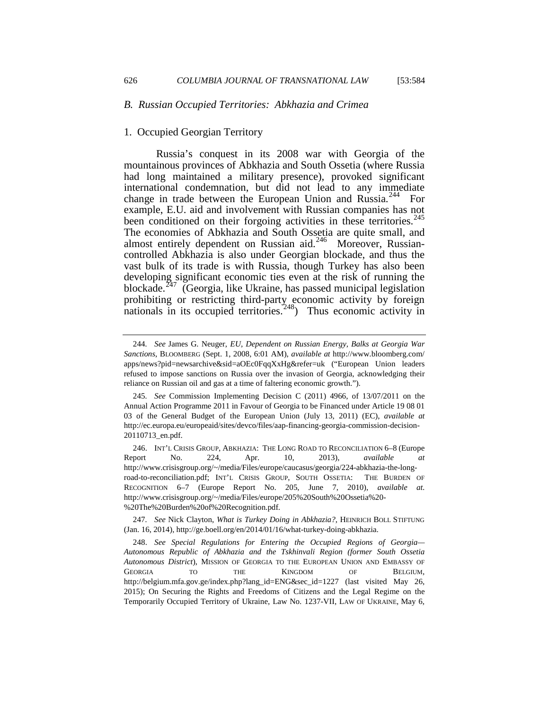### *B. Russian Occupied Territories: Abkhazia and Crimea*

### 1. Occupied Georgian Territory

Russia's conquest in its 2008 war with Georgia of the mountainous provinces of Abkhazia and South Ossetia (where Russia had long maintained a military presence), provoked significant international condemnation, but did not lead to any immediate change in trade between the European Union and Russia.<sup>[244](#page-41-7)</sup> For example, E.U. aid and involvement with Russian companies has not been conditioned on their forgoing activities in these territories.<sup>245</sup> The economies of Abkhazia and South Ossetia are quite small, and almost entirely dependent on Russian aid.<sup>246</sup> Moreover, Russiancontrolled Abkhazia is also under Georgian blockade, and thus the vast bulk of its trade is with Russia, though Turkey has also been developing significant economic ties even at the risk of running the blockade.<sup>[247](#page-42-2)</sup> (Georgia, like Ukraine, has passed municipal legislation prohibiting or restricting third-party economic activity by foreign nationals in its occupied territories.<sup>[248](#page-42-3)</sup>) Thus economic activity in

<sup>244</sup>*. See* James G. Neuger, *EU, Dependent on Russian Energy, Balks at Georgia War Sanctions*, BLOOMBERG (Sept. 1, 2008, 6:01 AM), *available at* http://www.bloomberg.com/ apps/news?pid=newsarchive&sid=aOEc0FqqXxHg&refer=uk ("European Union leaders refused to impose sanctions on Russia over the invasion of Georgia, acknowledging their reliance on Russian oil and gas at a time of faltering economic growth.").

<span id="page-42-4"></span><span id="page-42-0"></span><sup>245</sup>*. See* Commission Implementing Decision C (2011) 4966, of 13/07/2011 on the Annual Action Programme 2011 in Favour of Georgia to be Financed under Article 19 08 01 03 of the General Budget of the European Union (July 13, 2011) (EC), *available at*  http://ec.europa.eu/europeaid/sites/devco/files/aap-financing-georgia-commission-decision-20110713\_en.pdf.

<span id="page-42-1"></span><sup>246.</sup> INT'L CRISIS GROUP, ABKHAZIA: THE LONG ROAD TO RECONCILIATION 6–8 (Europe Report No. 224, Apr. 10, 2013), *available at*  http://www.crisisgroup.org/~/media/Files/europe/caucasus/georgia/224-abkhazia-the-longroad-to-reconciliation.pdf; INT'L CRISIS GROUP, SOUTH OSSETIA: THE BURDEN OF RECOGNITION 6–7 (Europe Report No. 205, June 7, 2010), *available at*. http://www.crisisgroup.org/~/media/Files/europe/205%20South%20Ossetia%20- %20The%20Burden%20of%20Recognition.pdf.

<span id="page-42-2"></span><sup>247</sup>*. See* Nick Clayton, *What is Turkey Doing in Abkhazia?*, HEINRICH BOLL STIFTUNG (Jan. 16, 2014), http://ge.boell.org/en/2014/01/16/what-turkey-doing-abkhazia.

<span id="page-42-3"></span><sup>248.</sup> *See Special Regulations for Entering the Occupied Regions of Georgia— Autonomous Republic of Abkhazia and the Tskhinvali Region (former South Ossetia Autonomous District*), MISSION OF GEORGIA TO THE EUROPEAN UNION AND EMBASSY OF GEORGIA TO THE KINGDOM OF BELGIUM, http://belgium.mfa.gov.ge/index.php?lang\_id=ENG&sec\_id=1227 (last visited May 26, 2015); On Securing the Rights and Freedoms of Citizens and the Legal Regime on the Temporarily Occupied Territory of Ukraine, Law No. 1237-VII, LAW OF UKRAINE, May 6,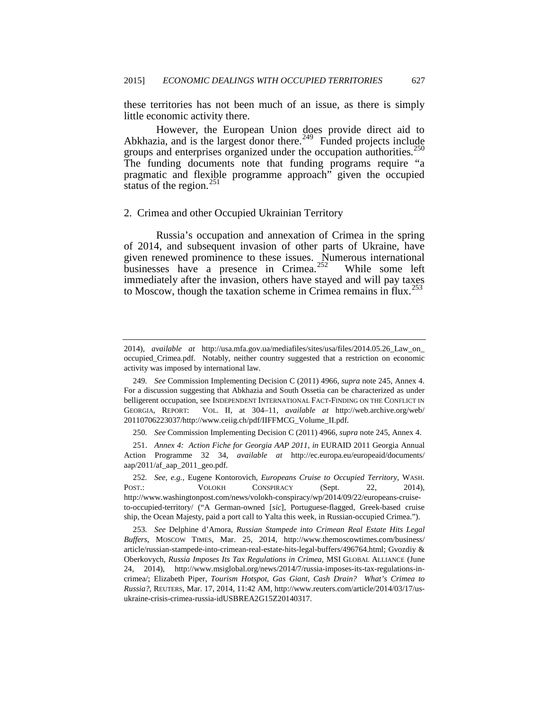these territories has not been much of an issue, as there is simply little economic activity there.

However, the European Union does provide direct aid to Abkhazia, and is the largest donor there.<sup> $249$ </sup> Funded projects include groups and enterprises organized under the occupation authorities.<sup>2</sup> The funding documents note that funding programs require "a pragmatic and flexible programme approach" given the occupied status of the region. $^{251}$  $^{251}$  $^{251}$ 

#### 2. Crimea and other Occupied Ukrainian Territory

Russia's occupation and annexation of Crimea in the spring of 2014, and subsequent invasion of other parts of Ukraine, have given renewed prominence to these issues. Numerous international businesses have a presence in Crimea.<sup>[252](#page-43-2)</sup> While some left immediately after the invasion, others have stayed and will pay taxes to Moscow, though the taxation scheme in Crimea remains in flux.<sup>[253](#page-43-3)</sup>

<span id="page-43-4"></span><sup>2014),</sup> *available at* http://usa.mfa.gov.ua/mediafiles/sites/usa/files/2014.05.26\_Law\_on\_ occupied\_Crimea.pdf. Notably, neither country suggested that a restriction on economic activity was imposed by international law.

<sup>249</sup>*. See* Commission Implementing Decision C (2011) 4966, *supra* note 245, Annex 4. For a discussion suggesting that Abkhazia and South Ossetia can be characterized as under belligerent occupation, see INDEPENDENT INTERNATIONAL FACT-FINDING ON THE CONFLICT IN GEORGIA, REPORT: VOL. II, at 304–11, *available at* http://web.archive.org/web/ 20110706223037/http://www.ceiig.ch/pdf/IIFFMCG\_Volume\_II.pdf.

<sup>250</sup>*. See* Commission Implementing Decision C (2011) 4966, *supra* note 245, Annex 4.

<span id="page-43-1"></span><span id="page-43-0"></span><sup>251.</sup> *Annex 4: Action Fiche for Georgia AAP 2011*, *in* EURAID 2011 Georgia Annual Action Programme 32 34, *available at* http://ec.europa.eu/europeaid/documents/ aap/2011/af\_aap\_2011\_geo.pdf.

<span id="page-43-2"></span><sup>252</sup>*. See, e.g.*, Eugene Kontorovich, *Europeans Cruise to Occupied Territory*, WASH. POST.: VOLOKH CONSPIRACY (Sept. 22, 2014), http://www.washingtonpost.com/news/volokh-conspiracy/wp/2014/09/22/europeans-cruiseto-occupied-territory/ ("A German-owned [*sic*], Portuguese-flagged, Greek-based cruise ship, the Ocean Majesty, paid a port call to Yalta this week, in Russian-occupied Crimea.").

<span id="page-43-3"></span><sup>253</sup>*. See* Delphine d'Amora, *Russian Stampede into Crimean Real Estate Hits Legal Buffers*, MOSCOW TIMES, Mar. 25, 2014, http://www.themoscowtimes.com/business/ article/russian-stampede-into-crimean-real-estate-hits-legal-buffers/496764.html; Gvozdiy & Oberkovych, *Russia Imposes Its Tax Regulations in Crimea*, MSI GLOBAL ALLIANCE (June 24, 2014), http://www.msiglobal.org/news/2014/7/russia-imposes-its-tax-regulations-incrimea/; Elizabeth Piper, *Tourism Hotspot, Gas Giant, Cash Drain? What's Crimea to Russia?*, REUTERS, Mar. 17, 2014, 11:42 AM, http://www.reuters.com/article/2014/03/17/usukraine-crisis-crimea-russia-idUSBREA2G15Z20140317.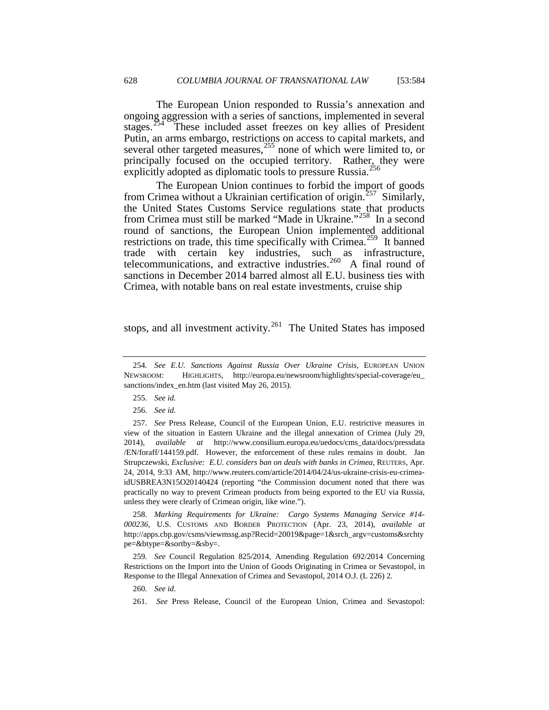The European Union responded to Russia's annexation and ongoing aggression with a series of sanctions, implemented in several stages.<sup>[254](#page-43-4)</sup> These included asset freezes on key allies of President Putin, an arms embargo, restrictions on access to capital markets, and several other targeted measures,  $255$  none of which were limited to, or principally focused on the occupied territory. Rather, they were explicitly adopted as diplomatic tools to pressure Russia.<sup>[256](#page-44-1)</sup>

The European Union continues to forbid the import of goods from Crimea without a Ukrainian certification of origin.[257](#page-44-2) Similarly, the United States Customs Service regulations state that products from Crimea must still be marked "Made in Ukraine."[258](#page-44-3) In a second round of sanctions, the European Union implemented additional restrictions on trade, this time specifically with Crimea.<sup>[259](#page-44-4)</sup> It banned trade with certain key industries, such as infrastructure, telecommunications, and extractive industries.<sup>[260](#page-44-5)</sup> A final round of sanctions in December 2014 barred almost all E.U. business ties with Crimea, with notable bans on real estate investments, cruise ship

stops, and all investment activity.<sup>261</sup> The United States has imposed

<span id="page-44-3"></span>258. *Marking Requirements for Ukraine: Cargo Systems Managing Service #14- 000236*, U.S. CUSTOMS AND BORDER PROTECTION (Apr. 23, 2014), *available at* http://apps.cbp.gov/csms/viewmssg.asp?Recid=20019&page=1&srch\_argv=customs&srchty pe=&btype=&sortby=&sby=.

<span id="page-44-6"></span><span id="page-44-5"></span><span id="page-44-4"></span>259*. See* Council Regulation 825/2014, Amending Regulation 692/2014 Concerning Restrictions on the Import into the Union of Goods Originating in Crimea or Sevastopol, in Response to the Illegal Annexation of Crimea and Sevastopol, 2014 O.J. (L 226) 2.

260*. See id.*

<sup>254</sup>*. See E.U. Sanctions Against Russia Over Ukraine Crisis*, EUROPEAN UNION NEWSROOM: HIGHLIGHTS, http://europa.eu/newsroom/highlights/special-coverage/eu\_ sanctions/index\_en.htm (last visited May 26, 2015).

<sup>255</sup>*. See id.*

<sup>256</sup>*. See id.*

<span id="page-44-7"></span><span id="page-44-2"></span><span id="page-44-1"></span><span id="page-44-0"></span><sup>257</sup>*. See* Press Release, Council of the European Union, E.U. restrictive measures in view of the situation in Eastern Ukraine and the illegal annexation of Crimea (July 29, 2014), *available at* http://www.consilium.europa.eu/uedocs/cms\_data/docs/pressdata /EN/foraff/144159.pdf. However, the enforcement of these rules remains in doubt. Jan Strupczewski, *Exclusive: E.U. considers ban on deals with banks in Crimea*, REUTERS, Apr. 24, 2014, 9:33 AM, http://www.reuters.com/article/2014/04/24/us-ukraine-crisis-eu-crimeaidUSBREA3N15O20140424 (reporting "the Commission document noted that there was practically no way to prevent Crimean products from being exported to the EU via Russia, unless they were clearly of Crimean origin, like wine.").

<sup>261.</sup> *See* Press Release, Council of the European Union, Crimea and Sevastopol: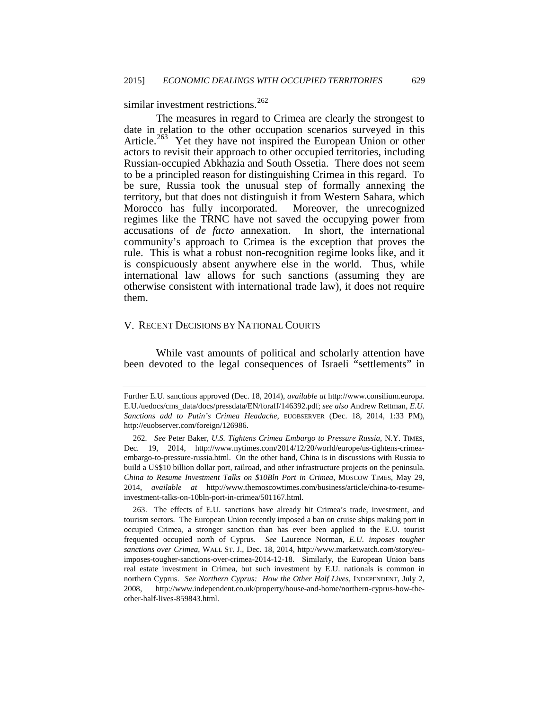similar investment restrictions.<sup>[262](#page-44-7)</sup>

The measures in regard to Crimea are clearly the strongest to date in relation to the other occupation scenarios surveyed in this Article.<sup>[263](#page-45-0)</sup> Yet they have not inspired the European Union or other actors to revisit their approach to other occupied territories, including Russian-occupied Abkhazia and South Ossetia. There does not seem to be a principled reason for distinguishing Crimea in this regard. To be sure, Russia took the unusual step of formally annexing the territory, but that does not distinguish it from Western Sahara, which Morocco has fully incorporated. Moreover, the unrecognized regimes like the TRNC have not saved the occupying power from accusations of *de facto* annexation. In short, the international accusations of *de facto* annexation. community's approach to Crimea is the exception that proves the rule. This is what a robust non-recognition regime looks like, and it is conspicuously absent anywhere else in the world. Thus, while international law allows for such sanctions (assuming they are otherwise consistent with international trade law), it does not require them.

# V. RECENT DECISIONS BY NATIONAL COURTS

While vast amounts of political and scholarly attention have been devoted to the legal consequences of Israeli "settlements" in

<span id="page-45-1"></span>Further E.U. sanctions approved (Dec. 18, 2014), *available at* http://www.consilium.europa. E.U./uedocs/cms\_data/docs/pressdata/EN/foraff/146392.pdf; *see also* Andrew Rettman, *E.U. Sanctions add to Putin's Crimea Headache*, EUOBSERVER (Dec. 18, 2014, 1:33 PM), http://euobserver.com/foreign/126986.

<sup>262</sup>*. See* Peter Baker, *U.S. Tightens Crimea Embargo to Pressure Russia*, N.Y. TIMES, Dec. 19, 2014, http://www.nytimes.com/2014/12/20/world/europe/us-tightens-crimeaembargo-to-pressure-russia.html. On the other hand, China is in discussions with Russia to build a US\$10 billion dollar port, railroad, and other infrastructure projects on the peninsula. *China to Resume Investment Talks on \$10Bln Port in Crimea*, MOSCOW TIMES, May 29, 2014, *available at* http://www.themoscowtimes.com/business/article/china-to-resumeinvestment-talks-on-10bln-port-in-crimea/501167.html.

<span id="page-45-0"></span><sup>263.</sup> The effects of E.U. sanctions have already hit Crimea's trade, investment, and tourism sectors. The European Union recently imposed a ban on cruise ships making port in occupied Crimea, a stronger sanction than has ever been applied to the E.U. tourist frequented occupied north of Cyprus. *See* Laurence Norman, *E.U. imposes tougher sanctions over Crimea*, WALL ST. J., Dec. 18, 2014, http://www.marketwatch.com/story/euimposes-tougher-sanctions-over-crimea-2014-12-18. Similarly, the European Union bans real estate investment in Crimea, but such investment by E.U. nationals is common in northern Cyprus. *See Northern Cyprus: How the Other Half Lives*, INDEPENDENT, July 2, 2008, http://www.independent.co.uk/property/house-and-home/northern-cyprus-how-theother-half-lives-859843.html.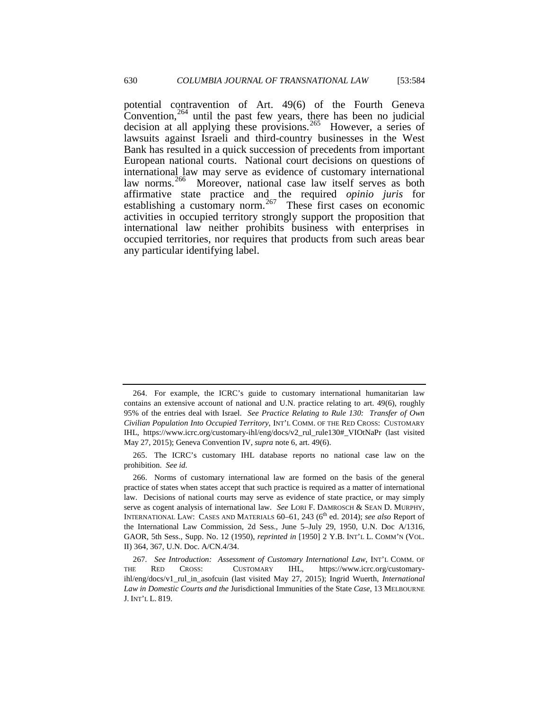potential contravention of Art. 49(6) of the Fourth Geneva Convention,  $264$  until the past few years, there has been no judicial decision at all applying these provisions.<sup>265</sup> However, a series of lawsuits against Israeli and third-country businesses in the West Bank has resulted in a quick succession of precedents from important European national courts. National court decisions on questions of international law may serve as evidence of customary international law norms.<sup>[266](#page-46-1)</sup> Moreover, national case law itself serves as both affirmative state practice and the required *opinio juris* for establishing a customary norm.<sup>267</sup> These first cases on economic activities in occupied territory strongly support the proposition that international law neither prohibits business with enterprises in occupied territories, nor requires that products from such areas bear any particular identifying label.

<sup>264.</sup> For example, the ICRC's guide to customary international humanitarian law contains an extensive account of national and U.N. practice relating to art. 49(6), roughly 95% of the entries deal with Israel. *See Practice Relating to Rule 130: Transfer of Own Civilian Population Into Occupied Territory*, INT'L COMM. OF THE RED CROSS: CUSTOMARY IHL, https://www.icrc.org/customary-ihl/eng/docs/v2\_rul\_rule130#\_VIOtNaPr (last visited May 27, 2015); Geneva Convention IV, *supra* note 6, art. 49(6).

<span id="page-46-0"></span><sup>265.</sup> The ICRC's customary IHL database reports no national case law on the prohibition. *See id.*

<span id="page-46-3"></span><span id="page-46-1"></span><sup>266.</sup> Norms of customary international law are formed on the basis of the general practice of states when states accept that such practice is required as a matter of international law. Decisions of national courts may serve as evidence of state practice, or may simply serve as cogent analysis of international law. *See* LORI F. DAMROSCH & SEAN D. MURPHY, INTERNATIONAL LAW: CASES AND MATERIALS 60–61, 243 (6<sup>th</sup> ed. 2014); *see also* Report of the International Law Commission, 2d Sess., June 5–July 29, 1950, U.N. Doc A/1316, GAOR, 5th Sess., Supp. No. 12 (1950), *reprinted in* [1950] 2 Y.B. INT'L L. COMM'N (VOL. II) 364, 367, U.N. Doc. A/CN.4/34.

<span id="page-46-2"></span><sup>267</sup>*. See Introduction: Assessment of Customary International Law*, INT'L COMM. OF THE RED CROSS: CUSTOMARY IHL, https://www.icrc.org/customaryihl/eng/docs/v1\_rul\_in\_asofcuin (last visited May 27, 2015); Ingrid Wuerth, *International Law in Domestic Courts and the* Jurisdictional Immunities of the State *Case*, 13 MELBOURNE J. INT'L L. 819.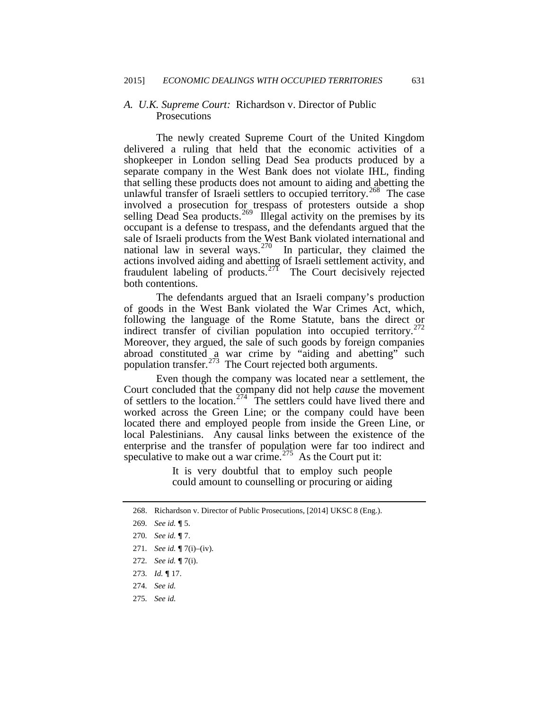## *A. U.K. Supreme Court:* Richardson v. Director of Public Prosecutions

The newly created Supreme Court of the United Kingdom delivered a ruling that held that the economic activities of a shopkeeper in London selling Dead Sea products produced by a separate company in the West Bank does not violate IHL, finding that selling these products does not amount to aiding and abetting the unlawful transfer of Israeli settlers to occupied territory.<sup>[268](#page-46-3)</sup> The case involved a prosecution for trespass of protesters outside a shop selling Dead Sea products.<sup>[269](#page-47-0)</sup> Illegal activity on the premises by its occupant is a defense to trespass, and the defendants argued that the sale of Israeli products from the West Bank violated international and national law in several ways.<sup>[270](#page-47-1)</sup> In particular, they claimed the actions involved aiding and abetting of Israeli settlement activity, and fraudulent labeling of products.<sup>[271](#page-47-2)</sup> The Court decisively rejected both contentions.

The defendants argued that an Israeli company's production of goods in the West Bank violated the War Crimes Act, which, following the language of the Rome Statute, bans the direct or indirect transfer of civilian population into occupied territory.<sup>2</sup> Moreover, they argued, the sale of such goods by foreign companies abroad constituted  $a^2$  war crime by "aiding and abetting" such population transfer.<sup>273</sup> The Court rejected both arguments.

Even though the company was located near a settlement, the Court concluded that the company did not help *cause* the movement of settlers to the location.<sup>[274](#page-47-5)</sup> The settlers could have lived there and worked across the Green Line; or the company could have been located there and employed people from inside the Green Line, or local Palestinians. Any causal links between the existence of the enterprise and the transfer of population were far too indirect and speculative to make out a war crime.<sup>[275](#page-47-6)</sup> As the Court put it:

> It is very doubtful that to employ such people could amount to counselling or procuring or aiding

<span id="page-47-7"></span><sup>268.</sup> Richardson v. Director of Public Prosecutions, [2014] UKSC 8 (Eng.).

<span id="page-47-0"></span><sup>269</sup>*. See id.* **¶** 5.

<span id="page-47-1"></span><sup>270</sup>*. See id.* **¶** 7.

<sup>271</sup>*. See id.* **¶** 7(i)–(iv).

<span id="page-47-3"></span><span id="page-47-2"></span><sup>272</sup>*. See id.* **¶** 7(i).

<sup>273</sup>*. Id.* **¶** 17.

<span id="page-47-6"></span><span id="page-47-5"></span><span id="page-47-4"></span><sup>274</sup>*. See id.*

<sup>275</sup>*. See id.*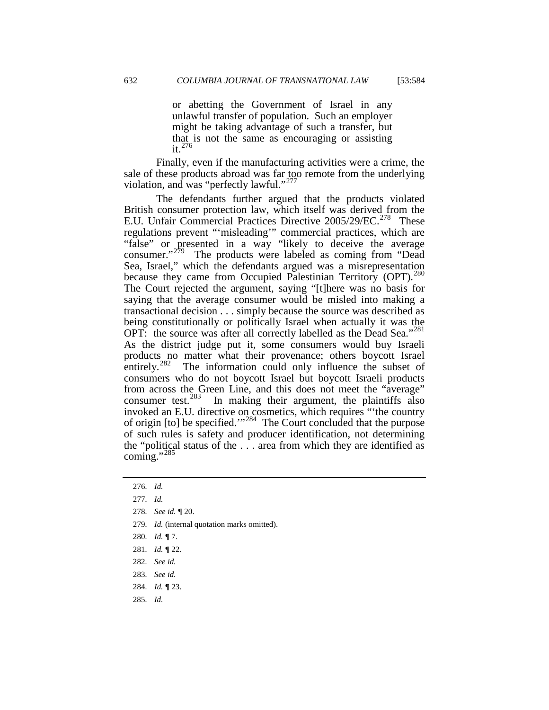or abetting the Government of Israel in any unlawful transfer of population. Such an employer might be taking advantage of such a transfer, but that is not the same as encouraging or assisting it. $276$ 

Finally, even if the manufacturing activities were a crime, the sale of these products abroad was far too remote from the underlying violation, and was "perfectly lawful."<sup>277</sup>

The defendants further argued that the products violated British consumer protection law, which itself was derived from the E.U. Unfair Commercial Practices Directive 2005/29/EC.<sup>[278](#page-48-1)</sup> These regulations prevent "'misleading'" commercial practices, which are "false" or presented in a way "likely to deceive the average consumer."[279](#page-48-2) The products were labeled as coming from "Dead Sea, Israel," which the defendants argued was a misrepresentation because they came from Occupied Palestinian Territory (OPT).<sup>280</sup> The Court rejected the argument, saying "[t]here was no basis for saying that the average consumer would be misled into making a transactional decision . . . simply because the source was described as being constitutionally or politically Israel when actually it was the OPT: the source was after all correctly labelled as the Dead Sea."<sup>281</sup> As the district judge put it, some consumers would buy Israeli products no matter what their provenance; others boycott Israel entirely.<sup>282</sup> The information could only influence the subset of consumers who do not boycott Israel but boycott Israeli products from across the Green Line, and this does not meet the "average" consumer test.<sup>283</sup> In making their argument, the plaintiffs also In making their argument, the plaintiffs also invoked an E.U. directive on cosmetics, which requires "'the country of origin [to] be specified."<sup>[284](#page-48-7)</sup> The Court concluded that the purpose of such rules is safety and producer identification, not determining the "political status of the . . . area from which they are identified as coming."<sup>[285](#page-48-8)</sup>

- <span id="page-48-3"></span><span id="page-48-2"></span>279*. Id.* (internal quotation marks omitted).
- 280*. Id.* **¶** 7.
- <span id="page-48-4"></span>281*. Id.* **¶** 22.
- <span id="page-48-5"></span>282*. See id.*
- <span id="page-48-7"></span><span id="page-48-6"></span>283*. See id.*
- 284*. Id.* **¶** 23.
- <span id="page-48-8"></span>285*. Id.*

<span id="page-48-9"></span><sup>276</sup>*. Id.*

<span id="page-48-1"></span><span id="page-48-0"></span><sup>277</sup>*. Id.*

<sup>278</sup>*. See id.* **¶** 20.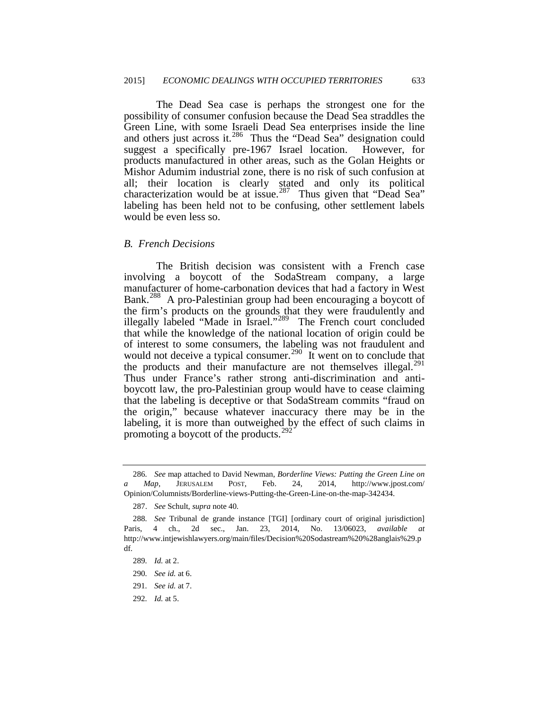The Dead Sea case is perhaps the strongest one for the possibility of consumer confusion because the Dead Sea straddles the Green Line, with some Israeli Dead Sea enterprises inside the line and others just across it.<sup>[286](#page-48-9)</sup> Thus the "Dead Sea" designation could suggest a specifically pre-1967 Israel location. However, for products manufactured in other areas, such as the Golan Heights or Mishor Adumim industrial zone, there is no risk of such confusion at all; their location is clearly stated and only its political characterization would be at issue.<sup>287</sup> Thus given that "Dead Sea" labeling has been held not to be confusing, other settlement labels would be even less so.

### *B. French Decisions*

The British decision was consistent with a French case involving a boycott of the SodaStream company, a large manufacturer of home-carbonation devices that had a factory in West Bank.<sup>[288](#page-49-1)</sup> A pro-Palestinian group had been encouraging a boycott of the firm's products on the grounds that they were fraudulently and illegally labeled "Made in Israel."[289](#page-49-2) The French court concluded that while the knowledge of the national location of origin could be of interest to some consumers, the labeling was not fraudulent and would not deceive a typical consumer.<sup>[290](#page-49-3)</sup> It went on to conclude that the products and their manufacture are not themselves illegal. $^{291}$ Thus under France's rather strong anti-discrimination and antiboycott law, the pro-Palestinian group would have to cease claiming that the labeling is deceptive or that SodaStream commits "fraud on the origin," because whatever inaccuracy there may be in the labeling, it is more than outweighed by the effect of such claims in promoting a boycott of the products. $292$ 

<span id="page-49-4"></span>291*. See id.* at 7.

<sup>286</sup>*. See* map attached to David Newman, *Borderline Views: Putting the Green Line on a Map*, JERUSALEM POST, Feb. 24, 2014, http://www.jpost.com/ Opinion/Columnists/Borderline-views-Putting-the-Green-Line-on-the-map-342434.

<sup>287.</sup> *See* Schult, *supra* note 40.

<span id="page-49-6"></span><span id="page-49-2"></span><span id="page-49-1"></span><span id="page-49-0"></span><sup>288</sup>*. See* Tribunal de grande instance [TGI] [ordinary court of original jurisdiction] Paris, 4 ch., 2d sec., Jan. 23, 2014, No. 13/06023, *available at* http://www.intjewishlawyers.org/main/files/Decision%20Sodastream%20%28anglais%29.p df.

<sup>289</sup>*. Id.* at 2.

<span id="page-49-3"></span><sup>290</sup>*. See id.* at 6.

<span id="page-49-5"></span><sup>292</sup>*. Id.* at 5.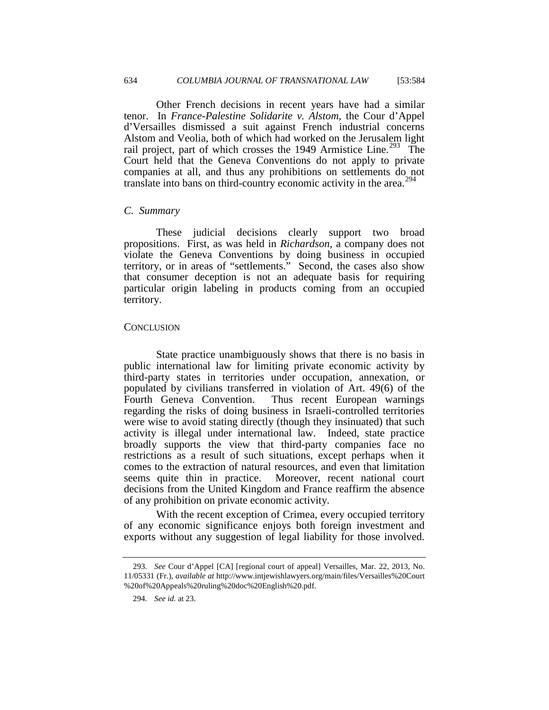Other French decisions in recent years have had a similar tenor. In *France-Palestine Solidarite v. Alstom*, the Cour d'Appel d'Versailles dismissed a suit against French industrial concerns Alstom and Veolia, both of which had worked on the Jerusalem light rail project, part of which crosses the 1949 Armistice Line.<sup>293</sup> The Court held that the Geneva Conventions do not apply to private companies at all, and thus any prohibitions on settlements do not translate into bans on third-country economic activity in the area.<sup>[294](#page-50-0)</sup>

### *C. Summary*

These judicial decisions clearly support two broad propositions. First, as was held in *Richardson*, a company does not violate the Geneva Conventions by doing business in occupied territory, or in areas of "settlements." Second, the cases also show that consumer deception is not an adequate basis for requiring particular origin labeling in products coming from an occupied territory.

#### **CONCLUSION**

State practice unambiguously shows that there is no basis in public international law for limiting private economic activity by third-party states in territories under occupation, annexation, or populated by civilians transferred in violation of Art. 49(6) of the Fourth Geneva Convention. Thus recent European warnings regarding the risks of doing business in Israeli-controlled territories were wise to avoid stating directly (though they insinuated) that such activity is illegal under international law. Indeed, state practice broadly supports the view that third-party companies face no restrictions as a result of such situations, except perhaps when it comes to the extraction of natural resources, and even that limitation seems quite thin in practice. Moreover, recent national court decisions from the United Kingdom and France reaffirm the absence of any prohibition on private economic activity.

<span id="page-50-1"></span>With the recent exception of Crimea, every occupied territory of any economic significance enjoys both foreign investment and exports without any suggestion of legal liability for those involved.

<span id="page-50-0"></span><sup>293</sup>*. See* Cour d'Appel [CA] [regional court of appeal] Versailles, Mar. 22, 2013, No. 11/05331 (Fr.), *available at* http://www.intjewishlawyers.org/main/files/Versailles%20Court %20of%20Appeals%20ruling%20doc%20English%20.pdf.

<sup>294</sup>*. See id.* at 23.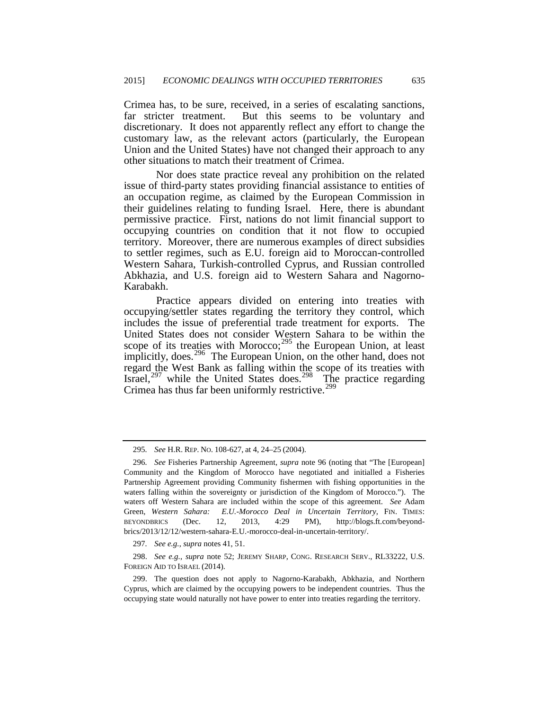Crimea has, to be sure, received, in a series of escalating sanctions, far stricter treatment. But this seems to be voluntary and discretionary. It does not apparently reflect any effort to change the customary law, as the relevant actors (particularly, the European Union and the United States) have not changed their approach to any other situations to match their treatment of Crimea.

Nor does state practice reveal any prohibition on the related issue of third-party states providing financial assistance to entities of an occupation regime, as claimed by the European Commission in their guidelines relating to funding Israel. Here, there is abundant permissive practice. First, nations do not limit financial support to occupying countries on condition that it not flow to occupied territory. Moreover, there are numerous examples of direct subsidies to settler regimes, such as E.U. foreign aid to Moroccan-controlled Western Sahara, Turkish-controlled Cyprus, and Russian controlled Abkhazia, and U.S. foreign aid to Western Sahara and Nagorno-Karabakh.

Practice appears divided on entering into treaties with occupying/settler states regarding the territory they control, which includes the issue of preferential trade treatment for exports. The United States does not consider Western Sahara to be within the scope of its treaties with Morocco; $^{295}$  $^{295}$  $^{295}$  the European Union, at least implicitly, does.<sup>296</sup> The European Union, on the other hand, does not regard the West Bank as falling within the scope of its treaties with Israel, $^{297}$  $^{297}$  $^{297}$  while the United States does. $^{298}$  $^{298}$  $^{298}$  The practice regarding Crimea has thus far been uniformly restrictive.<sup>[299](#page-51-3)</sup>

297*. See e.g.*, *supra* notes 41, 51.

<span id="page-51-2"></span><span id="page-51-1"></span>298. *See e.g.*, *supra* note 52; JEREMY SHARP, CONG. RESEARCH SERV., RL33222, U.S. FOREIGN AID TO ISRAEL (2014).

<span id="page-51-3"></span>299. The question does not apply to Nagorno-Karabakh, Abkhazia, and Northern Cyprus, which are claimed by the occupying powers to be independent countries. Thus the occupying state would naturally not have power to enter into treaties regarding the territory.

<sup>295</sup>*. See* H.R. REP. NO. 108-627, at 4, 24–25 (2004).

<span id="page-51-4"></span><span id="page-51-0"></span><sup>296</sup>*. See* Fisheries Partnership Agreement, *supra* note 96 (noting that "The [European] Community and the Kingdom of Morocco have negotiated and initialled a Fisheries Partnership Agreement providing Community fishermen with fishing opportunities in the waters falling within the sovereignty or jurisdiction of the Kingdom of Morocco."). The waters off Western Sahara are included within the scope of this agreement. *See* Adam Green, Western Sahara: E.U.-Morocco Deal in Uncertain Territory, FIN. TIMES: BEYONDBRICS (Dec. 12, 2013, 4:29 PM), http://blogs.ft.com/beyondbrics/2013/12/12/western-sahara-E.U.-morocco-deal-in-uncertain-territory/.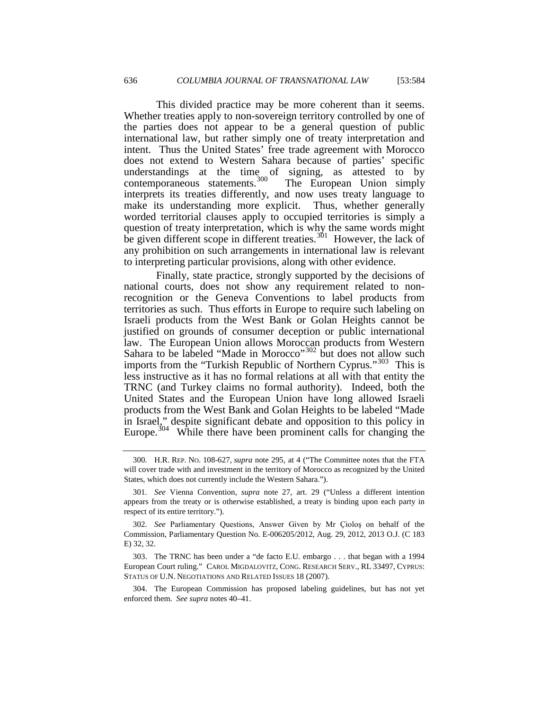This divided practice may be more coherent than it seems. Whether treaties apply to non-sovereign territory controlled by one of the parties does not appear to be a general question of public international law, but rather simply one of treaty interpretation and intent. Thus the United States' free trade agreement with Morocco does not extend to Western Sahara because of parties' specific understandings at the time of signing, as attested to by contemporaneous statements.<sup>300</sup> The European Union simply  $\overline{\text{contemporaneous}}$  statements. $\overline{\text{300}}$ interprets its treaties differently, and now uses treaty language to make its understanding more explicit. Thus, whether generally worded territorial clauses apply to occupied territories is simply a question of treaty interpretation, which is why the same words might be given different scope in different treaties.<sup>301</sup> However, the lack of any prohibition on such arrangements in international law is relevant to interpreting particular provisions, along with other evidence.

Finally, state practice, strongly supported by the decisions of national courts, does not show any requirement related to nonrecognition or the Geneva Conventions to label products from territories as such. Thus efforts in Europe to require such labeling on Israeli products from the West Bank or Golan Heights cannot be justified on grounds of consumer deception or public international law. The European Union allows Moroccan products from Western Sahara to be labeled "Made in Morocco"<sup>[302](#page-52-1)</sup> but does not allow such imports from the "Turkish Republic of Northern Cyprus."<sup>303</sup> This is less instructive as it has no formal relations at all with that entity the TRNC (and Turkey claims no formal authority). Indeed, both the United States and the European Union have long allowed Israeli products from the West Bank and Golan Heights to be labeled "Made in Israel," despite significant debate and opposition to this policy in Europe.<sup>304</sup> While there have been prominent calls for changing the

<span id="page-52-2"></span>303. The TRNC has been under a "de facto E.U. embargo . . . that began with a 1994 European Court ruling." CAROL MIGDALOVITZ, CONG. RESEARCH SERV., RL 33497, CYPRUS: STATUS OF U.N. NEGOTIATIONS AND RELATED ISSUES 18 (2007).

<sup>300</sup>*.* H.R. REP. NO. 108-627, *supra* note 295, at 4 ("The Committee notes that the FTA will cover trade with and investment in the territory of Morocco as recognized by the United States, which does not currently include the Western Sahara.").

<span id="page-52-0"></span><sup>301</sup>*. See* Vienna Convention, *supra* note 27, art. 29 ("Unless a different intention appears from the treaty or is otherwise established, a treaty is binding upon each party in respect of its entire territory.").

<span id="page-52-1"></span><sup>302</sup>*. See* Parliamentary Questions, Answer Given by Mr Çioloş on behalf of the Commission, Parliamentary Question No. E-006205/2012, Aug. 29, 2012, 2013 O.J. (C 183 E) 32, 32.

<span id="page-52-3"></span><sup>304.</sup> The European Commission has proposed labeling guidelines, but has not yet enforced them. *See supra* notes 40–41.